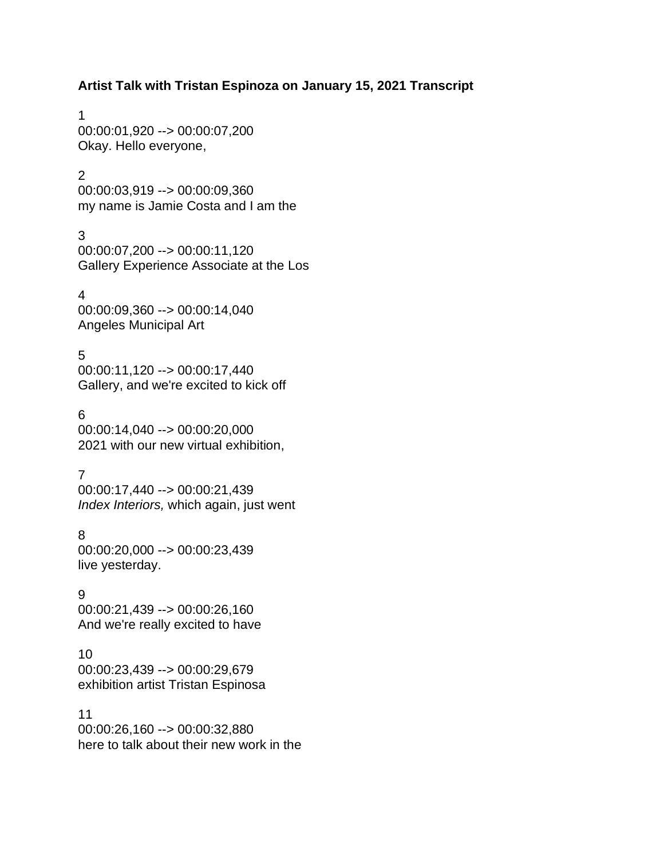**Artist Talk with Tristan Espinoza on January 15, 2021 Transcript**

1 00:00:01,920 --> 00:00:07,200 Okay. Hello everyone,

#### $\mathcal{P}$

00:00:03,919 --> 00:00:09,360 my name is Jamie Costa and I am the

### 3

00:00:07,200 --> 00:00:11,120 Gallery Experience Associate at the Los

4 00:00:09,360 --> 00:00:14,040 Angeles Municipal Art

## 5

00:00:11,120 --> 00:00:17,440 Gallery, and we're excited to kick off

### 6

00:00:14,040 --> 00:00:20,000 2021 with our new virtual exhibition,

## 7

00:00:17,440 --> 00:00:21,439 *Index Interiors,* which again, just went

### 8

00:00:20,000 --> 00:00:23,439 live yesterday.

### 9

00:00:21,439 --> 00:00:26,160 And we're really excited to have

## 10

00:00:23,439 --> 00:00:29,679 exhibition artist Tristan Espinosa

### 11

00:00:26,160 --> 00:00:32,880 here to talk about their new work in the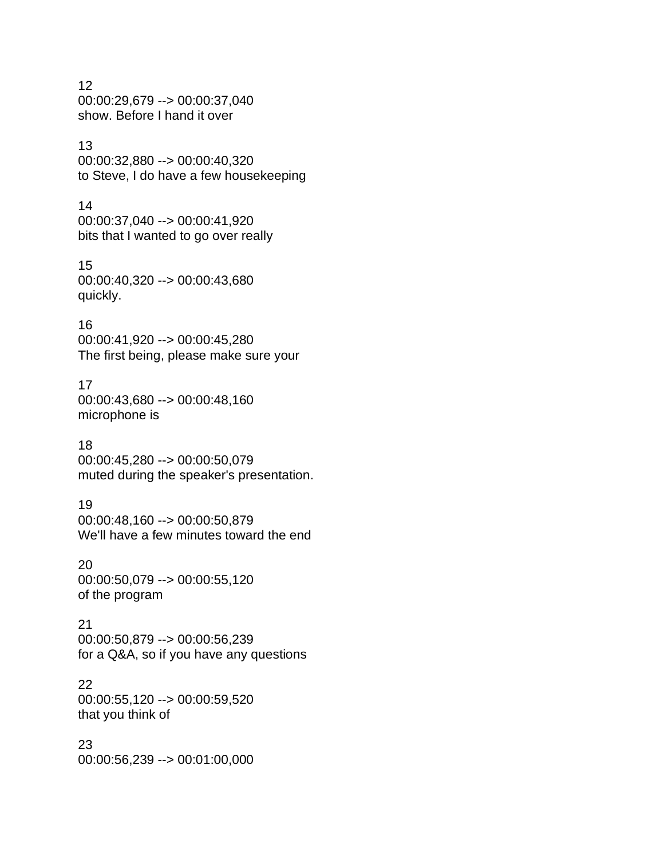#### 12 00:00:29,679 --> 00:00:37,040 show. Before I hand it over

#### 13

00:00:32,880 --> 00:00:40,320 to Steve, I do have a few housekeeping

#### 14

00:00:37,040 --> 00:00:41,920 bits that I wanted to go over really

## 15

00:00:40,320 --> 00:00:43,680 quickly.

### 16

00:00:41,920 --> 00:00:45,280 The first being, please make sure your

## 17

00:00:43,680 --> 00:00:48,160 microphone is

### 18

00:00:45,280 --> 00:00:50,079 muted during the speaker's presentation.

## 19

00:00:48,160 --> 00:00:50,879 We'll have a few minutes toward the end

#### 20

00:00:50,079 --> 00:00:55,120 of the program

### 21

00:00:50,879 --> 00:00:56,239 for a Q&A, so if you have any questions

## 22

00:00:55,120 --> 00:00:59,520 that you think of

#### 23

00:00:56,239 --> 00:01:00,000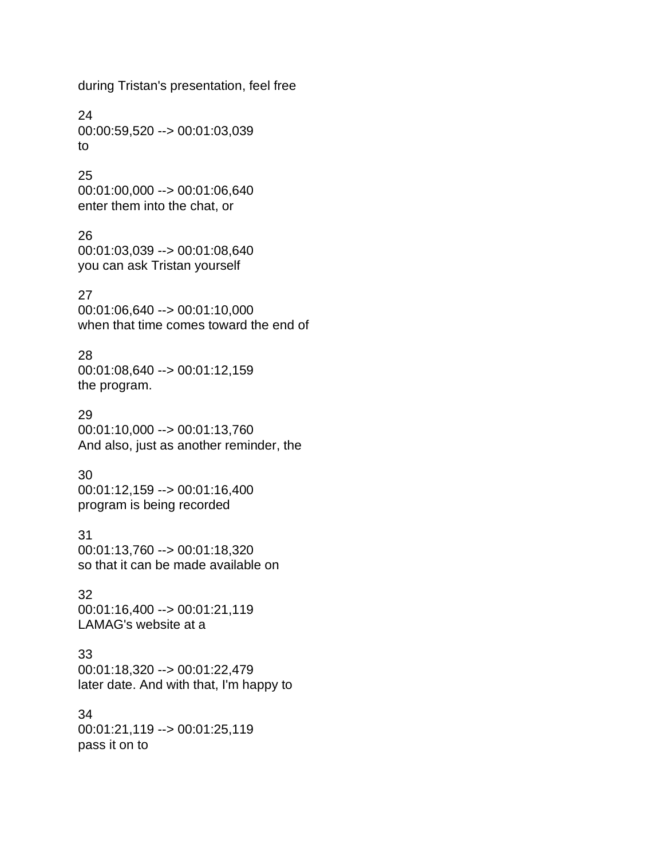during Tristan's presentation, feel free

24 00:00:59,520 --> 00:01:03,039 to

## 25

00:01:00,000 --> 00:01:06,640 enter them into the chat, or

#### 26

00:01:03,039 --> 00:01:08,640 you can ask Tristan yourself

#### 27

00:01:06,640 --> 00:01:10,000 when that time comes toward the end of

#### 28

00:01:08,640 --> 00:01:12,159 the program.

#### 29

00:01:10,000 --> 00:01:13,760 And also, just as another reminder, the

### 30

00:01:12,159 --> 00:01:16,400 program is being recorded

#### 31

00:01:13,760 --> 00:01:18,320 so that it can be made available on

#### 32

00:01:16,400 --> 00:01:21,119 LAMAG's website at a

### 33

00:01:18,320 --> 00:01:22,479 later date. And with that, I'm happy to

#### 34

00:01:21,119 --> 00:01:25,119 pass it on to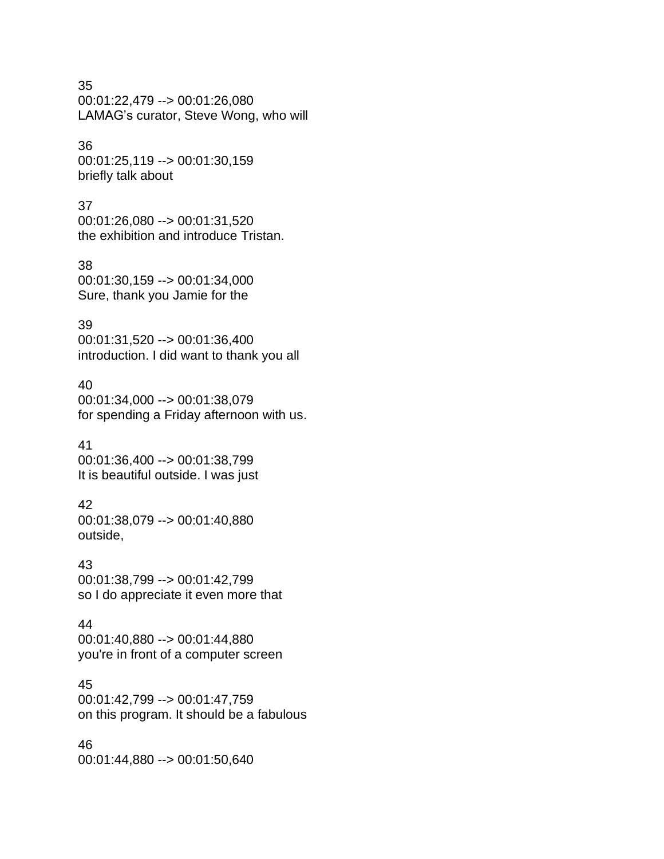35

00:01:22,479 --> 00:01:26,080 LAMAG's curator, Steve Wong, who will

#### 36

00:01:25,119 --> 00:01:30,159 briefly talk about

#### 37

00:01:26,080 --> 00:01:31,520 the exhibition and introduce Tristan.

#### 38

00:01:30,159 --> 00:01:34,000 Sure, thank you Jamie for the

#### 39

00:01:31,520 --> 00:01:36,400 introduction. I did want to thank you all

#### 40

00:01:34,000 --> 00:01:38,079 for spending a Friday afternoon with us.

#### 41

00:01:36,400 --> 00:01:38,799 It is beautiful outside. I was just

### 42

00:01:38,079 --> 00:01:40,880 outside,

#### 43

00:01:38,799 --> 00:01:42,799 so I do appreciate it even more that

#### 44

00:01:40,880 --> 00:01:44,880 you're in front of a computer screen

#### 45

00:01:42,799 --> 00:01:47,759 on this program. It should be a fabulous

#### 46

00:01:44,880 --> 00:01:50,640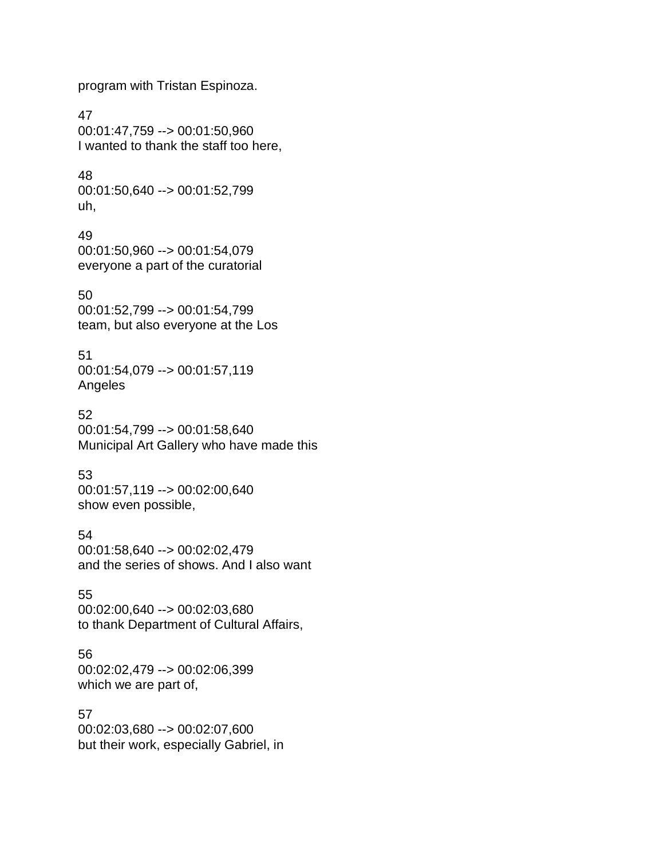program with Tristan Espinoza.

47 00:01:47,759 --> 00:01:50,960 I wanted to thank the staff too here,

48 00:01:50,640 --> 00:01:52,799 uh,

49 00:01:50,960 --> 00:01:54,079 everyone a part of the curatorial

50 00:01:52,799 --> 00:01:54,799 team, but also everyone at the Los

51 00:01:54,079 --> 00:01:57,119 Angeles

52 00:01:54,799 --> 00:01:58,640 Municipal Art Gallery who have made this

53 00:01:57,119 --> 00:02:00,640 show even possible,

54 00:01:58,640 --> 00:02:02,479 and the series of shows. And I also want

55 00:02:00,640 --> 00:02:03,680 to thank Department of Cultural Affairs,

56 00:02:02,479 --> 00:02:06,399 which we are part of,

57 00:02:03,680 --> 00:02:07,600 but their work, especially Gabriel, in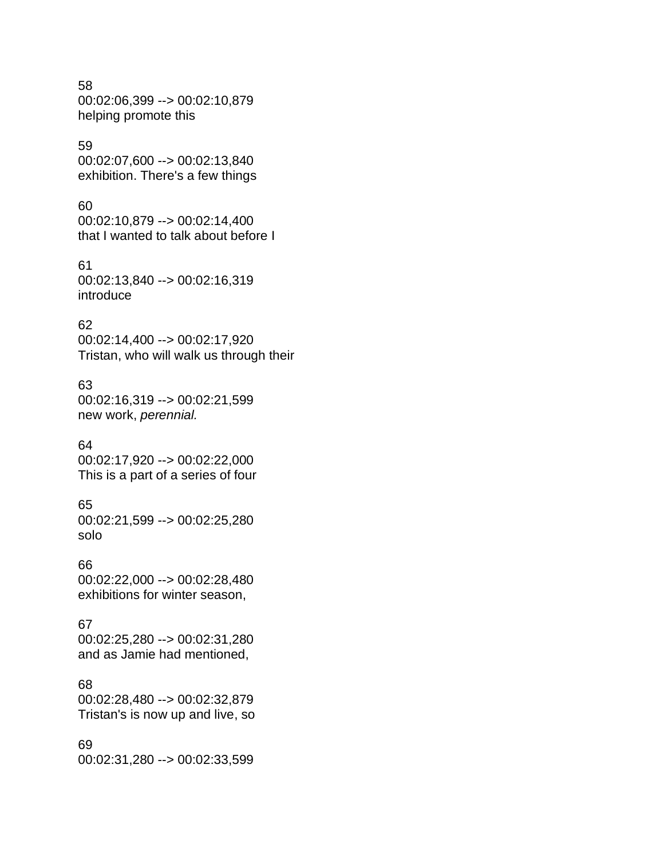#### 58 00:02:06,399 --> 00:02:10,879 helping promote this

#### 59

00:02:07,600 --> 00:02:13,840 exhibition. There's a few things

#### 60

00:02:10,879 --> 00:02:14,400 that I wanted to talk about before I

### 61

00:02:13,840 --> 00:02:16,319 introduce

#### 62

00:02:14,400 --> 00:02:17,920 Tristan, who will walk us through their

#### 63

00:02:16,319 --> 00:02:21,599 new work, *perennial.*

#### 64

00:02:17,920 --> 00:02:22,000 This is a part of a series of four

### 65

00:02:21,599 --> 00:02:25,280 solo

#### 66

00:02:22,000 --> 00:02:28,480 exhibitions for winter season,

#### 67

00:02:25,280 --> 00:02:31,280 and as Jamie had mentioned,

### 68

00:02:28,480 --> 00:02:32,879 Tristan's is now up and live, so

#### 69

00:02:31,280 --> 00:02:33,599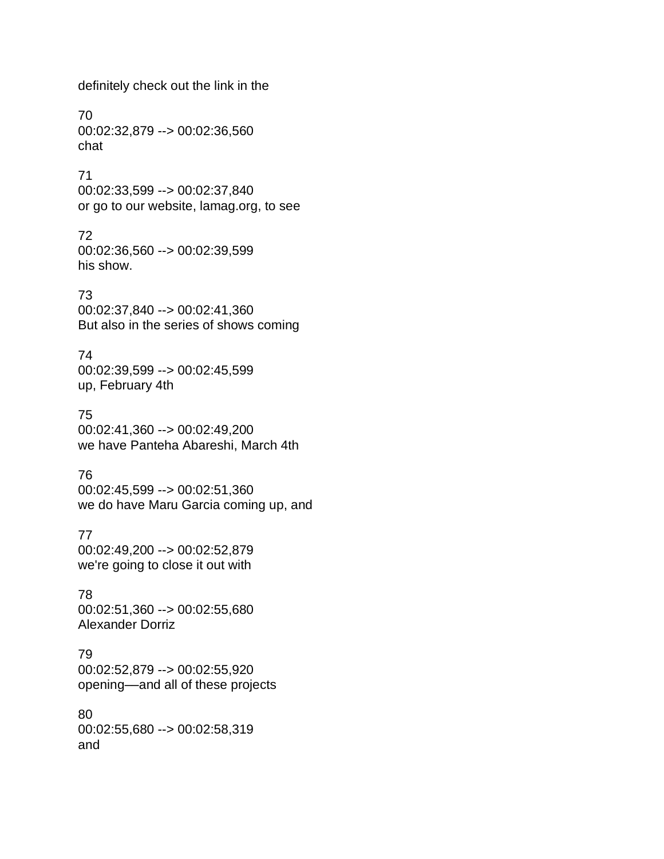definitely check out the link in the

70 00:02:32,879 --> 00:02:36,560 chat

71 00:02:33,599 --> 00:02:37,840 or go to our website, lamag.org, to see

72 00:02:36,560 --> 00:02:39,599 his show.

73 00:02:37,840 --> 00:02:41,360 But also in the series of shows coming

74 00:02:39,599 --> 00:02:45,599 up, February 4th

75 00:02:41,360 --> 00:02:49,200 we have Panteha Abareshi, March 4th

76 00:02:45,599 --> 00:02:51,360 we do have Maru Garcia coming up, and

77 00:02:49,200 --> 00:02:52,879 we're going to close it out with

78 00:02:51,360 --> 00:02:55,680 Alexander Dorriz

79 00:02:52,879 --> 00:02:55,920 opening––and all of these projects

80 00:02:55,680 --> 00:02:58,319 and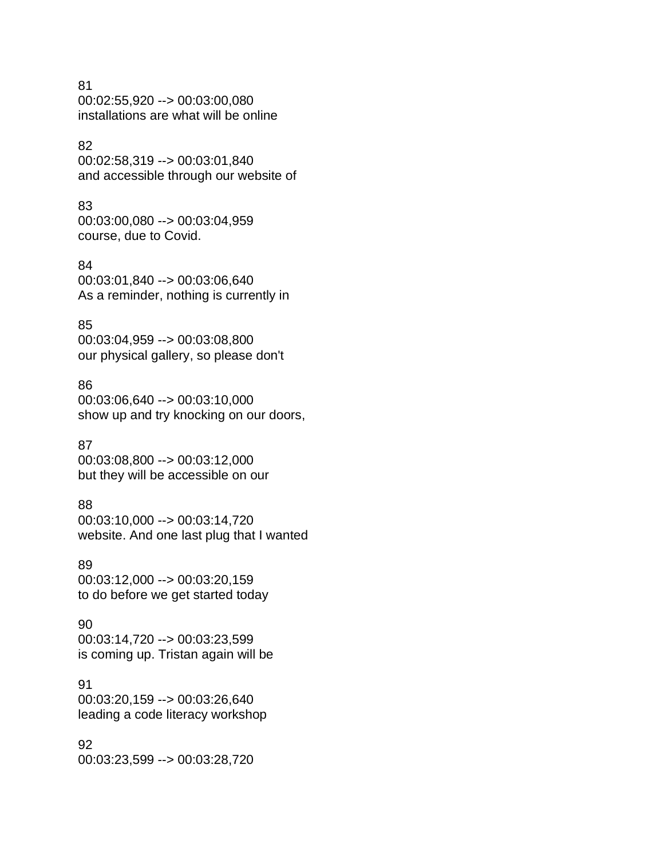#### 81

00:02:55,920 --> 00:03:00,080 installations are what will be online

#### 82

00:02:58,319 --> 00:03:01,840 and accessible through our website of

#### 83

00:03:00,080 --> 00:03:04,959 course, due to Covid.

#### 84

00:03:01,840 --> 00:03:06,640 As a reminder, nothing is currently in

#### 85

00:03:04,959 --> 00:03:08,800 our physical gallery, so please don't

#### 86

00:03:06,640 --> 00:03:10,000 show up and try knocking on our doors,

#### 87

00:03:08,800 --> 00:03:12,000 but they will be accessible on our

### 88

00:03:10,000 --> 00:03:14,720 website. And one last plug that I wanted

#### 89

00:03:12,000 --> 00:03:20,159 to do before we get started today

#### 90

00:03:14,720 --> 00:03:23,599 is coming up. Tristan again will be

#### 91

00:03:20,159 --> 00:03:26,640 leading a code literacy workshop

#### 92

00:03:23,599 --> 00:03:28,720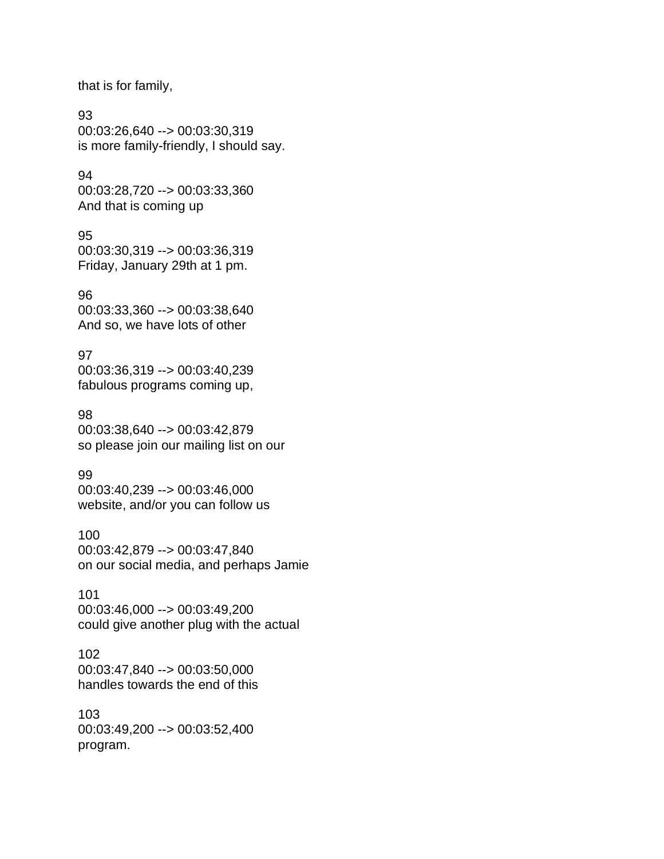that is for family,

#### 93

00:03:26,640 --> 00:03:30,319 is more family-friendly, I should say.

#### 94

00:03:28,720 --> 00:03:33,360 And that is coming up

#### 95

00:03:30,319 --> 00:03:36,319 Friday, January 29th at 1 pm.

#### 96

00:03:33,360 --> 00:03:38,640 And so, we have lots of other

#### 97

00:03:36,319 --> 00:03:40,239 fabulous programs coming up,

#### 98

00:03:38,640 --> 00:03:42,879 so please join our mailing list on our

#### 99

00:03:40,239 --> 00:03:46,000 website, and/or you can follow us

#### 100

00:03:42,879 --> 00:03:47,840 on our social media, and perhaps Jamie

#### 101

00:03:46,000 --> 00:03:49,200 could give another plug with the actual

### 102

00:03:47,840 --> 00:03:50,000 handles towards the end of this

# 103

00:03:49,200 --> 00:03:52,400 program.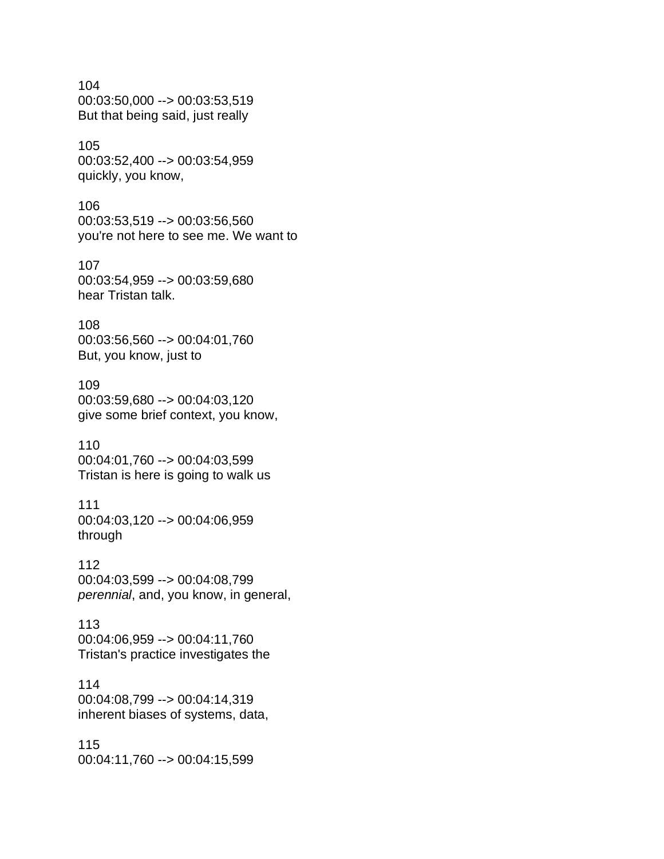104 00:03:50,000 --> 00:03:53,519 But that being said, just really

105 00:03:52,400 --> 00:03:54,959 quickly, you know,

106 00:03:53,519 --> 00:03:56,560 you're not here to see me. We want to

107 00:03:54,959 --> 00:03:59,680 hear Tristan talk.

108 00:03:56,560 --> 00:04:01,760 But, you know, just to

109 00:03:59,680 --> 00:04:03,120 give some brief context, you know,

110 00:04:01,760 --> 00:04:03,599 Tristan is here is going to walk us

111 00:04:03,120 --> 00:04:06,959 through

112 00:04:03,599 --> 00:04:08,799 *perennial*, and, you know, in general,

113 00:04:06,959 --> 00:04:11,760 Tristan's practice investigates the

114 00:04:08,799 --> 00:04:14,319 inherent biases of systems, data,

115 00:04:11,760 --> 00:04:15,599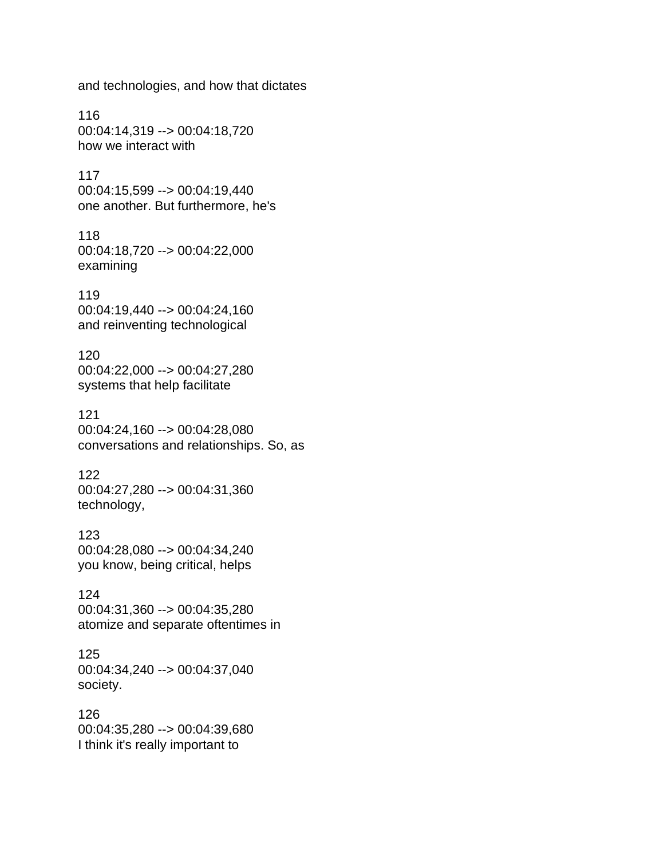and technologies, and how that dictates

116 00:04:14,319 --> 00:04:18,720 how we interact with

117 00:04:15,599 --> 00:04:19,440 one another. But furthermore, he's

118 00:04:18,720 --> 00:04:22,000 examining

119 00:04:19,440 --> 00:04:24,160 and reinventing technological

120 00:04:22,000 --> 00:04:27,280 systems that help facilitate

121 00:04:24,160 --> 00:04:28,080 conversations and relationships. So, as

122 00:04:27,280 --> 00:04:31,360 technology,

123 00:04:28,080 --> 00:04:34,240 you know, being critical, helps

124 00:04:31,360 --> 00:04:35,280 atomize and separate oftentimes in

125 00:04:34,240 --> 00:04:37,040 society.

126 00:04:35,280 --> 00:04:39,680 I think it's really important to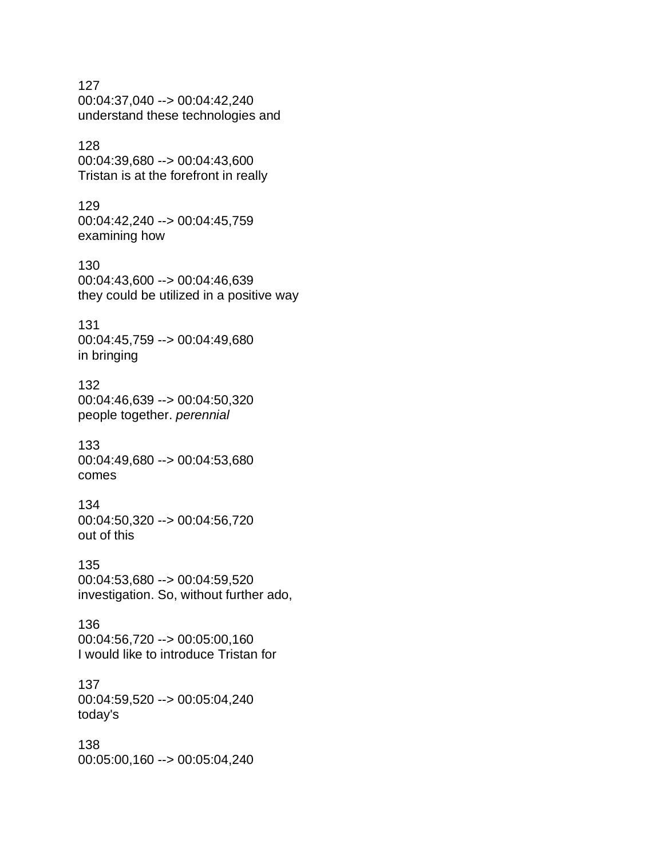127 00:04:37,040 --> 00:04:42,240 understand these technologies and 128 00:04:39,680 --> 00:04:43,600 Tristan is at the forefront in really 129 00:04:42,240 --> 00:04:45,759 examining how 130 00:04:43,600 --> 00:04:46,639 they could be utilized in a positive way 131 00:04:45,759 --> 00:04:49,680 in bringing 132 00:04:46,639 --> 00:04:50,320 people together. *perennial* 133 00:04:49,680 --> 00:04:53,680 comes 134 00:04:50,320 --> 00:04:56,720 out of this 135 00:04:53,680 --> 00:04:59,520 investigation. So, without further ado, 136 00:04:56,720 --> 00:05:00,160 I would like to introduce Tristan for 137 00:04:59,520 --> 00:05:04,240 today's 138 00:05:00,160 --> 00:05:04,240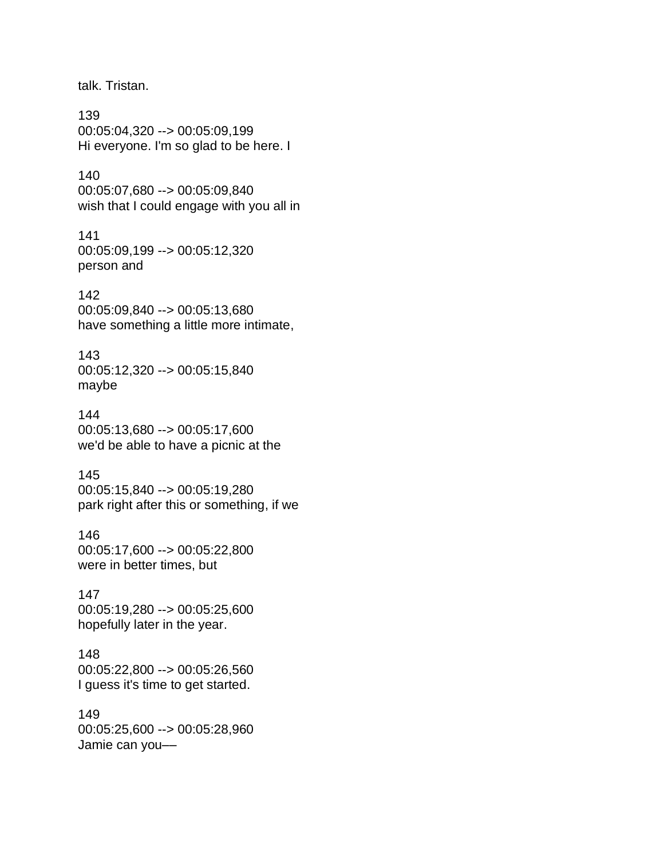talk. Tristan.

139 00:05:04,320 --> 00:05:09,199 Hi everyone. I'm so glad to be here. I

#### 140

00:05:07,680 --> 00:05:09,840 wish that I could engage with you all in

141 00:05:09,199 --> 00:05:12,320 person and

#### 142

00:05:09,840 --> 00:05:13,680 have something a little more intimate,

#### 143

00:05:12,320 --> 00:05:15,840 maybe

#### 144

00:05:13,680 --> 00:05:17,600 we'd be able to have a picnic at the

#### 145

00:05:15,840 --> 00:05:19,280 park right after this or something, if we

146

00:05:17,600 --> 00:05:22,800 were in better times, but

#### 147

00:05:19,280 --> 00:05:25,600 hopefully later in the year.

## 148

00:05:22,800 --> 00:05:26,560 I guess it's time to get started.

## 149

00:05:25,600 --> 00:05:28,960 Jamie can you––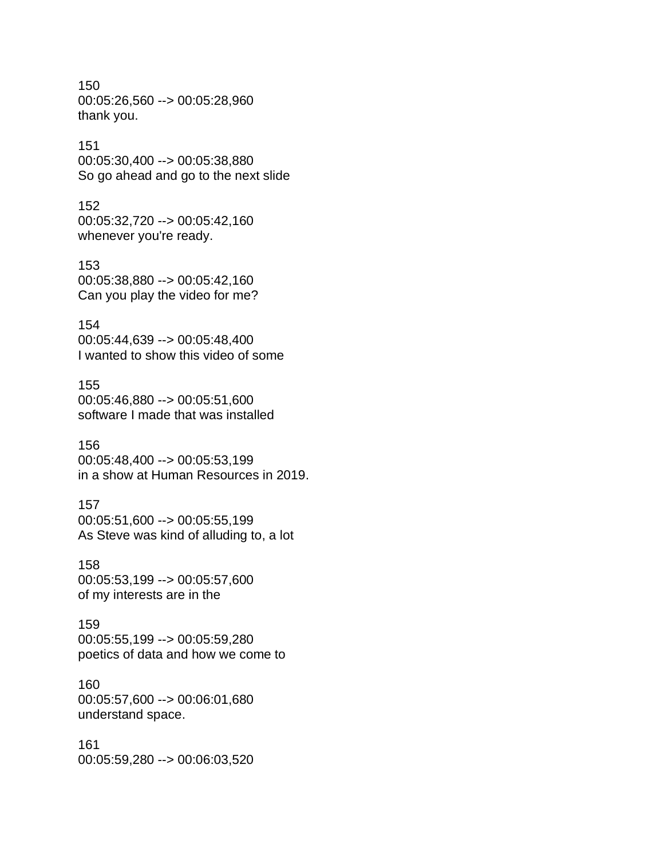150 00:05:26,560 --> 00:05:28,960 thank you.

#### 151

00:05:30,400 --> 00:05:38,880 So go ahead and go to the next slide

#### 152

00:05:32,720 --> 00:05:42,160 whenever you're ready.

153 00:05:38,880 --> 00:05:42,160 Can you play the video for me?

#### 154

00:05:44,639 --> 00:05:48,400 I wanted to show this video of some

#### 155

00:05:46,880 --> 00:05:51,600 software I made that was installed

#### 156

00:05:48,400 --> 00:05:53,199 in a show at Human Resources in 2019.

#### 157

00:05:51,600 --> 00:05:55,199 As Steve was kind of alluding to, a lot

#### 158

00:05:53,199 --> 00:05:57,600 of my interests are in the

159 00:05:55,199 --> 00:05:59,280 poetics of data and how we come to

#### 160

00:05:57,600 --> 00:06:01,680 understand space.

#### 161 00:05:59,280 --> 00:06:03,520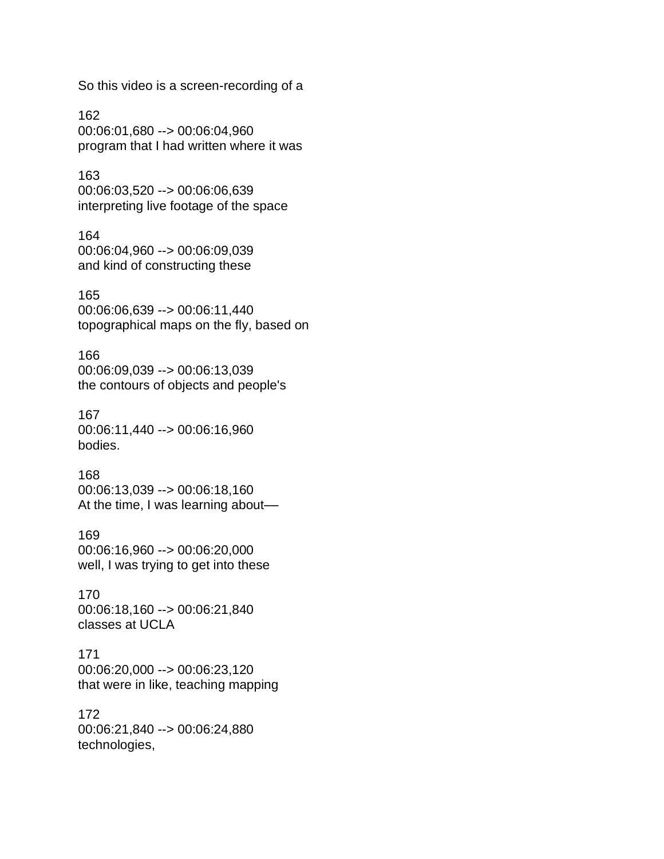So this video is a screen-recording of a

162 00:06:01,680 --> 00:06:04,960 program that I had written where it was

163 00:06:03,520 --> 00:06:06,639 interpreting live footage of the space

164 00:06:04,960 --> 00:06:09,039 and kind of constructing these

165 00:06:06,639 --> 00:06:11,440 topographical maps on the fly, based on

166 00:06:09,039 --> 00:06:13,039 the contours of objects and people's

167 00:06:11,440 --> 00:06:16,960 bodies.

168 00:06:13,039 --> 00:06:18,160 At the time, I was learning about––

169 00:06:16,960 --> 00:06:20,000 well, I was trying to get into these

170 00:06:18,160 --> 00:06:21,840 classes at UCLA

171 00:06:20,000 --> 00:06:23,120 that were in like, teaching mapping

172 00:06:21,840 --> 00:06:24,880 technologies,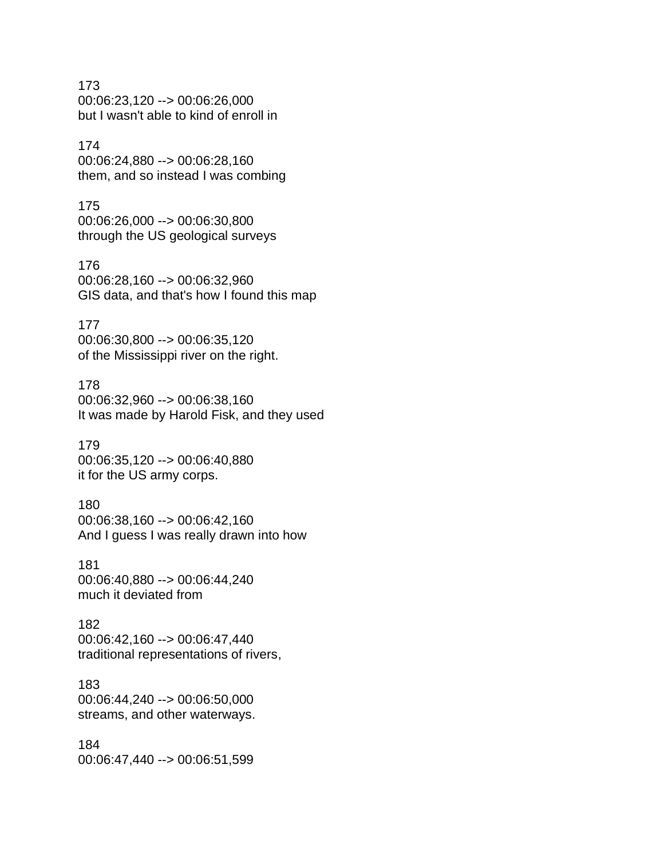173 00:06:23,120 --> 00:06:26,000 but I wasn't able to kind of enroll in

#### 174

00:06:24,880 --> 00:06:28,160 them, and so instead I was combing

#### 175

00:06:26,000 --> 00:06:30,800 through the US geological surveys

#### 176

00:06:28,160 --> 00:06:32,960 GIS data, and that's how I found this map

#### 177

00:06:30,800 --> 00:06:35,120 of the Mississippi river on the right.

#### 178

00:06:32,960 --> 00:06:38,160 It was made by Harold Fisk, and they used

#### 179

00:06:35,120 --> 00:06:40,880 it for the US army corps.

#### 180

00:06:38,160 --> 00:06:42,160 And I guess I was really drawn into how

#### 181

00:06:40,880 --> 00:06:44,240 much it deviated from

182 00:06:42,160 --> 00:06:47,440 traditional representations of rivers,

## 183

00:06:44,240 --> 00:06:50,000 streams, and other waterways.

#### 184 00:06:47,440 --> 00:06:51,599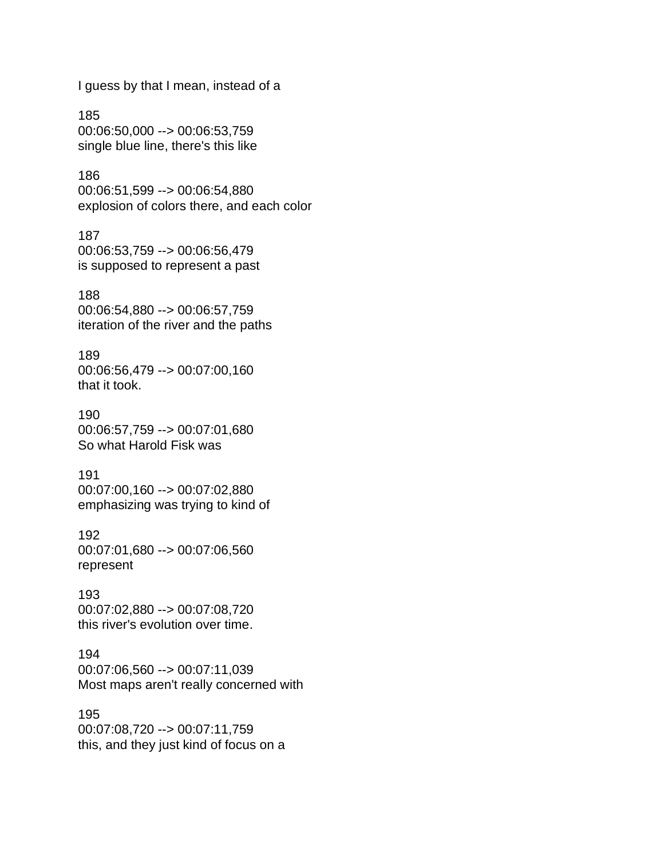I guess by that I mean, instead of a

185 00:06:50,000 --> 00:06:53,759 single blue line, there's this like

186 00:06:51,599 --> 00:06:54,880 explosion of colors there, and each color

187 00:06:53,759 --> 00:06:56,479 is supposed to represent a past

188 00:06:54,880 --> 00:06:57,759 iteration of the river and the paths

189 00:06:56,479 --> 00:07:00,160 that it took.

190 00:06:57,759 --> 00:07:01,680 So what Harold Fisk was

191 00:07:00,160 --> 00:07:02,880 emphasizing was trying to kind of

192 00:07:01,680 --> 00:07:06,560 represent

193 00:07:02,880 --> 00:07:08,720 this river's evolution over time.

194 00:07:06,560 --> 00:07:11,039 Most maps aren't really concerned with

195 00:07:08,720 --> 00:07:11,759 this, and they just kind of focus on a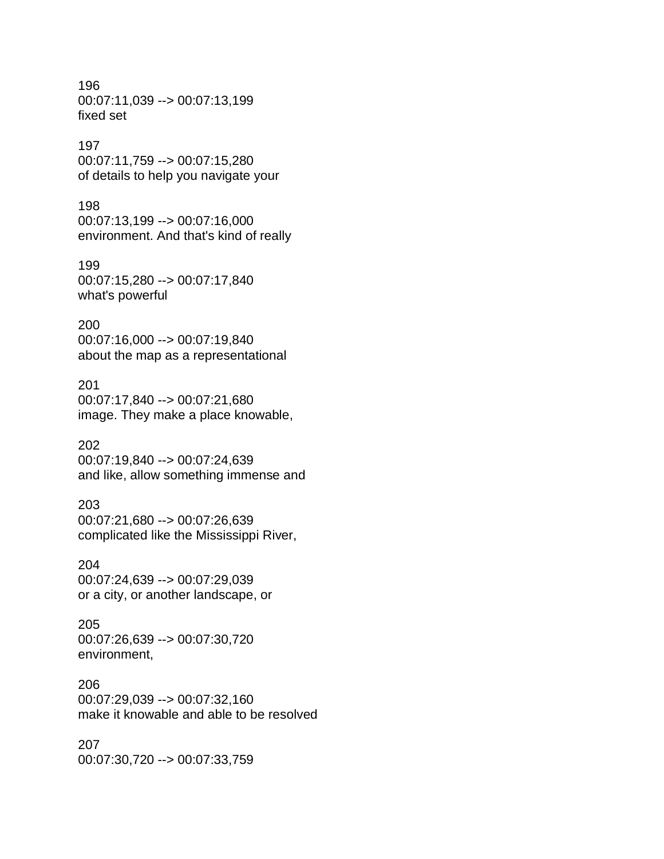196 00:07:11,039 --> 00:07:13,199 fixed set

#### 197

00:07:11,759 --> 00:07:15,280 of details to help you navigate your

#### 198

00:07:13,199 --> 00:07:16,000 environment. And that's kind of really

199 00:07:15,280 --> 00:07:17,840 what's powerful

#### 200 00:07:16,000 --> 00:07:19,840 about the map as a representational

201 00:07:17,840 --> 00:07:21,680 image. They make a place knowable,

#### 202

00:07:19,840 --> 00:07:24,639 and like, allow something immense and

#### 203

00:07:21,680 --> 00:07:26,639 complicated like the Mississippi River,

#### 204

00:07:24,639 --> 00:07:29,039 or a city, or another landscape, or

## 205

00:07:26,639 --> 00:07:30,720 environment,

#### 206

00:07:29,039 --> 00:07:32,160 make it knowable and able to be resolved

#### 207

00:07:30,720 --> 00:07:33,759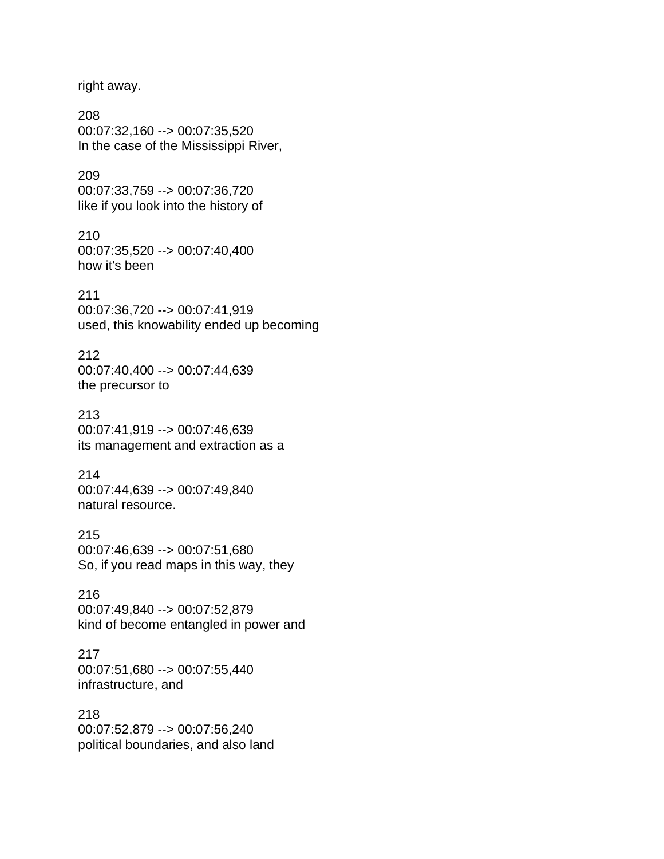right away.

208 00:07:32,160 --> 00:07:35,520 In the case of the Mississippi River,

209 00:07:33,759 --> 00:07:36,720 like if you look into the history of

210 00:07:35,520 --> 00:07:40,400 how it's been

211 00:07:36,720 --> 00:07:41,919 used, this knowability ended up becoming

212 00:07:40,400 --> 00:07:44,639 the precursor to

213 00:07:41,919 --> 00:07:46,639 its management and extraction as a

214 00:07:44,639 --> 00:07:49,840 natural resource.

215 00:07:46,639 --> 00:07:51,680 So, if you read maps in this way, they

216 00:07:49,840 --> 00:07:52,879 kind of become entangled in power and

217 00:07:51,680 --> 00:07:55,440 infrastructure, and

218 00:07:52,879 --> 00:07:56,240 political boundaries, and also land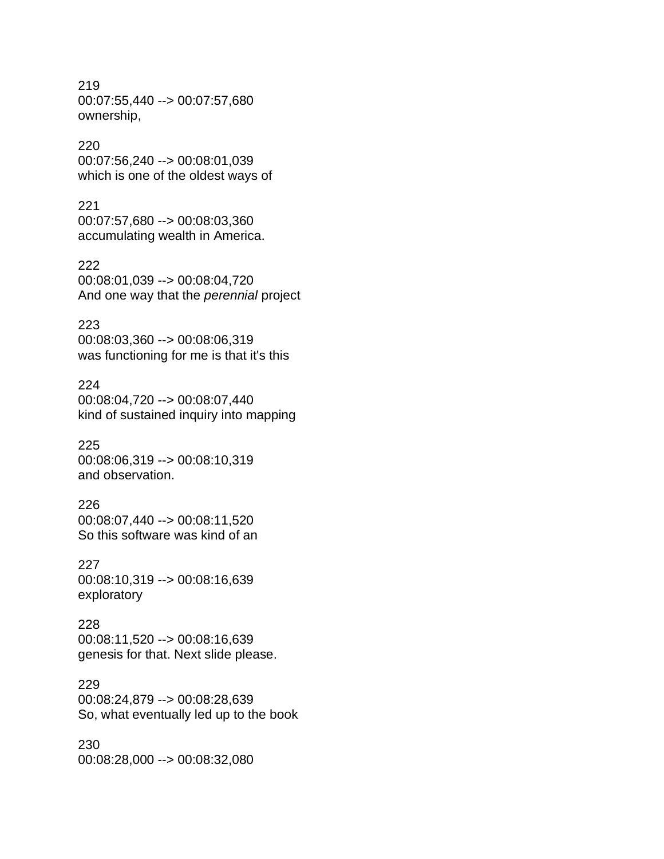219 00:07:55,440 --> 00:07:57,680 ownership,

#### 220

00:07:56,240 --> 00:08:01,039 which is one of the oldest ways of

#### 221

00:07:57,680 --> 00:08:03,360 accumulating wealth in America.

#### 222

00:08:01,039 --> 00:08:04,720 And one way that the *perennial* project

#### 223

00:08:03,360 --> 00:08:06,319 was functioning for me is that it's this

#### 224

00:08:04,720 --> 00:08:07,440 kind of sustained inquiry into mapping

## 225

00:08:06,319 --> 00:08:10,319 and observation.

#### 226

00:08:07,440 --> 00:08:11,520 So this software was kind of an

#### 227

00:08:10,319 --> 00:08:16,639 exploratory

### 228

00:08:11,520 --> 00:08:16,639 genesis for that. Next slide please.

#### 229

00:08:24,879 --> 00:08:28,639 So, what eventually led up to the book

#### 230 00:08:28,000 --> 00:08:32,080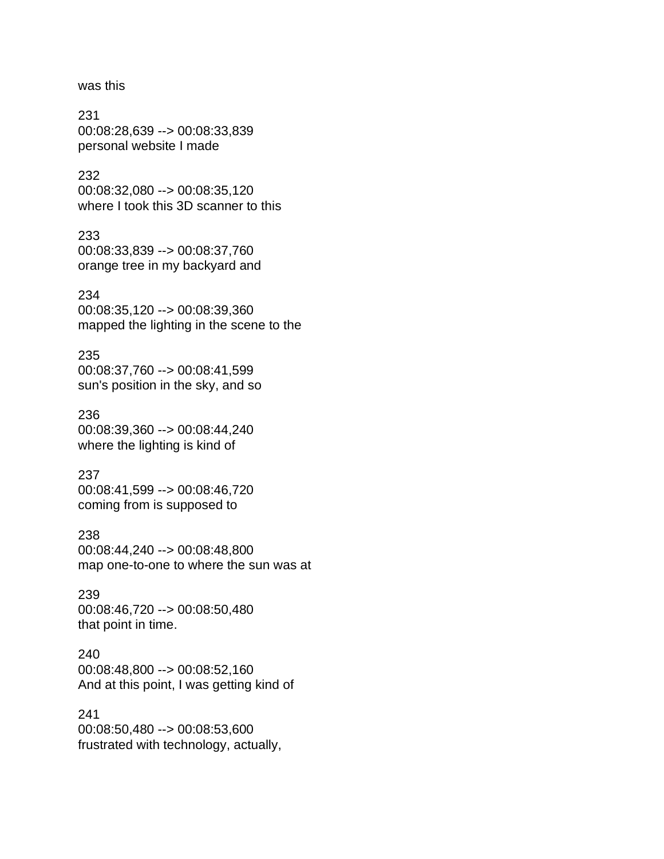was this

231 00:08:28,639 --> 00:08:33,839 personal website I made

232 00:08:32,080 --> 00:08:35,120 where I took this 3D scanner to this

233 00:08:33,839 --> 00:08:37,760 orange tree in my backyard and

234 00:08:35,120 --> 00:08:39,360 mapped the lighting in the scene to the

235 00:08:37,760 --> 00:08:41,599 sun's position in the sky, and so

236 00:08:39,360 --> 00:08:44,240 where the lighting is kind of

237 00:08:41,599 --> 00:08:46,720 coming from is supposed to

238 00:08:44,240 --> 00:08:48,800 map one-to-one to where the sun was at

239 00:08:46,720 --> 00:08:50,480 that point in time.

240 00:08:48,800 --> 00:08:52,160 And at this point, I was getting kind of

241 00:08:50,480 --> 00:08:53,600 frustrated with technology, actually,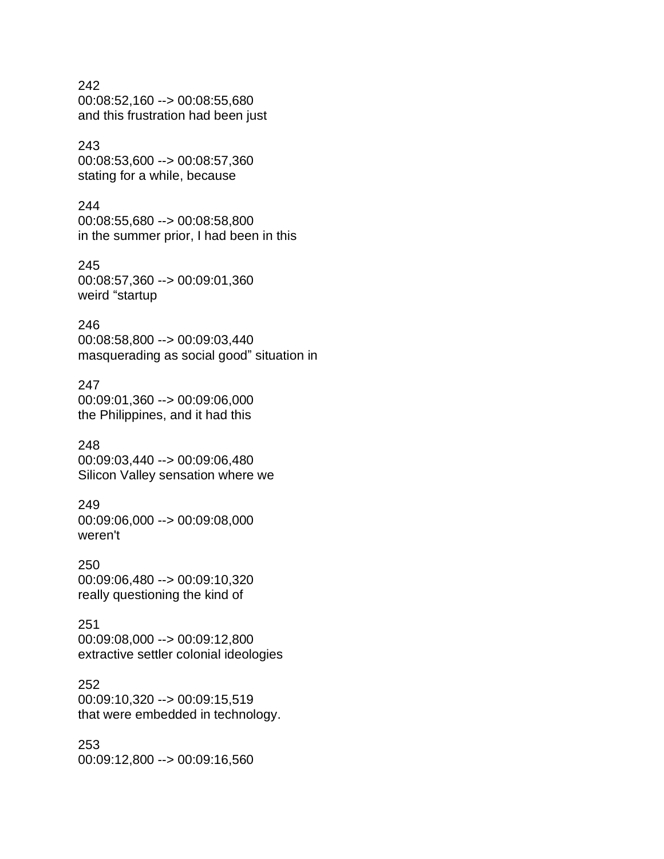#### 242

00:08:52,160 --> 00:08:55,680 and this frustration had been just

#### 243

00:08:53,600 --> 00:08:57,360 stating for a while, because

#### 244

00:08:55,680 --> 00:08:58,800 in the summer prior, I had been in this

#### 245

00:08:57,360 --> 00:09:01,360 weird "startup

#### 246

00:08:58,800 --> 00:09:03,440 masquerading as social good" situation in

#### 247

00:09:01,360 --> 00:09:06,000 the Philippines, and it had this

#### 248

00:09:03,440 --> 00:09:06,480 Silicon Valley sensation where we

#### 249

00:09:06,000 --> 00:09:08,000 weren't

#### 250

00:09:06,480 --> 00:09:10,320 really questioning the kind of

#### 251

00:09:08,000 --> 00:09:12,800 extractive settler colonial ideologies

#### 252

00:09:10,320 --> 00:09:15,519 that were embedded in technology.

#### 253 00:09:12,800 --> 00:09:16,560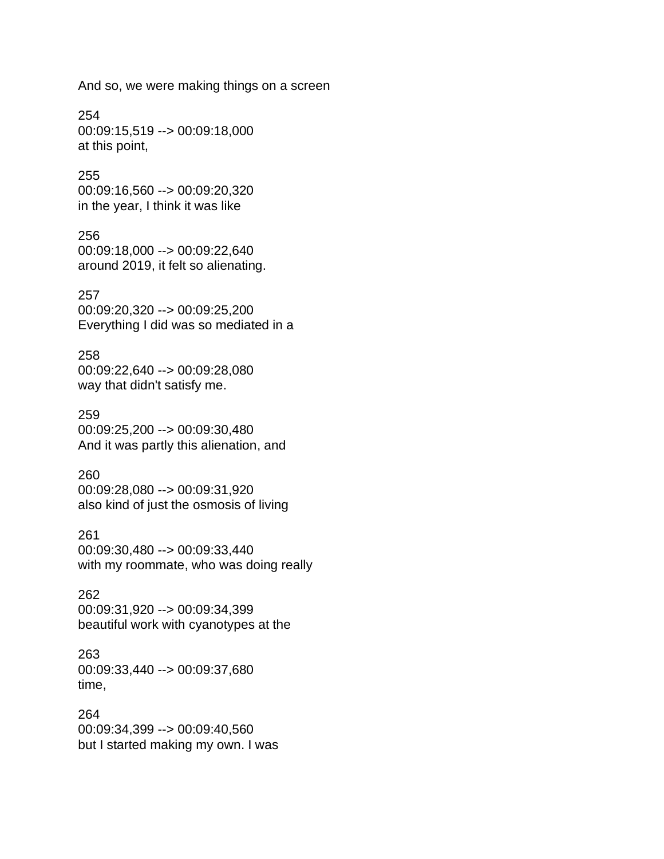And so, we were making things on a screen

254 00:09:15,519 --> 00:09:18,000 at this point,

255 00:09:16,560 --> 00:09:20,320 in the year, I think it was like

256 00:09:18,000 --> 00:09:22,640 around 2019, it felt so alienating.

257 00:09:20,320 --> 00:09:25,200 Everything I did was so mediated in a

258 00:09:22,640 --> 00:09:28,080 way that didn't satisfy me.

259 00:09:25,200 --> 00:09:30,480 And it was partly this alienation, and

260 00:09:28,080 --> 00:09:31,920 also kind of just the osmosis of living

261 00:09:30,480 --> 00:09:33,440 with my roommate, who was doing really

262 00:09:31,920 --> 00:09:34,399 beautiful work with cyanotypes at the

263 00:09:33,440 --> 00:09:37,680 time,

264 00:09:34,399 --> 00:09:40,560 but I started making my own. I was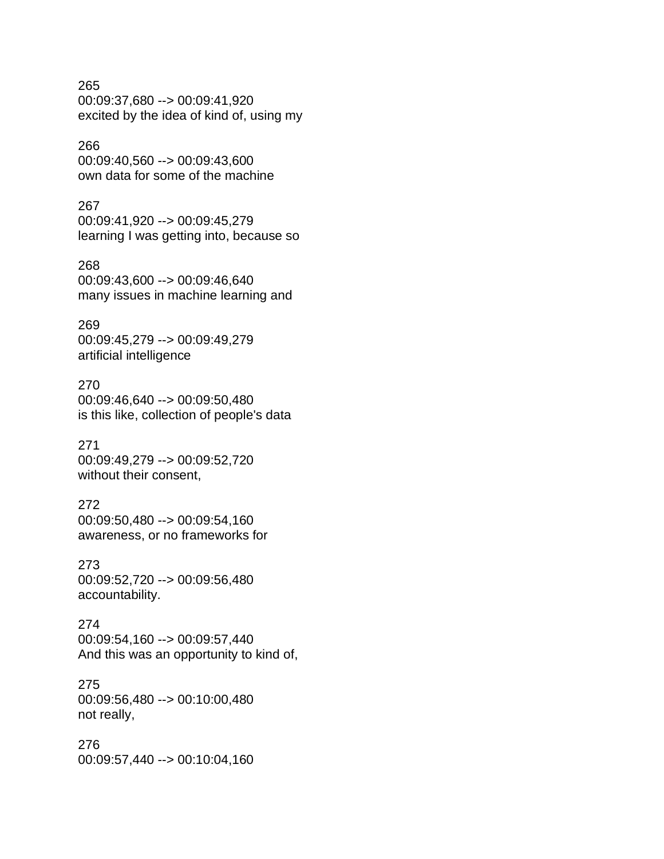265 00:09:37,680 --> 00:09:41,920 excited by the idea of kind of, using my

## 266

00:09:40,560 --> 00:09:43,600 own data for some of the machine

## 267

00:09:41,920 --> 00:09:45,279 learning I was getting into, because so

268 00:09:43,600 --> 00:09:46,640 many issues in machine learning and

### 269 00:09:45,279 --> 00:09:49,279 artificial intelligence

270 00:09:46,640 --> 00:09:50,480 is this like, collection of people's data

271 00:09:49,279 --> 00:09:52,720 without their consent,

## 272

00:09:50,480 --> 00:09:54,160 awareness, or no frameworks for

273 00:09:52,720 --> 00:09:56,480 accountability.

#### 274 00:09:54,160 --> 00:09:57,440 And this was an opportunity to kind of,

275 00:09:56,480 --> 00:10:00,480 not really,

276 00:09:57,440 --> 00:10:04,160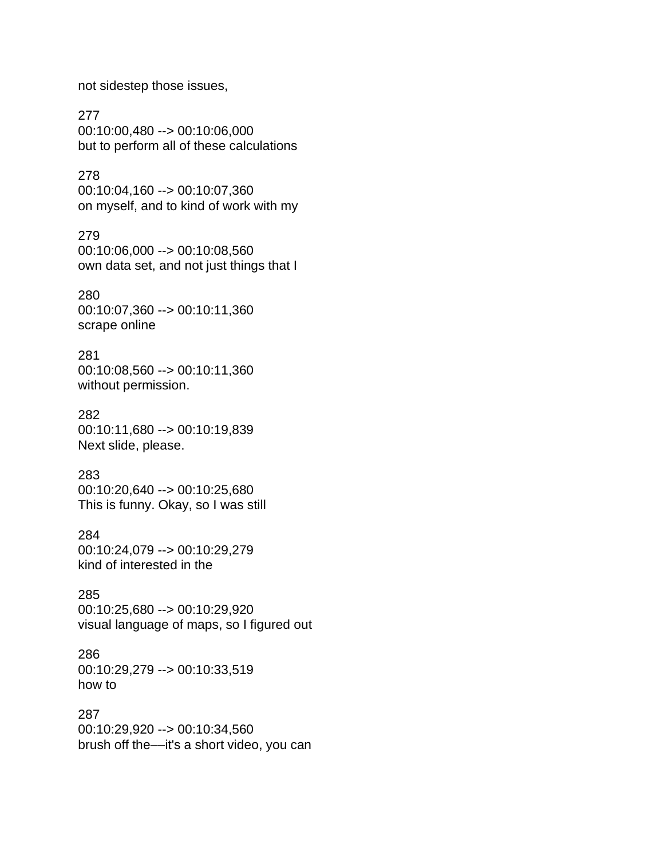not sidestep those issues,

277 00:10:00,480 --> 00:10:06,000 but to perform all of these calculations

278 00:10:04,160 --> 00:10:07,360 on myself, and to kind of work with my

279 00:10:06,000 --> 00:10:08,560 own data set, and not just things that I

280 00:10:07,360 --> 00:10:11,360 scrape online

281 00:10:08,560 --> 00:10:11,360 without permission.

282 00:10:11,680 --> 00:10:19,839 Next slide, please.

283 00:10:20,640 --> 00:10:25,680 This is funny. Okay, so I was still

284 00:10:24,079 --> 00:10:29,279 kind of interested in the

285 00:10:25,680 --> 00:10:29,920 visual language of maps, so I figured out

286 00:10:29,279 --> 00:10:33,519 how to

287 00:10:29,920 --> 00:10:34,560 brush off the––it's a short video, you can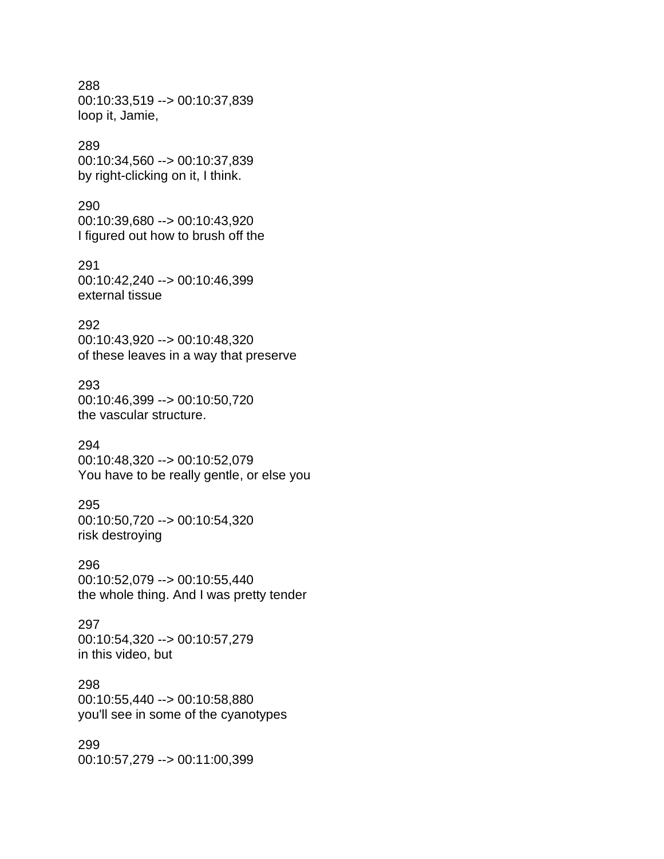#### 288 00:10:33,519 --> 00:10:37,839 loop it, Jamie,

#### 289

00:10:34,560 --> 00:10:37,839 by right-clicking on it, I think.

#### 290

00:10:39,680 --> 00:10:43,920 I figured out how to brush off the

291 00:10:42,240 --> 00:10:46,399 external tissue

#### 292

00:10:43,920 --> 00:10:48,320 of these leaves in a way that preserve

#### 293

00:10:46,399 --> 00:10:50,720 the vascular structure.

#### 294

00:10:48,320 --> 00:10:52,079 You have to be really gentle, or else you

#### 295

00:10:50,720 --> 00:10:54,320 risk destroying

#### 296

00:10:52,079 --> 00:10:55,440 the whole thing. And I was pretty tender

#### 297

00:10:54,320 --> 00:10:57,279 in this video, but

#### 298

00:10:55,440 --> 00:10:58,880 you'll see in some of the cyanotypes

#### 299

00:10:57,279 --> 00:11:00,399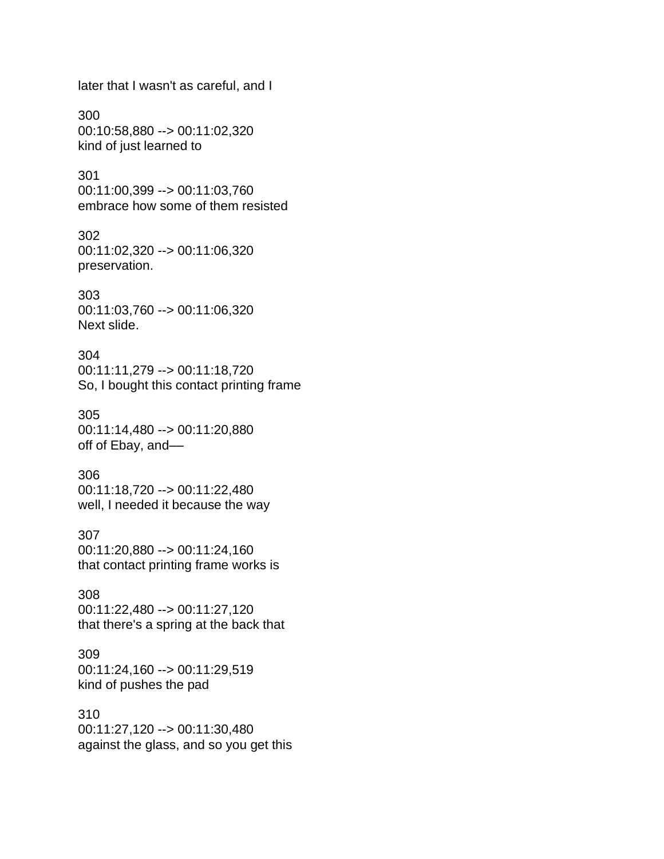later that I wasn't as careful, and I

300 00:10:58,880 --> 00:11:02,320 kind of just learned to

301 00:11:00,399 --> 00:11:03,760 embrace how some of them resisted

302 00:11:02,320 --> 00:11:06,320 preservation.

303 00:11:03,760 --> 00:11:06,320 Next slide.

304 00:11:11,279 --> 00:11:18,720 So, I bought this contact printing frame

305 00:11:14,480 --> 00:11:20,880 off of Ebay, and––

306 00:11:18,720 --> 00:11:22,480 well, I needed it because the way

307 00:11:20,880 --> 00:11:24,160 that contact printing frame works is

308 00:11:22,480 --> 00:11:27,120 that there's a spring at the back that

309 00:11:24,160 --> 00:11:29,519 kind of pushes the pad

310 00:11:27,120 --> 00:11:30,480 against the glass, and so you get this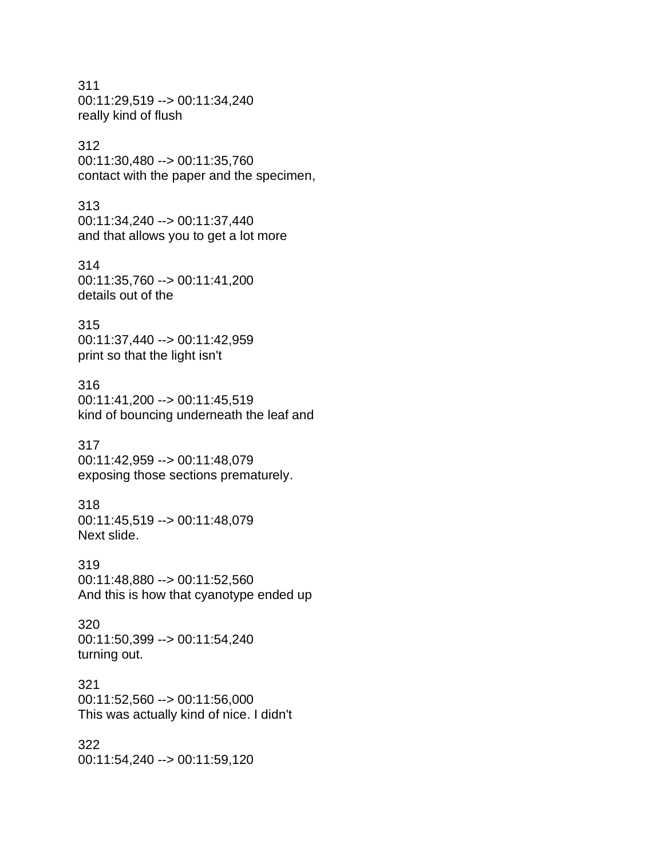311 00:11:29,519 --> 00:11:34,240 really kind of flush

#### 312

00:11:30,480 --> 00:11:35,760 contact with the paper and the specimen,

#### 313

00:11:34,240 --> 00:11:37,440 and that allows you to get a lot more

#### 314

00:11:35,760 --> 00:11:41,200 details out of the

#### 315

00:11:37,440 --> 00:11:42,959 print so that the light isn't

#### 316

00:11:41,200 --> 00:11:45,519 kind of bouncing underneath the leaf and

#### 317

00:11:42,959 --> 00:11:48,079 exposing those sections prematurely.

#### 318

00:11:45,519 --> 00:11:48,079 Next slide.

#### 319

00:11:48,880 --> 00:11:52,560 And this is how that cyanotype ended up

#### 320 00:11:50,399 --> 00:11:54,240 turning out.

#### 321

00:11:52,560 --> 00:11:56,000 This was actually kind of nice. I didn't

#### 322

00:11:54,240 --> 00:11:59,120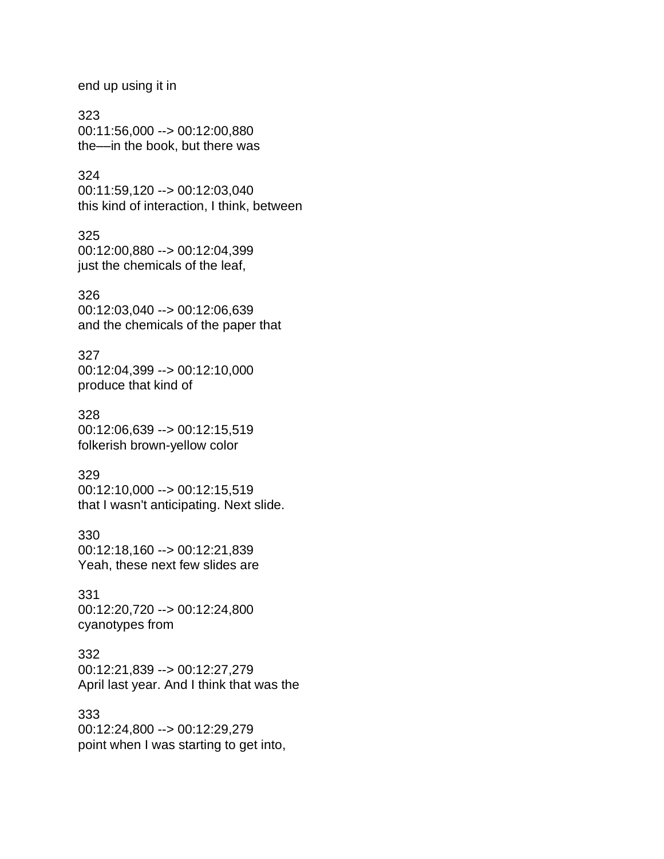end up using it in

323 00:11:56,000 --> 00:12:00,880 the––in the book, but there was

#### 324

00:11:59,120 --> 00:12:03,040 this kind of interaction, I think, between

325 00:12:00,880 --> 00:12:04,399 just the chemicals of the leaf,

326

00:12:03,040 --> 00:12:06,639 and the chemicals of the paper that

327 00:12:04,399 --> 00:12:10,000 produce that kind of

328 00:12:06,639 --> 00:12:15,519 folkerish brown-yellow color

329 00:12:10,000 --> 00:12:15,519 that I wasn't anticipating. Next slide.

330 00:12:18,160 --> 00:12:21,839 Yeah, these next few slides are

331 00:12:20,720 --> 00:12:24,800 cyanotypes from

332 00:12:21,839 --> 00:12:27,279 April last year. And I think that was the

333 00:12:24,800 --> 00:12:29,279 point when I was starting to get into,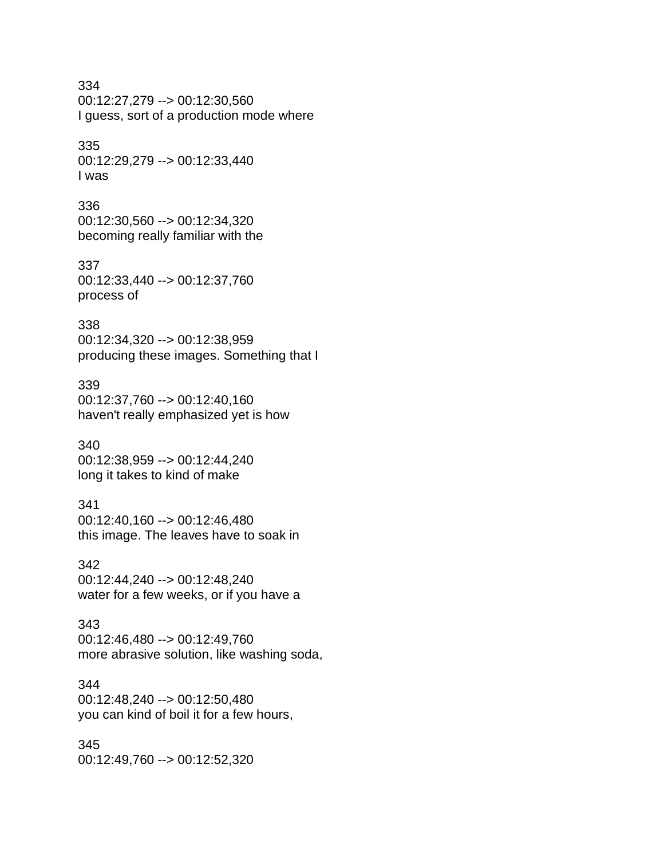## 334

00:12:27,279 --> 00:12:30,560 I guess, sort of a production mode where

#### 335

00:12:29,279 --> 00:12:33,440 I was

#### 336

00:12:30,560 --> 00:12:34,320 becoming really familiar with the

#### 337

00:12:33,440 --> 00:12:37,760 process of

#### 338

00:12:34,320 --> 00:12:38,959 producing these images. Something that I

#### 339

00:12:37,760 --> 00:12:40,160 haven't really emphasized yet is how

#### 340

00:12:38,959 --> 00:12:44,240 long it takes to kind of make

### 341

00:12:40,160 --> 00:12:46,480 this image. The leaves have to soak in

#### 342

00:12:44,240 --> 00:12:48,240 water for a few weeks, or if you have a

#### 343

00:12:46,480 --> 00:12:49,760 more abrasive solution, like washing soda,

#### 344

00:12:48,240 --> 00:12:50,480 you can kind of boil it for a few hours,

#### 345

00:12:49,760 --> 00:12:52,320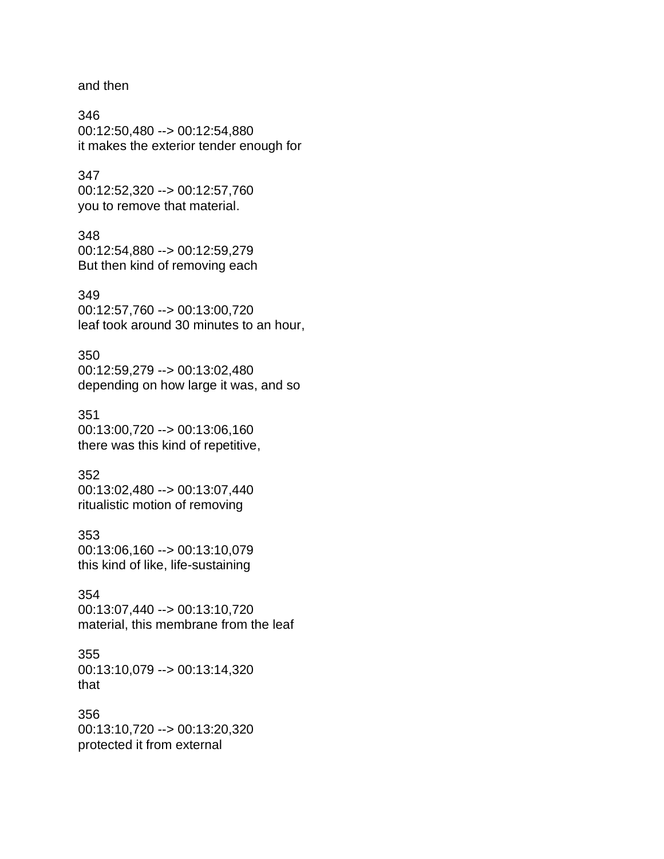and then

346 00:12:50,480 --> 00:12:54,880 it makes the exterior tender enough for

#### 347

00:12:52,320 --> 00:12:57,760 you to remove that material.

#### 348

00:12:54,880 --> 00:12:59,279 But then kind of removing each

#### 349

00:12:57,760 --> 00:13:00,720 leaf took around 30 minutes to an hour,

#### 350

00:12:59,279 --> 00:13:02,480 depending on how large it was, and so

#### 351

00:13:00,720 --> 00:13:06,160 there was this kind of repetitive,

#### 352

00:13:02,480 --> 00:13:07,440 ritualistic motion of removing

#### 353

00:13:06,160 --> 00:13:10,079 this kind of like, life-sustaining

#### 354

00:13:07,440 --> 00:13:10,720 material, this membrane from the leaf

# 355

00:13:10,079 --> 00:13:14,320 that

#### 356

00:13:10,720 --> 00:13:20,320 protected it from external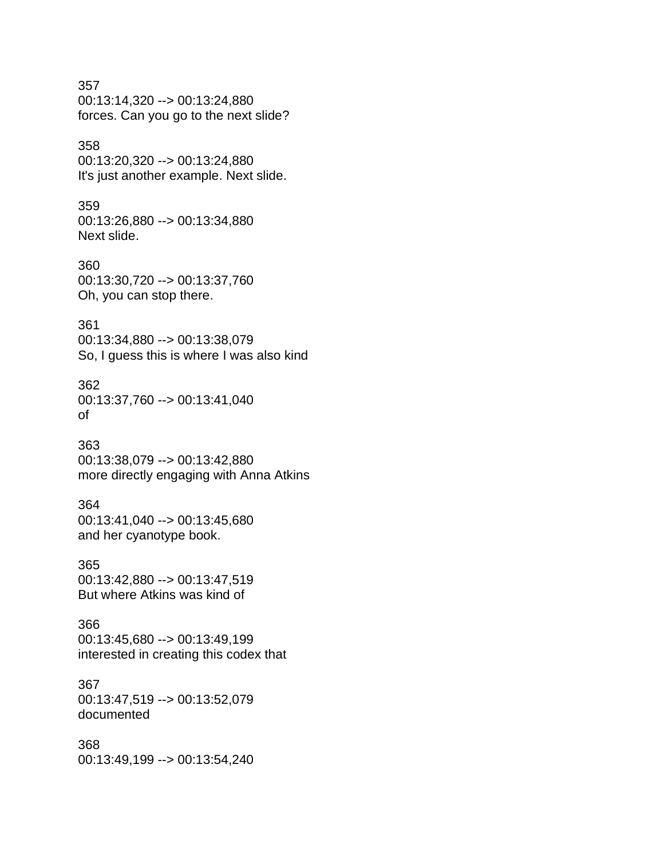#### 357

00:13:14,320 --> 00:13:24,880 forces. Can you go to the next slide?

#### 358

00:13:20,320 --> 00:13:24,880 It's just another example. Next slide.

#### 359

00:13:26,880 --> 00:13:34,880 Next slide.

#### 360 00:13:30,720 --> 00:13:37,760 Oh, you can stop there.

#### 361

00:13:34,880 --> 00:13:38,079 So, I guess this is where I was also kind

#### 362

00:13:37,760 --> 00:13:41,040 of

#### 363

00:13:38,079 --> 00:13:42,880 more directly engaging with Anna Atkins

#### 364

00:13:41,040 --> 00:13:45,680 and her cyanotype book.

#### 365

00:13:42,880 --> 00:13:47,519 But where Atkins was kind of

#### 366

00:13:45,680 --> 00:13:49,199 interested in creating this codex that

#### 367

00:13:47,519 --> 00:13:52,079 documented

#### 368

00:13:49,199 --> 00:13:54,240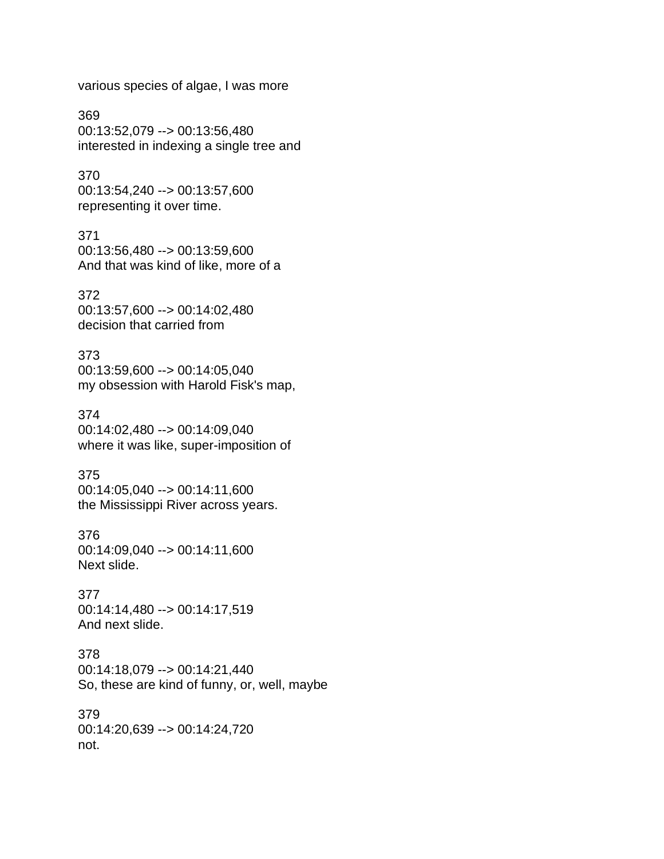various species of algae, I was more

369 00:13:52,079 --> 00:13:56,480 interested in indexing a single tree and

370 00:13:54,240 --> 00:13:57,600 representing it over time.

371 00:13:56,480 --> 00:13:59,600 And that was kind of like, more of a

372 00:13:57,600 --> 00:14:02,480 decision that carried from

373 00:13:59,600 --> 00:14:05,040 my obsession with Harold Fisk's map,

374 00:14:02,480 --> 00:14:09,040 where it was like, super-imposition of

375 00:14:05,040 --> 00:14:11,600 the Mississippi River across years.

376 00:14:09,040 --> 00:14:11,600 Next slide.

377 00:14:14,480 --> 00:14:17,519 And next slide.

378 00:14:18,079 --> 00:14:21,440 So, these are kind of funny, or, well, maybe

379 00:14:20,639 --> 00:14:24,720 not.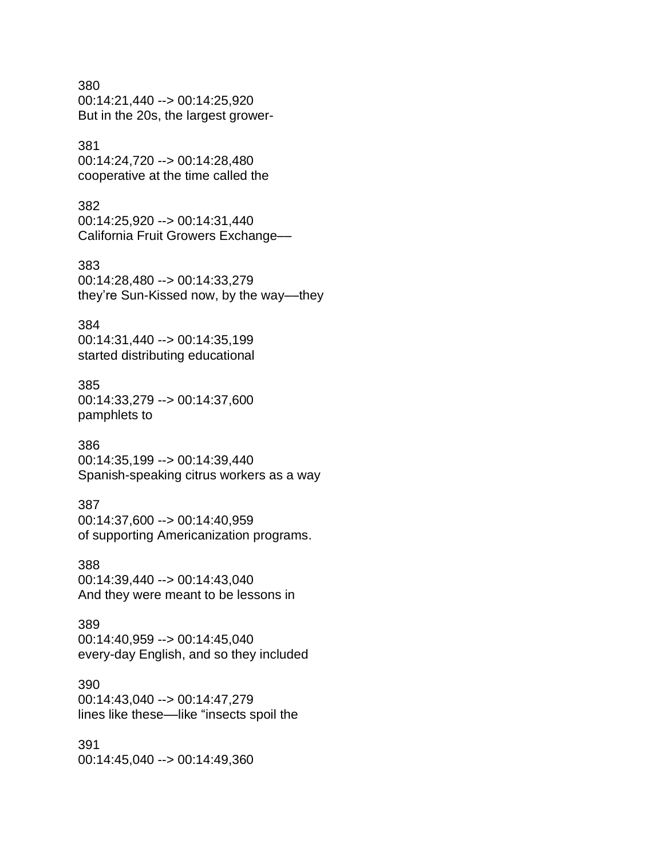#### 380

00:14:21,440 --> 00:14:25,920 But in the 20s, the largest grower-

#### 381

00:14:24,720 --> 00:14:28,480 cooperative at the time called the

#### 382

00:14:25,920 --> 00:14:31,440 California Fruit Growers Exchange––

#### 383

00:14:28,480 --> 00:14:33,279 they're Sun-Kissed now, by the way––they

#### 384

00:14:31,440 --> 00:14:35,199 started distributing educational

#### 385

00:14:33,279 --> 00:14:37,600 pamphlets to

#### 386

00:14:35,199 --> 00:14:39,440 Spanish-speaking citrus workers as a way

#### 387

00:14:37,600 --> 00:14:40,959 of supporting Americanization programs.

#### 388

00:14:39,440 --> 00:14:43,040 And they were meant to be lessons in

#### 389

00:14:40,959 --> 00:14:45,040 every-day English, and so they included

#### 390

00:14:43,040 --> 00:14:47,279 lines like these––like "insects spoil the

#### 391

00:14:45,040 --> 00:14:49,360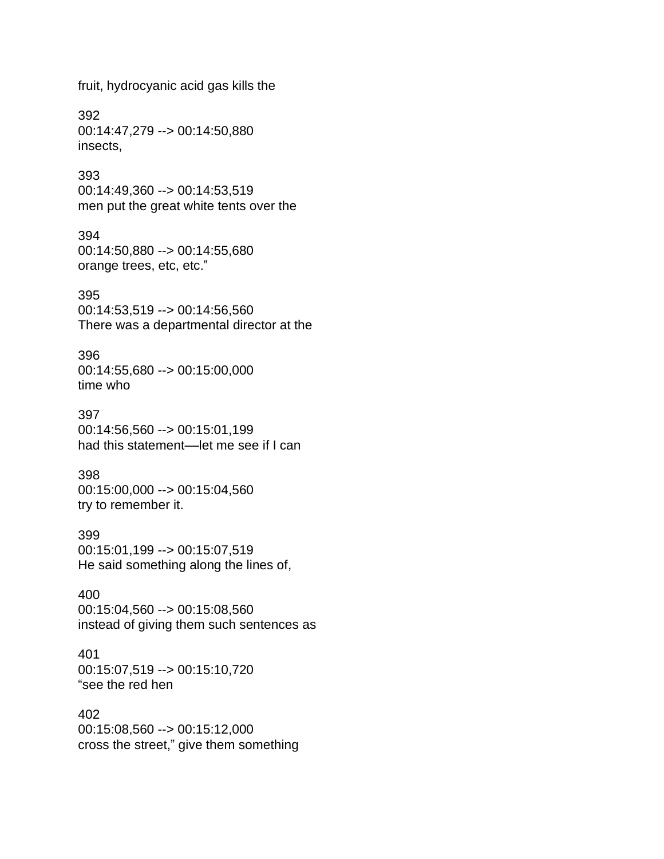fruit, hydrocyanic acid gas kills the

392 00:14:47,279 --> 00:14:50,880 insects,

393 00:14:49,360 --> 00:14:53,519 men put the great white tents over the

394 00:14:50,880 --> 00:14:55,680

orange trees, etc, etc."

395

00:14:53,519 --> 00:14:56,560 There was a departmental director at the

396

00:14:55,680 --> 00:15:00,000 time who

397

00:14:56,560 --> 00:15:01,199 had this statement––let me see if I can

398 00:15:00,000 --> 00:15:04,560 try to remember it.

399 00:15:01,199 --> 00:15:07,519 He said something along the lines of,

400 00:15:04,560 --> 00:15:08,560 instead of giving them such sentences as

401 00:15:07,519 --> 00:15:10,720 "see the red hen

402 00:15:08,560 --> 00:15:12,000 cross the street," give them something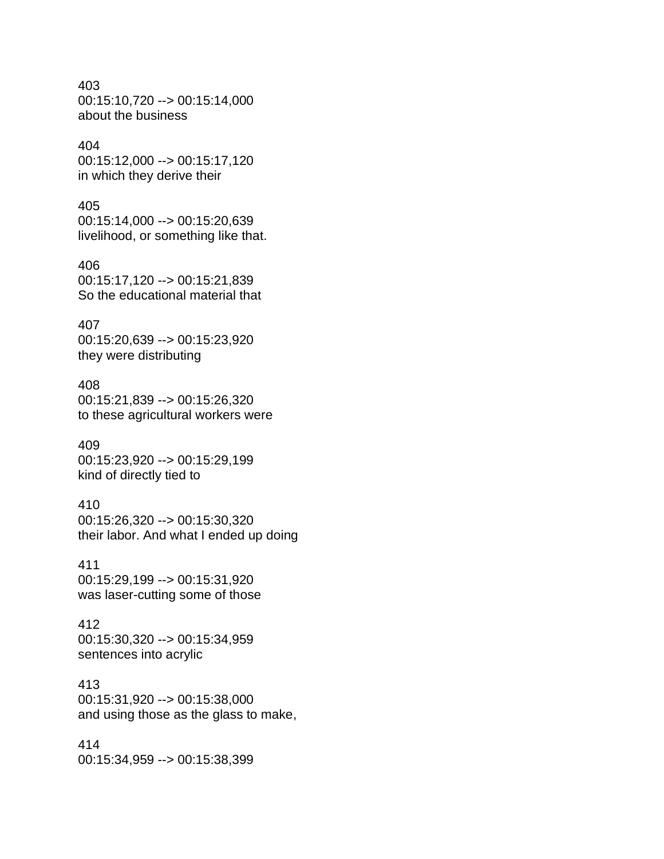403 00:15:10,720 --> 00:15:14,000 about the business

#### 404 00:15:12,000 --> 00:15:17,120 in which they derive their

405 00:15:14,000 --> 00:15:20,639 livelihood, or something like that.

406 00:15:17,120 --> 00:15:21,839 So the educational material that

### 407 00:15:20,639 --> 00:15:23,920 they were distributing

408 00:15:21,839 --> 00:15:26,320 to these agricultural workers were

409 00:15:23,920 --> 00:15:29,199 kind of directly tied to

## 410

00:15:26,320 --> 00:15:30,320 their labor. And what I ended up doing

## 411

00:15:29,199 --> 00:15:31,920 was laser-cutting some of those

## 412

00:15:30,320 --> 00:15:34,959 sentences into acrylic

### 413

00:15:31,920 --> 00:15:38,000 and using those as the glass to make,

414 00:15:34,959 --> 00:15:38,399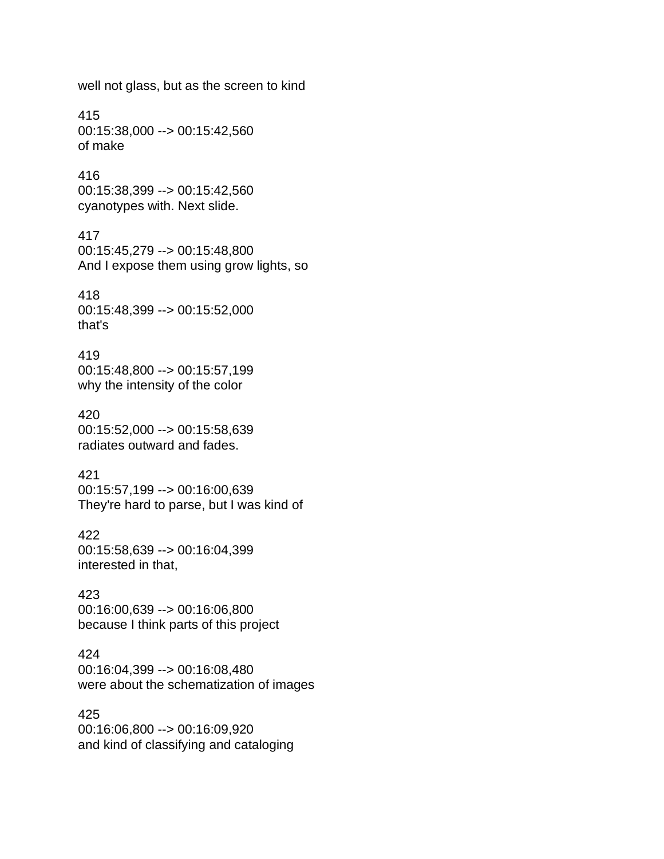well not glass, but as the screen to kind

415 00:15:38,000 --> 00:15:42,560 of make

416 00:15:38,399 --> 00:15:42,560 cyanotypes with. Next slide.

417 00:15:45,279 --> 00:15:48,800 And I expose them using grow lights, so

418 00:15:48,399 --> 00:15:52,000 that's

419 00:15:48,800 --> 00:15:57,199 why the intensity of the color

420 00:15:52,000 --> 00:15:58,639 radiates outward and fades.

421 00:15:57,199 --> 00:16:00,639 They're hard to parse, but I was kind of

422 00:15:58,639 --> 00:16:04,399 interested in that,

423 00:16:00,639 --> 00:16:06,800 because I think parts of this project

424 00:16:04,399 --> 00:16:08,480 were about the schematization of images

425 00:16:06,800 --> 00:16:09,920 and kind of classifying and cataloging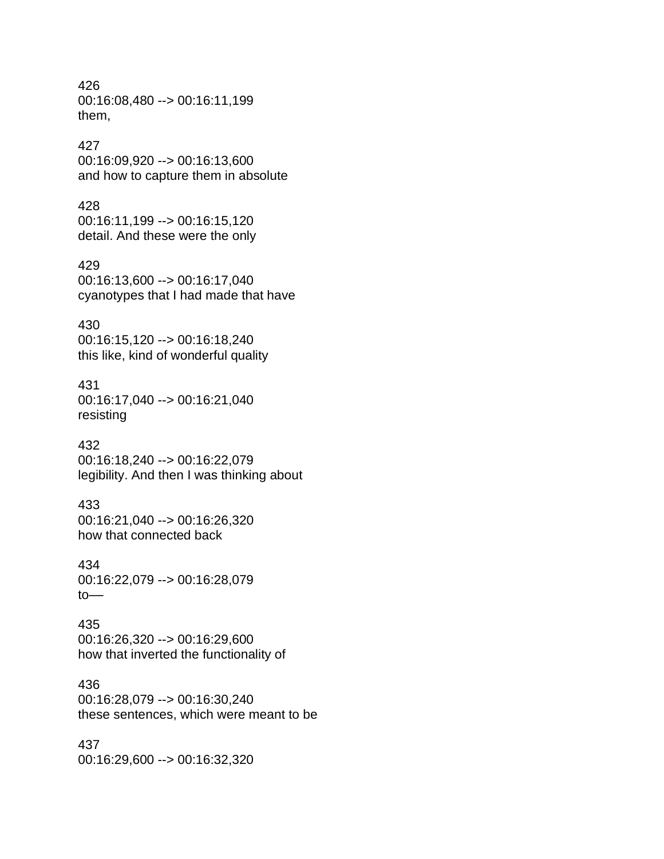426 00:16:08,480 --> 00:16:11,199 them,

#### 427

00:16:09,920 --> 00:16:13,600 and how to capture them in absolute

#### 428

00:16:11,199 --> 00:16:15,120 detail. And these were the only

#### 429

00:16:13,600 --> 00:16:17,040 cyanotypes that I had made that have

#### 430

00:16:15,120 --> 00:16:18,240 this like, kind of wonderful quality

## 431

00:16:17,040 --> 00:16:21,040 resisting

#### 432

00:16:18,240 --> 00:16:22,079 legibility. And then I was thinking about

#### 433

00:16:21,040 --> 00:16:26,320 how that connected back

#### 434

00:16:22,079 --> 00:16:28,079 to––

#### 435

00:16:26,320 --> 00:16:29,600 how that inverted the functionality of

#### 436

00:16:28,079 --> 00:16:30,240 these sentences, which were meant to be

#### 437

00:16:29,600 --> 00:16:32,320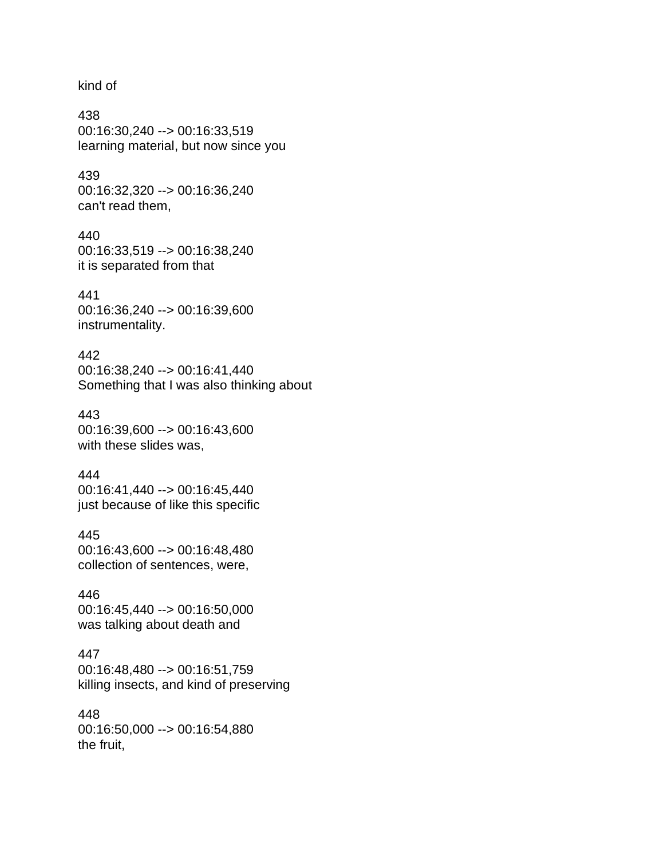kind of

438 00:16:30,240 --> 00:16:33,519 learning material, but now since you

439 00:16:32,320 --> 00:16:36,240 can't read them,

440 00:16:33,519 --> 00:16:38,240 it is separated from that

441 00:16:36,240 --> 00:16:39,600 instrumentality.

442 00:16:38,240 --> 00:16:41,440 Something that I was also thinking about

443 00:16:39,600 --> 00:16:43,600 with these slides was,

444 00:16:41,440 --> 00:16:45,440 just because of like this specific

445 00:16:43,600 --> 00:16:48,480 collection of sentences, were,

446 00:16:45,440 --> 00:16:50,000 was talking about death and

447 00:16:48,480 --> 00:16:51,759 killing insects, and kind of preserving

448 00:16:50,000 --> 00:16:54,880 the fruit,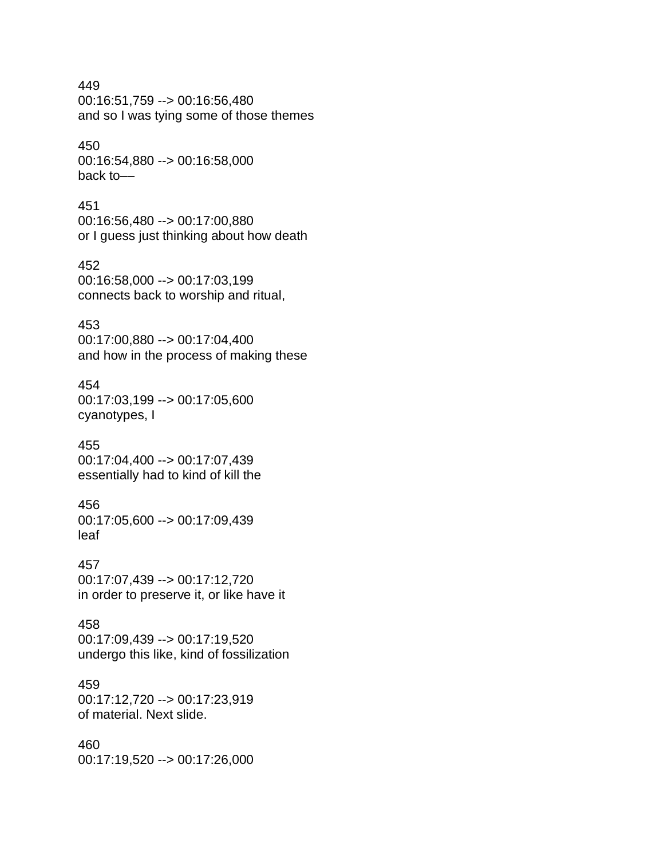# 449 00:16:51,759 --> 00:16:56,480 and so I was tying some of those themes

# 450 00:16:54,880 --> 00:16:58,000 back to––

# 451

00:16:56,480 --> 00:17:00,880 or I guess just thinking about how death

# 452

00:16:58,000 --> 00:17:03,199 connects back to worship and ritual,

# 453

00:17:00,880 --> 00:17:04,400 and how in the process of making these

# 454

00:17:03,199 --> 00:17:05,600 cyanotypes, I

# 455

00:17:04,400 --> 00:17:07,439 essentially had to kind of kill the

# 456

00:17:05,600 --> 00:17:09,439 leaf

# 457

00:17:07,439 --> 00:17:12,720 in order to preserve it, or like have it

# 458

00:17:09,439 --> 00:17:19,520 undergo this like, kind of fossilization

# 459

00:17:12,720 --> 00:17:23,919 of material. Next slide.

# 460

00:17:19,520 --> 00:17:26,000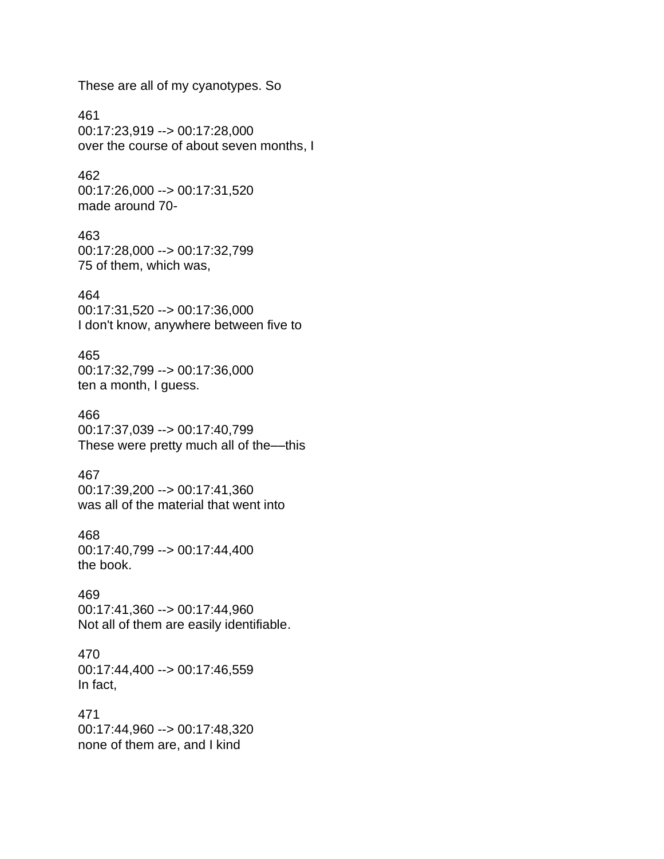These are all of my cyanotypes. So

461 00:17:23,919 --> 00:17:28,000 over the course of about seven months, I

462 00:17:26,000 --> 00:17:31,520 made around 70-

463 00:17:28,000 --> 00:17:32,799 75 of them, which was,

464

00:17:31,520 --> 00:17:36,000 I don't know, anywhere between five to

465

00:17:32,799 --> 00:17:36,000 ten a month, I guess.

#### 466

00:17:37,039 --> 00:17:40,799 These were pretty much all of the––this

# 467

00:17:39,200 --> 00:17:41,360 was all of the material that went into

468

00:17:40,799 --> 00:17:44,400 the book.

#### 469

00:17:41,360 --> 00:17:44,960 Not all of them are easily identifiable.

470 00:17:44,400 --> 00:17:46,559 In fact,

471

00:17:44,960 --> 00:17:48,320 none of them are, and I kind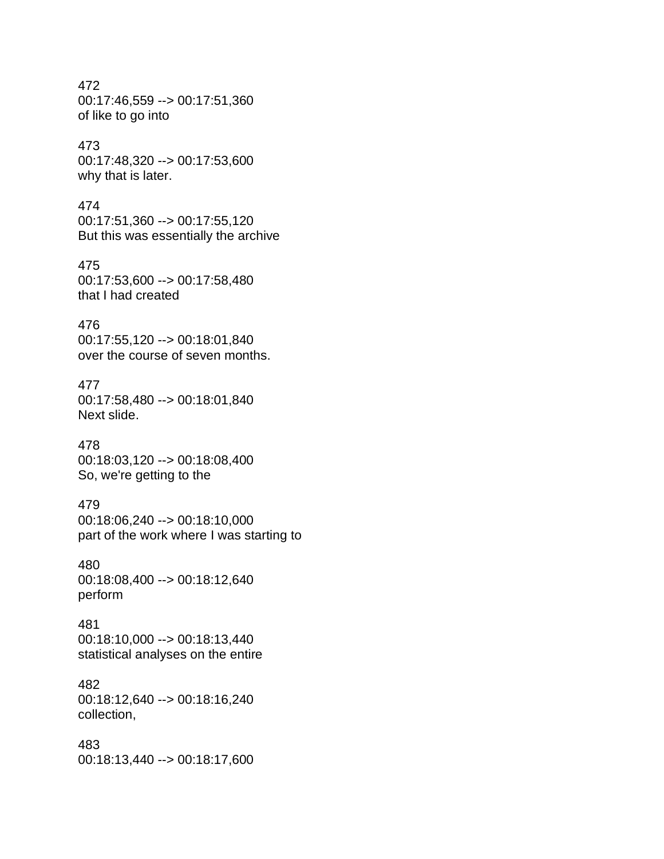# 472 00:17:46,559 --> 00:17:51,360 of like to go into

# 473

00:17:48,320 --> 00:17:53,600 why that is later.

## 474

00:17:51,360 --> 00:17:55,120 But this was essentially the archive

## 475 00:17:53,600 --> 00:17:58,480 that I had created

# 476

00:17:55,120 --> 00:18:01,840 over the course of seven months.

# 477

00:17:58,480 --> 00:18:01,840 Next slide.

# 478

00:18:03,120 --> 00:18:08,400 So, we're getting to the

# 479

00:18:06,240 --> 00:18:10,000 part of the work where I was starting to

# 480

00:18:08,400 --> 00:18:12,640 perform

# 481

00:18:10,000 --> 00:18:13,440 statistical analyses on the entire

# 482

00:18:12,640 --> 00:18:16,240 collection,

# 483

00:18:13,440 --> 00:18:17,600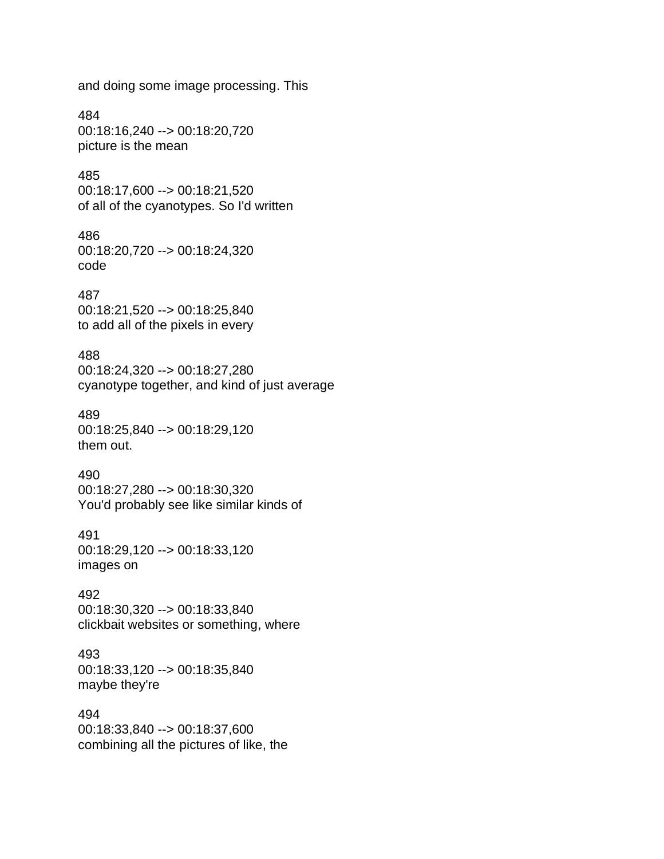and doing some image processing. This

484

00:18:16,240 --> 00:18:20,720 picture is the mean

#### 485

00:18:17,600 --> 00:18:21,520 of all of the cyanotypes. So I'd written

#### 486

00:18:20,720 --> 00:18:24,320 code

#### 487

00:18:21,520 --> 00:18:25,840 to add all of the pixels in every

#### 488

00:18:24,320 --> 00:18:27,280 cyanotype together, and kind of just average

#### 489

00:18:25,840 --> 00:18:29,120 them out.

#### 490

00:18:27,280 --> 00:18:30,320 You'd probably see like similar kinds of

#### 491

00:18:29,120 --> 00:18:33,120 images on

#### 492

00:18:30,320 --> 00:18:33,840 clickbait websites or something, where

# 493

00:18:33,120 --> 00:18:35,840 maybe they're

#### 494

00:18:33,840 --> 00:18:37,600 combining all the pictures of like, the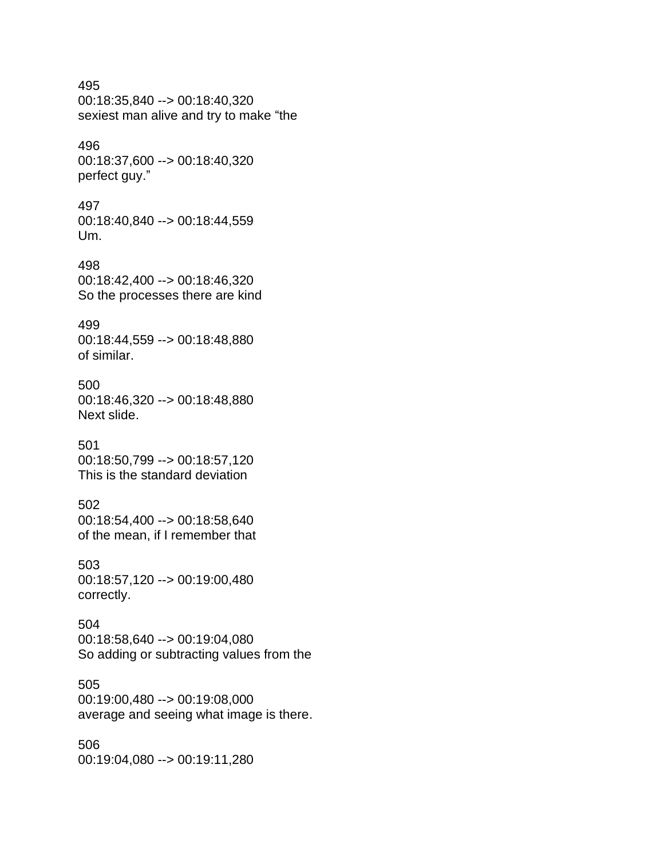# 495 00:18:35,840 --> 00:18:40,320 sexiest man alive and try to make "the

# 496

00:18:37,600 --> 00:18:40,320 perfect guy."

# 497

00:18:40,840 --> 00:18:44,559 Um.

# 498 00:18:42,400 --> 00:18:46,320 So the processes there are kind

# 499

00:18:44,559 --> 00:18:48,880 of similar.

# 500

00:18:46,320 --> 00:18:48,880 Next slide.

# 501

00:18:50,799 --> 00:18:57,120 This is the standard deviation

# 502

00:18:54,400 --> 00:18:58,640 of the mean, if I remember that

# 503

00:18:57,120 --> 00:19:00,480 correctly.

# 504

00:18:58,640 --> 00:19:04,080 So adding or subtracting values from the

# 505

00:19:00,480 --> 00:19:08,000 average and seeing what image is there.

# 506 00:19:04,080 --> 00:19:11,280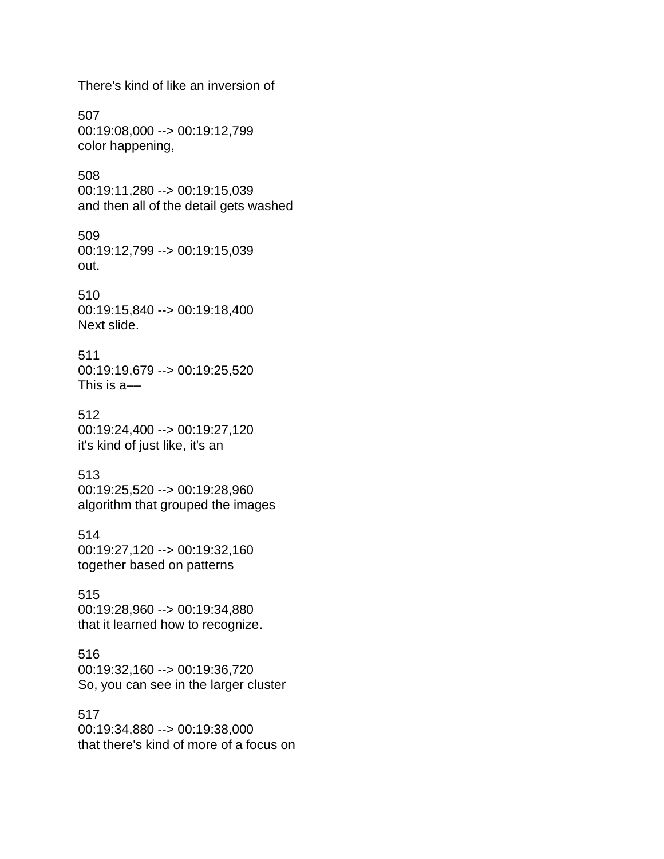There's kind of like an inversion of

507 00:19:08,000 --> 00:19:12,799 color happening,

508 00:19:11,280 --> 00:19:15,039 and then all of the detail gets washed

509 00:19:12,799 --> 00:19:15,039 out.

510 00:19:15,840 --> 00:19:18,400 Next slide.

511 00:19:19,679 --> 00:19:25,520 This is a––

512 00:19:24,400 --> 00:19:27,120 it's kind of just like, it's an

513 00:19:25,520 --> 00:19:28,960 algorithm that grouped the images

514 00:19:27,120 --> 00:19:32,160 together based on patterns

515 00:19:28,960 --> 00:19:34,880 that it learned how to recognize.

516 00:19:32,160 --> 00:19:36,720 So, you can see in the larger cluster

517 00:19:34,880 --> 00:19:38,000 that there's kind of more of a focus on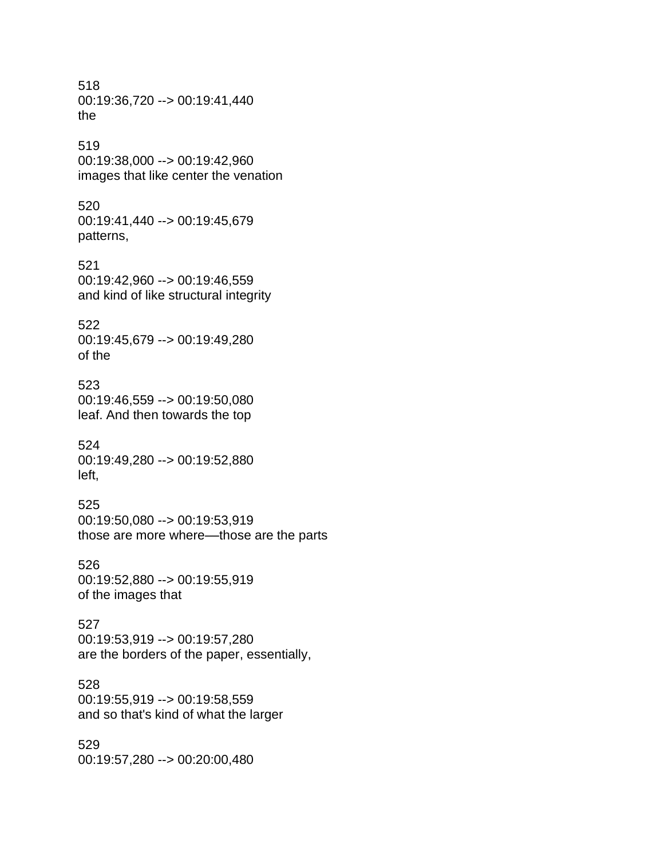518 00:19:36,720 --> 00:19:41,440 the 519 00:19:38,000 --> 00:19:42,960 images that like center the venation

520 00:19:41,440 --> 00:19:45,679 patterns,

521 00:19:42,960 --> 00:19:46,559 and kind of like structural integrity

522 00:19:45,679 --> 00:19:49,280 of the

523 00:19:46,559 --> 00:19:50,080 leaf. And then towards the top

524 00:19:49,280 --> 00:19:52,880 left,

525 00:19:50,080 --> 00:19:53,919 those are more where––those are the parts

526 00:19:52,880 --> 00:19:55,919 of the images that

527 00:19:53,919 --> 00:19:57,280 are the borders of the paper, essentially,

528 00:19:55,919 --> 00:19:58,559 and so that's kind of what the larger

529 00:19:57,280 --> 00:20:00,480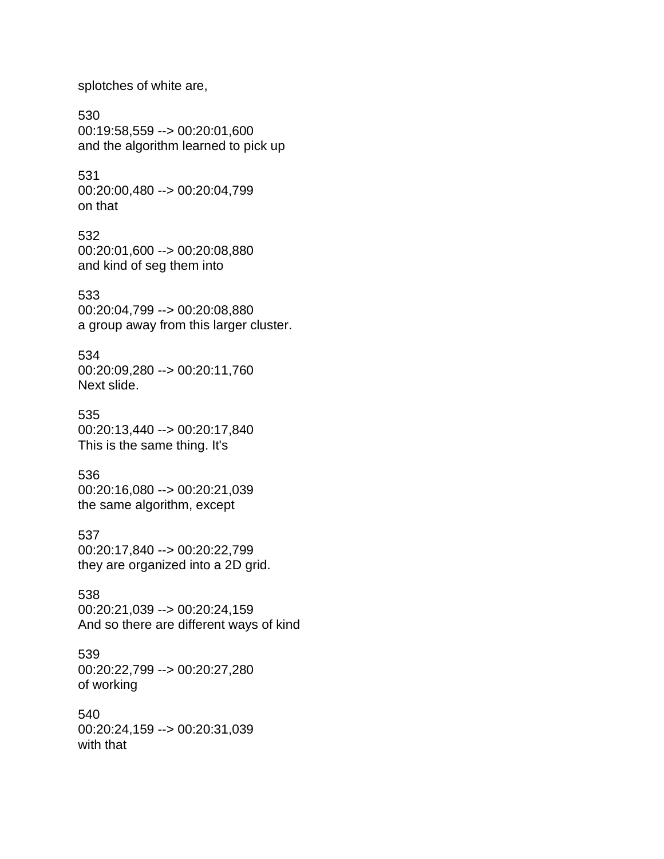splotches of white are,

530 00:19:58,559 --> 00:20:01,600 and the algorithm learned to pick up

531 00:20:00,480 --> 00:20:04,799 on that

532 00:20:01,600 --> 00:20:08,880 and kind of seg them into

533 00:20:04,799 --> 00:20:08,880 a group away from this larger cluster.

534 00:20:09,280 --> 00:20:11,760 Next slide.

535 00:20:13,440 --> 00:20:17,840 This is the same thing. It's

536 00:20:16,080 --> 00:20:21,039 the same algorithm, except

537 00:20:17,840 --> 00:20:22,799 they are organized into a 2D grid.

538 00:20:21,039 --> 00:20:24,159 And so there are different ways of kind

539 00:20:22,799 --> 00:20:27,280 of working

540 00:20:24,159 --> 00:20:31,039 with that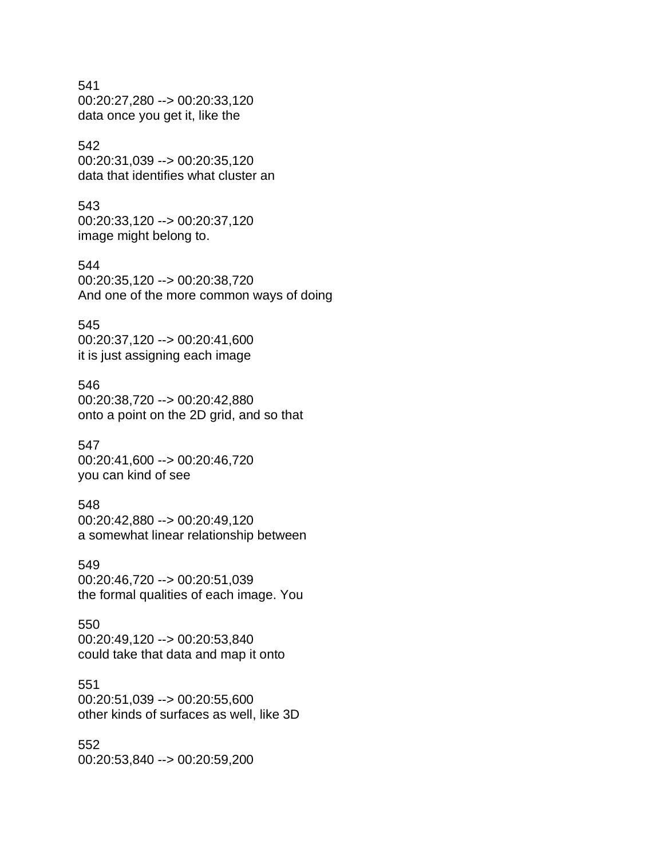# 541

00:20:27,280 --> 00:20:33,120 data once you get it, like the

# 542

00:20:31,039 --> 00:20:35,120 data that identifies what cluster an

# 543

00:20:33,120 --> 00:20:37,120 image might belong to.

## 544

00:20:35,120 --> 00:20:38,720 And one of the more common ways of doing

### 545

00:20:37,120 --> 00:20:41,600 it is just assigning each image

#### 546

00:20:38,720 --> 00:20:42,880 onto a point on the 2D grid, and so that

#### 547

00:20:41,600 --> 00:20:46,720 you can kind of see

#### 548

00:20:42,880 --> 00:20:49,120 a somewhat linear relationship between

# 549

00:20:46,720 --> 00:20:51,039 the formal qualities of each image. You

#### 550 00:20:49,120 --> 00:20:53,840 could take that data and map it onto

# 551

00:20:51,039 --> 00:20:55,600 other kinds of surfaces as well, like 3D

#### 552 00:20:53,840 --> 00:20:59,200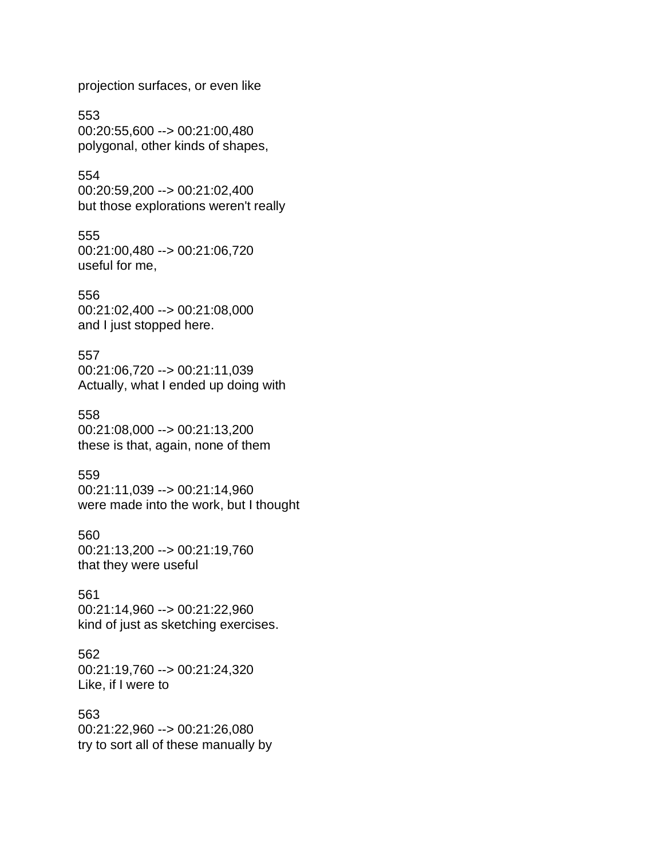projection surfaces, or even like

553 00:20:55,600 --> 00:21:00,480 polygonal, other kinds of shapes,

554 00:20:59,200 --> 00:21:02,400 but those explorations weren't really

555 00:21:00,480 --> 00:21:06,720 useful for me,

556 00:21:02,400 --> 00:21:08,000 and I just stopped here.

557 00:21:06,720 --> 00:21:11,039 Actually, what I ended up doing with

558 00:21:08,000 --> 00:21:13,200 these is that, again, none of them

559 00:21:11,039 --> 00:21:14,960 were made into the work, but I thought

560 00:21:13,200 --> 00:21:19,760 that they were useful

561 00:21:14,960 --> 00:21:22,960 kind of just as sketching exercises.

562 00:21:19,760 --> 00:21:24,320 Like, if I were to

563 00:21:22,960 --> 00:21:26,080 try to sort all of these manually by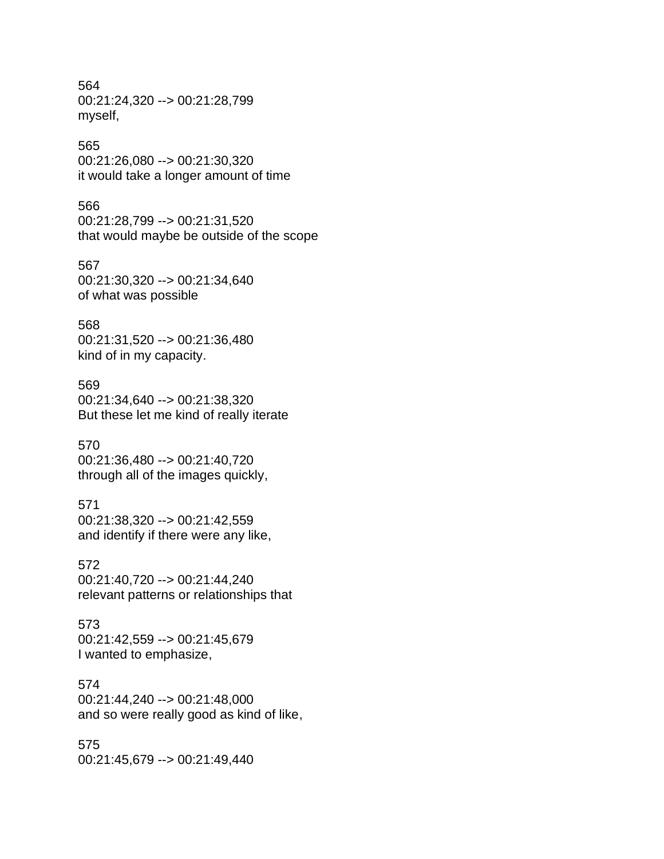564 00:21:24,320 --> 00:21:28,799 myself,

#### 565

00:21:26,080 --> 00:21:30,320 it would take a longer amount of time

#### 566

00:21:28,799 --> 00:21:31,520 that would maybe be outside of the scope

# 567

00:21:30,320 --> 00:21:34,640 of what was possible

#### 568

00:21:31,520 --> 00:21:36,480 kind of in my capacity.

#### 569

00:21:34,640 --> 00:21:38,320 But these let me kind of really iterate

#### 570

00:21:36,480 --> 00:21:40,720 through all of the images quickly,

#### 571

00:21:38,320 --> 00:21:42,559 and identify if there were any like,

## 572

00:21:40,720 --> 00:21:44,240 relevant patterns or relationships that

573 00:21:42,559 --> 00:21:45,679 I wanted to emphasize,

#### 574

00:21:44,240 --> 00:21:48,000 and so were really good as kind of like,

# 575

00:21:45,679 --> 00:21:49,440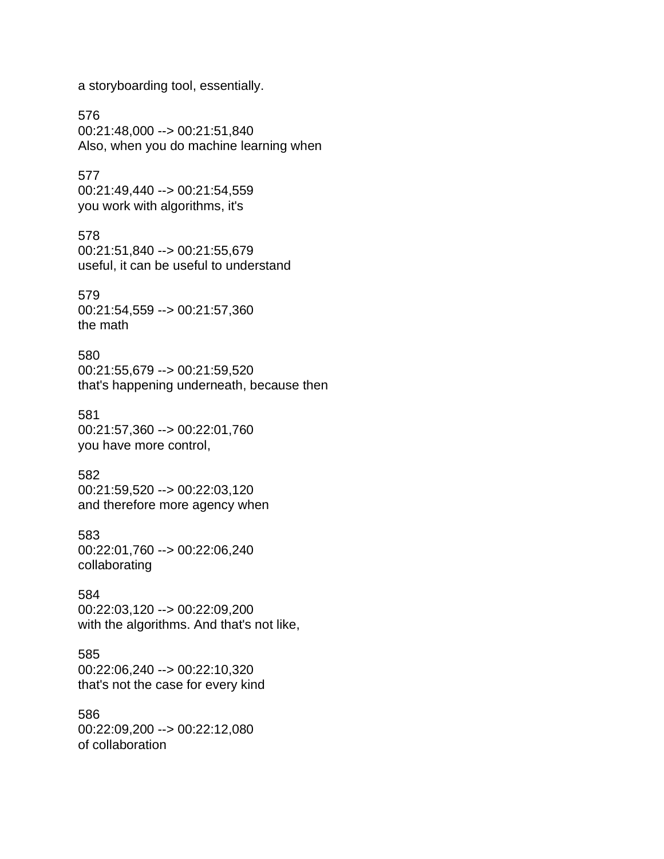a storyboarding tool, essentially.

576 00:21:48,000 --> 00:21:51,840 Also, when you do machine learning when

577 00:21:49,440 --> 00:21:54,559 you work with algorithms, it's

578 00:21:51,840 --> 00:21:55,679 useful, it can be useful to understand

579 00:21:54,559 --> 00:21:57,360 the math

580 00:21:55,679 --> 00:21:59,520 that's happening underneath, because then

581 00:21:57,360 --> 00:22:01,760 you have more control,

582 00:21:59,520 --> 00:22:03,120 and therefore more agency when

583 00:22:01,760 --> 00:22:06,240 collaborating

584 00:22:03,120 --> 00:22:09,200 with the algorithms. And that's not like,

585 00:22:06,240 --> 00:22:10,320 that's not the case for every kind

586 00:22:09,200 --> 00:22:12,080 of collaboration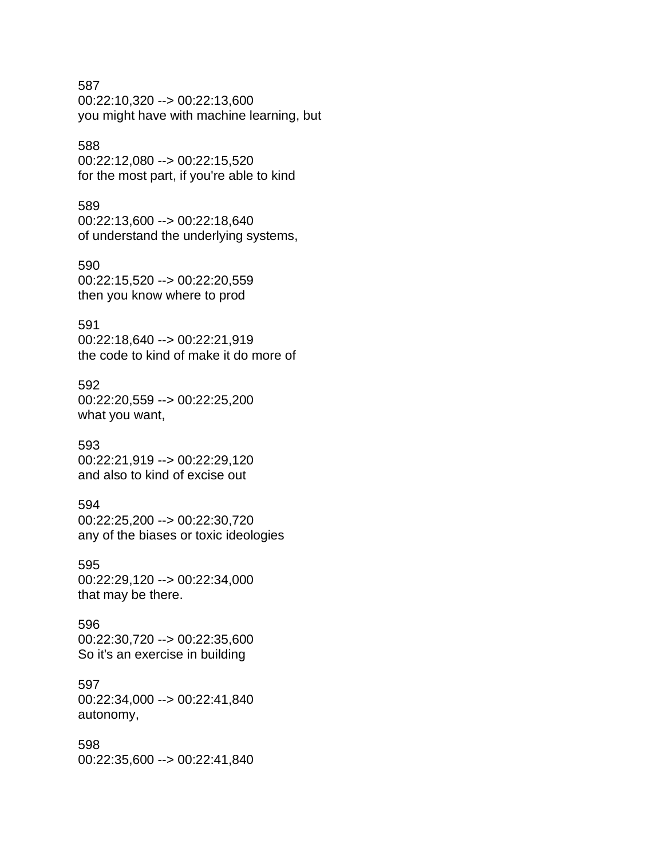#### 587

00:22:10,320 --> 00:22:13,600 you might have with machine learning, but

## 588

00:22:12,080 --> 00:22:15,520 for the most part, if you're able to kind

#### 589

00:22:13,600 --> 00:22:18,640 of understand the underlying systems,

# 590

00:22:15,520 --> 00:22:20,559 then you know where to prod

# 591

00:22:18,640 --> 00:22:21,919 the code to kind of make it do more of

### 592

00:22:20,559 --> 00:22:25,200 what you want,

#### 593

00:22:21,919 --> 00:22:29,120 and also to kind of excise out

# 594

00:22:25,200 --> 00:22:30,720 any of the biases or toxic ideologies

## 595

00:22:29,120 --> 00:22:34,000 that may be there.

### 596 00:22:30,720 --> 00:22:35,600 So it's an exercise in building

# 597

00:22:34,000 --> 00:22:41,840 autonomy,

#### 598

00:22:35,600 --> 00:22:41,840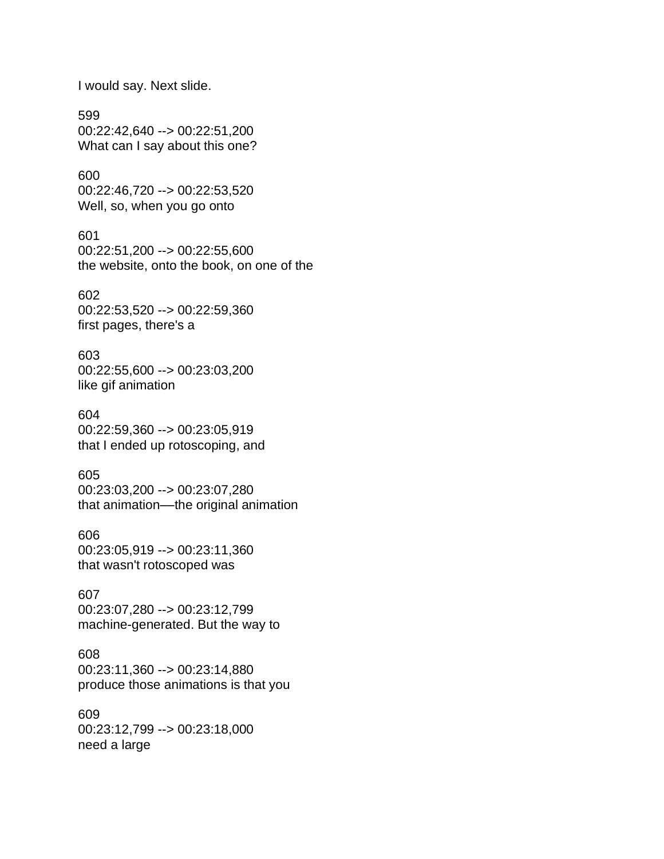I would say. Next slide.

599 00:22:42,640 --> 00:22:51,200 What can I say about this one?

600 00:22:46,720 --> 00:22:53,520 Well, so, when you go onto

601 00:22:51,200 --> 00:22:55,600 the website, onto the book, on one of the

602 00:22:53,520 --> 00:22:59,360 first pages, there's a

603 00:22:55,600 --> 00:23:03,200 like gif animation

604 00:22:59,360 --> 00:23:05,919 that I ended up rotoscoping, and

605 00:23:03,200 --> 00:23:07,280 that animation––the original animation

606 00:23:05,919 --> 00:23:11,360 that wasn't rotoscoped was

607 00:23:07,280 --> 00:23:12,799 machine-generated. But the way to

608 00:23:11,360 --> 00:23:14,880 produce those animations is that you

609 00:23:12,799 --> 00:23:18,000 need a large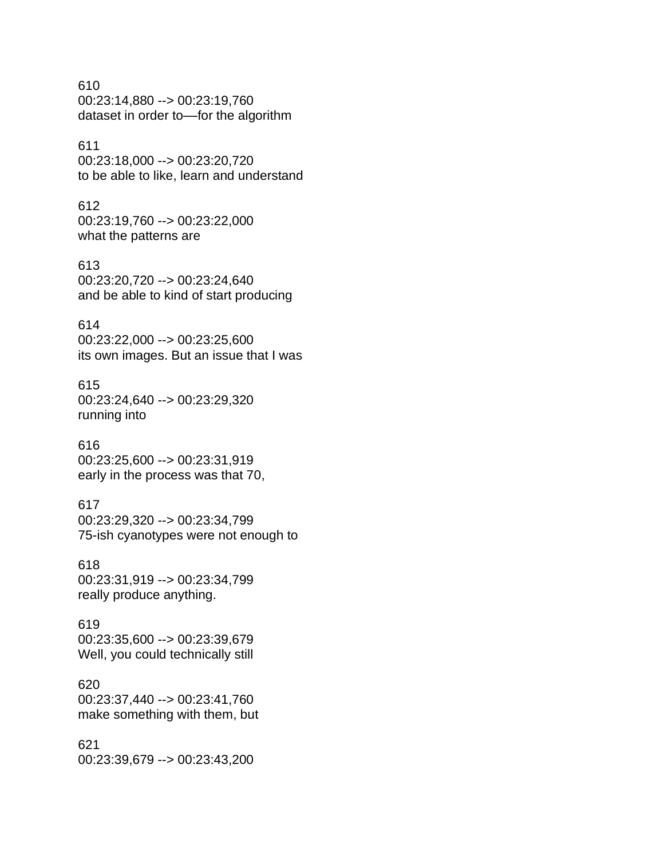610 00:23:14,880 --> 00:23:19,760 dataset in order to-for the algorithm

# 611

00:23:18,000 --> 00:23:20,720 to be able to like, learn and understand

## 612

00:23:19,760 --> 00:23:22,000 what the patterns are

#### 613

00:23:20,720 --> 00:23:24,640 and be able to kind of start producing

# 614

00:23:22,000 --> 00:23:25,600 its own images. But an issue that I was

# 615

00:23:24,640 --> 00:23:29,320 running into

# 616

00:23:25,600 --> 00:23:31,919 early in the process was that 70,

# 617

00:23:29,320 --> 00:23:34,799 75-ish cyanotypes were not enough to

#### 618

00:23:31,919 --> 00:23:34,799 really produce anything.

# 619

00:23:35,600 --> 00:23:39,679 Well, you could technically still

# 620

00:23:37,440 --> 00:23:41,760 make something with them, but

621 00:23:39,679 --> 00:23:43,200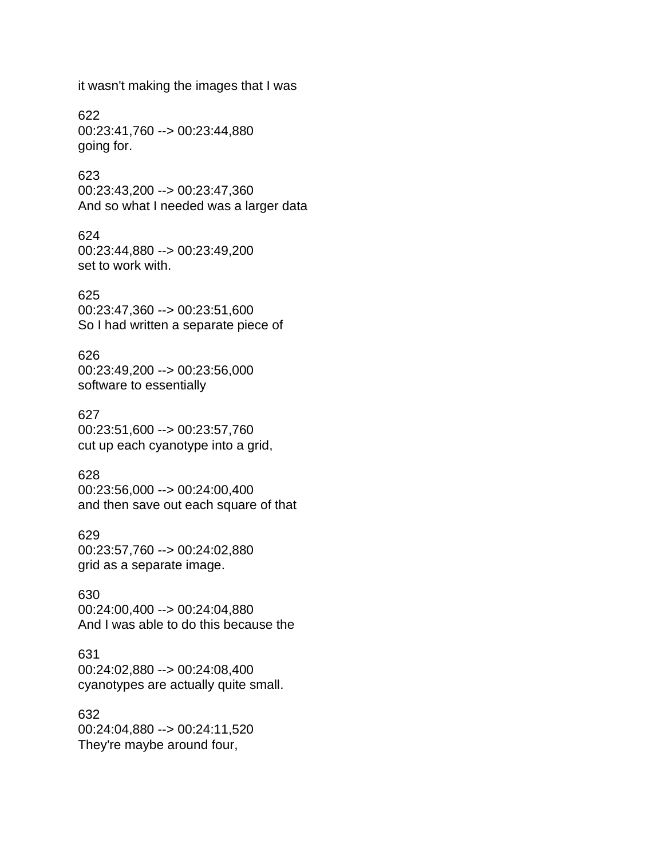it wasn't making the images that I was

622 00:23:41,760 --> 00:23:44,880 going for.

623 00:23:43,200 --> 00:23:47,360 And so what I needed was a larger data

624 00:23:44,880 --> 00:23:49,200 set to work with.

625 00:23:47,360 --> 00:23:51,600 So I had written a separate piece of

626 00:23:49,200 --> 00:23:56,000 software to essentially

627 00:23:51,600 --> 00:23:57,760 cut up each cyanotype into a grid,

628 00:23:56,000 --> 00:24:00,400 and then save out each square of that

629 00:23:57,760 --> 00:24:02,880 grid as a separate image.

630 00:24:00,400 --> 00:24:04,880 And I was able to do this because the

631 00:24:02,880 --> 00:24:08,400 cyanotypes are actually quite small.

632 00:24:04,880 --> 00:24:11,520 They're maybe around four,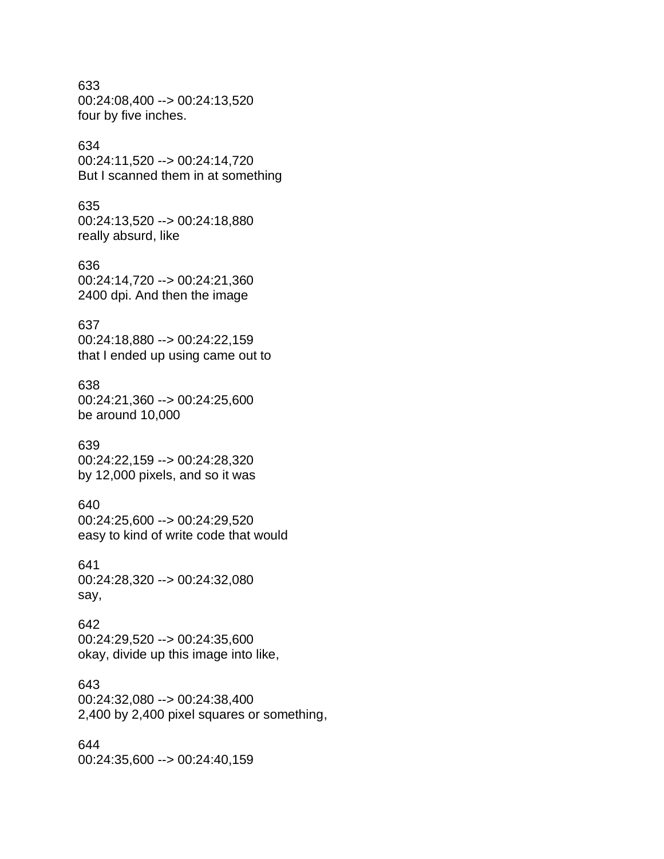633 00:24:08,400 --> 00:24:13,520 four by five inches.

## 634

00:24:11,520 --> 00:24:14,720 But I scanned them in at something

#### 635

00:24:13,520 --> 00:24:18,880 really absurd, like

#### 636

00:24:14,720 --> 00:24:21,360 2400 dpi. And then the image

#### 637

00:24:18,880 --> 00:24:22,159 that I ended up using came out to

#### 638

00:24:21,360 --> 00:24:25,600 be around 10,000

#### 639

00:24:22,159 --> 00:24:28,320 by 12,000 pixels, and so it was

#### 640

00:24:25,600 --> 00:24:29,520 easy to kind of write code that would

#### 641

00:24:28,320 --> 00:24:32,080 say,

#### 642

00:24:29,520 --> 00:24:35,600 okay, divide up this image into like,

#### 643

00:24:32,080 --> 00:24:38,400 2,400 by 2,400 pixel squares or something,

#### 644

00:24:35,600 --> 00:24:40,159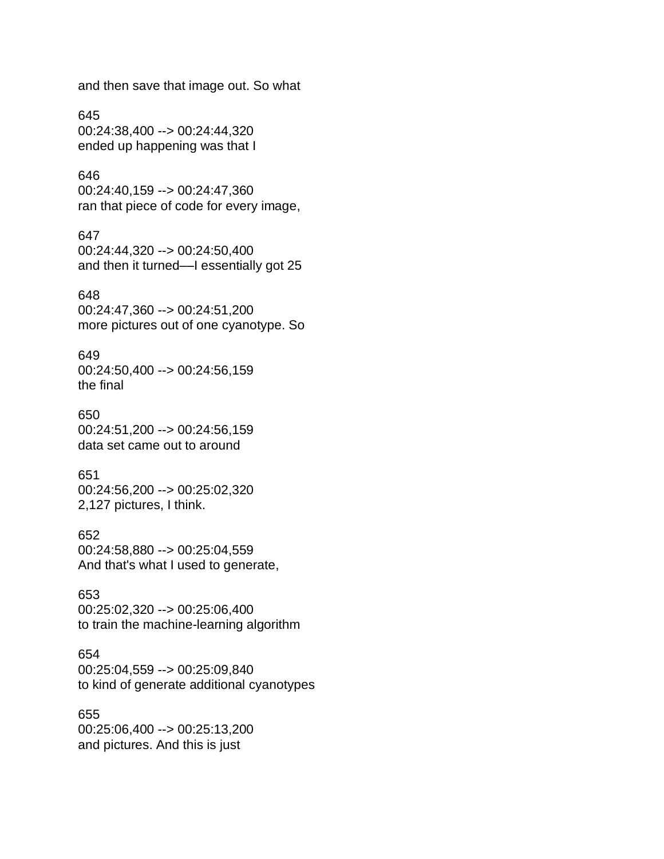and then save that image out. So what

645 00:24:38,400 --> 00:24:44,320 ended up happening was that I

## 646

00:24:40,159 --> 00:24:47,360 ran that piece of code for every image,

#### 647

00:24:44,320 --> 00:24:50,400 and then it turned––I essentially got 25

#### 648

00:24:47,360 --> 00:24:51,200 more pictures out of one cyanotype. So

#### 649

00:24:50,400 --> 00:24:56,159 the final

#### 650

00:24:51,200 --> 00:24:56,159 data set came out to around

# 651

00:24:56,200 --> 00:25:02,320 2,127 pictures, I think.

#### 652

00:24:58,880 --> 00:25:04,559 And that's what I used to generate,

#### 653

00:25:02,320 --> 00:25:06,400 to train the machine-learning algorithm

## 654

00:25:04,559 --> 00:25:09,840 to kind of generate additional cyanotypes

#### 655

00:25:06,400 --> 00:25:13,200 and pictures. And this is just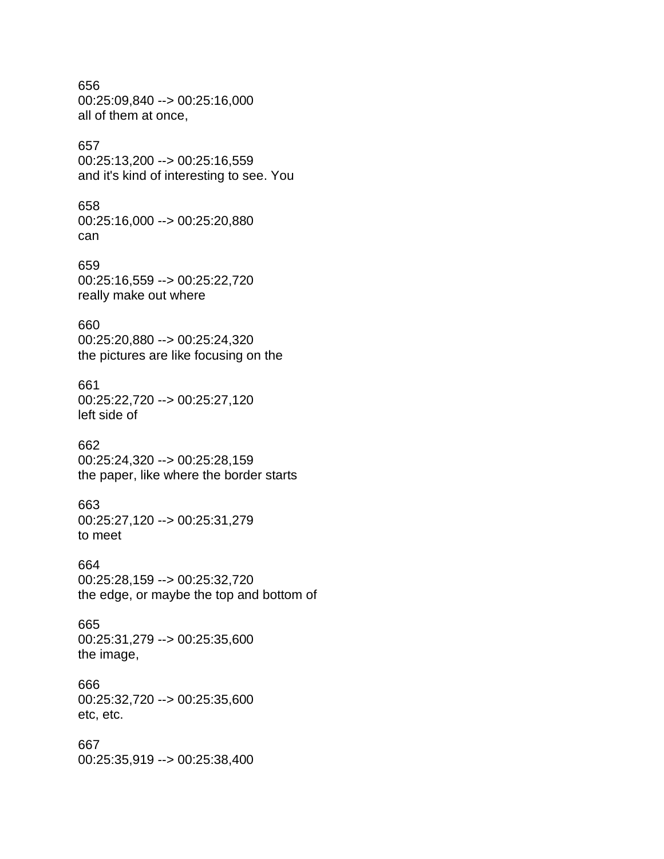## 656 00:25:09,840 --> 00:25:16,000 all of them at once,

# 657

00:25:13,200 --> 00:25:16,559 and it's kind of interesting to see. You

#### 658

00:25:16,000 --> 00:25:20,880 can

### 659 00:25:16,559 --> 00:25:22,720 really make out where

#### 660

00:25:20,880 --> 00:25:24,320 the pictures are like focusing on the

#### 661

00:25:22,720 --> 00:25:27,120 left side of

#### 662

00:25:24,320 --> 00:25:28,159 the paper, like where the border starts

#### 663

00:25:27,120 --> 00:25:31,279 to meet

#### 664

00:25:28,159 --> 00:25:32,720 the edge, or maybe the top and bottom of

# 665

00:25:31,279 --> 00:25:35,600 the image,

#### 666

00:25:32,720 --> 00:25:35,600 etc, etc.

#### 667

00:25:35,919 --> 00:25:38,400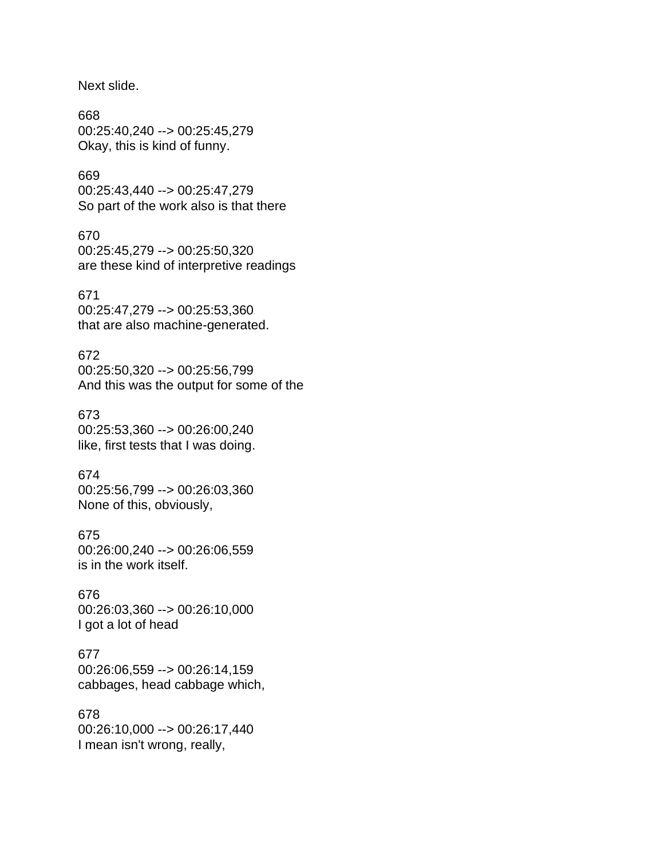Next slide.

668 00:25:40,240 --> 00:25:45,279 Okay, this is kind of funny.

# 669

00:25:43,440 --> 00:25:47,279 So part of the work also is that there

#### 670

00:25:45,279 --> 00:25:50,320 are these kind of interpretive readings

#### 671

00:25:47,279 --> 00:25:53,360 that are also machine-generated.

# 672

00:25:50,320 --> 00:25:56,799 And this was the output for some of the

#### 673

00:25:53,360 --> 00:26:00,240 like, first tests that I was doing.

#### 674

00:25:56,799 --> 00:26:03,360 None of this, obviously,

#### 675

00:26:00,240 --> 00:26:06,559 is in the work itself.

#### 676

00:26:03,360 --> 00:26:10,000 I got a lot of head

# 677

00:26:06,559 --> 00:26:14,159 cabbages, head cabbage which,

# 678

00:26:10,000 --> 00:26:17,440 I mean isn't wrong, really,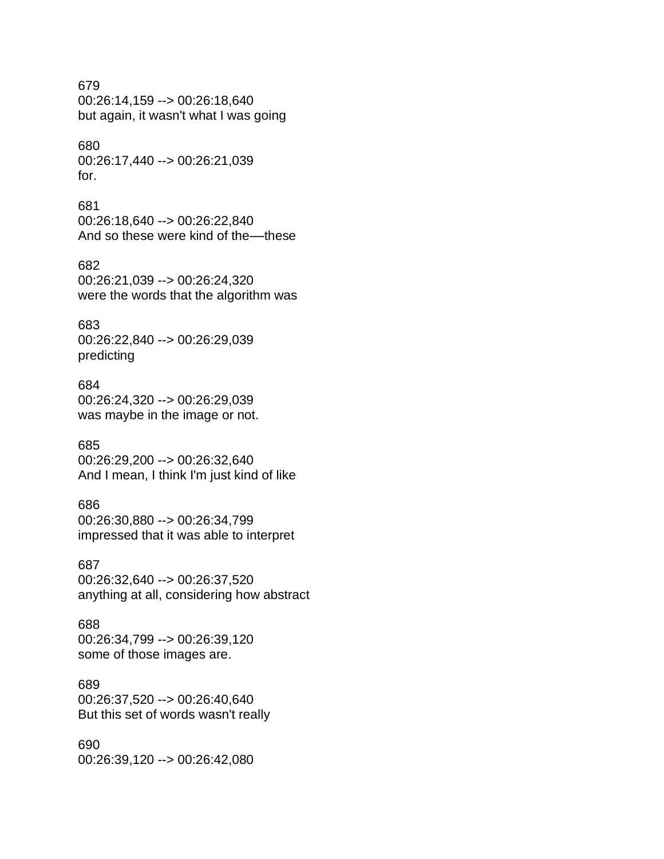#### 679

00:26:14,159 --> 00:26:18,640 but again, it wasn't what I was going

#### 680

00:26:17,440 --> 00:26:21,039 for.

#### 681

00:26:18,640 --> 00:26:22,840 And so these were kind of the––these

682 00:26:21,039 --> 00:26:24,320 were the words that the algorithm was

#### 683

00:26:22,840 --> 00:26:29,039 predicting

#### 684

00:26:24,320 --> 00:26:29,039 was maybe in the image or not.

#### 685

00:26:29,200 --> 00:26:32,640 And I mean, I think I'm just kind of like

#### 686

00:26:30,880 --> 00:26:34,799 impressed that it was able to interpret

#### 687

00:26:32,640 --> 00:26:37,520 anything at all, considering how abstract

#### 688

00:26:34,799 --> 00:26:39,120 some of those images are.

#### 689

00:26:37,520 --> 00:26:40,640 But this set of words wasn't really

#### 690

00:26:39,120 --> 00:26:42,080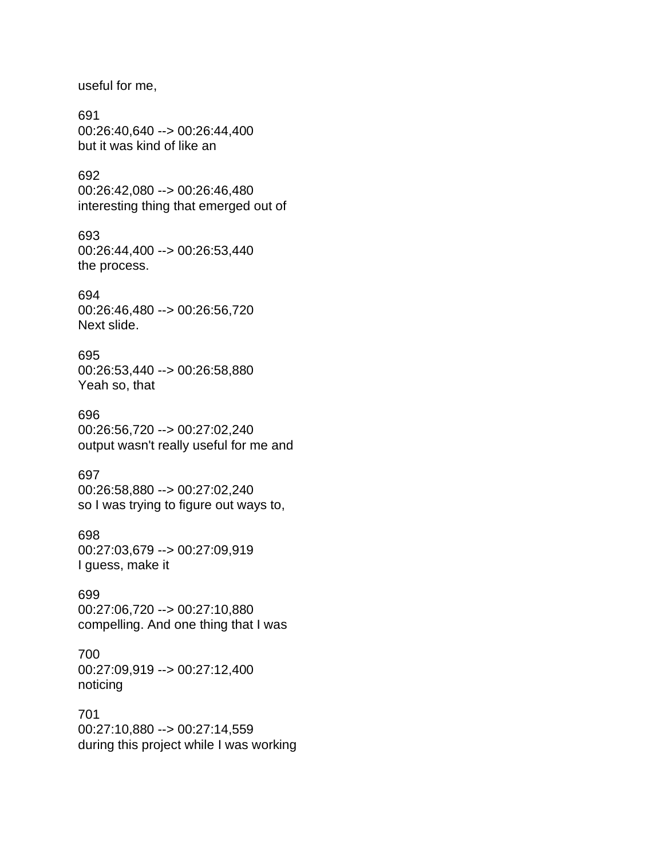useful for me,

691 00:26:40,640 --> 00:26:44,400 but it was kind of like an

692 00:26:42,080 --> 00:26:46,480 interesting thing that emerged out of

693 00:26:44,400 --> 00:26:53,440 the process.

694 00:26:46,480 --> 00:26:56,720 Next slide.

695 00:26:53,440 --> 00:26:58,880 Yeah so, that

696 00:26:56,720 --> 00:27:02,240 output wasn't really useful for me and

697 00:26:58,880 --> 00:27:02,240 so I was trying to figure out ways to,

698 00:27:03,679 --> 00:27:09,919 I guess, make it

699 00:27:06,720 --> 00:27:10,880 compelling. And one thing that I was

700 00:27:09,919 --> 00:27:12,400 noticing

701 00:27:10,880 --> 00:27:14,559 during this project while I was working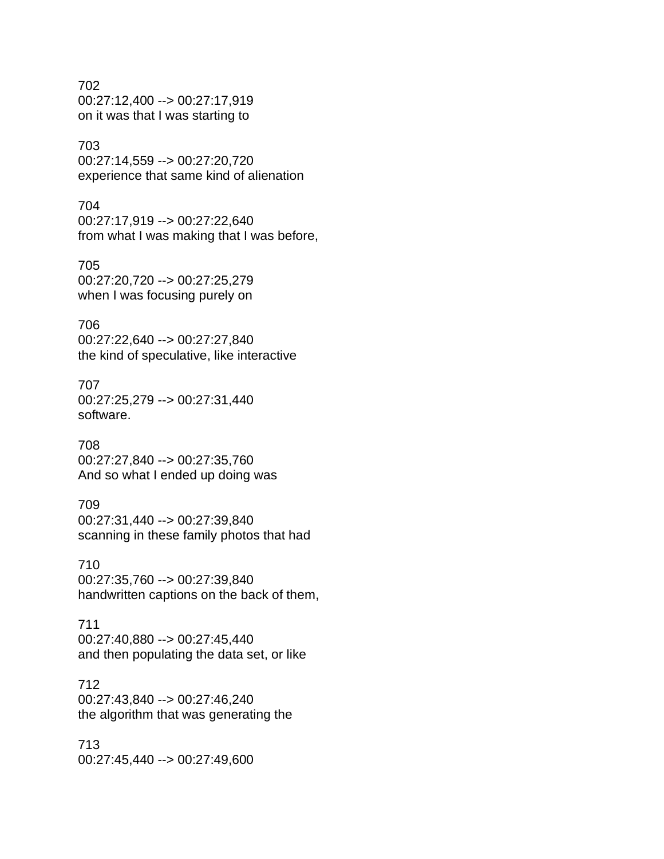702 00:27:12,400 --> 00:27:17,919 on it was that I was starting to

# 703

00:27:14,559 --> 00:27:20,720 experience that same kind of alienation

## 704

00:27:17,919 --> 00:27:22,640 from what I was making that I was before,

705

00:27:20,720 --> 00:27:25,279 when I was focusing purely on

# 706

00:27:22,640 --> 00:27:27,840 the kind of speculative, like interactive

# 707

00:27:25,279 --> 00:27:31,440 software.

# 708

00:27:27,840 --> 00:27:35,760 And so what I ended up doing was

# 709

00:27:31,440 --> 00:27:39,840 scanning in these family photos that had

# 710

00:27:35,760 --> 00:27:39,840 handwritten captions on the back of them,

# 711

00:27:40,880 --> 00:27:45,440 and then populating the data set, or like

# 712

00:27:43,840 --> 00:27:46,240 the algorithm that was generating the

# 713 00:27:45,440 --> 00:27:49,600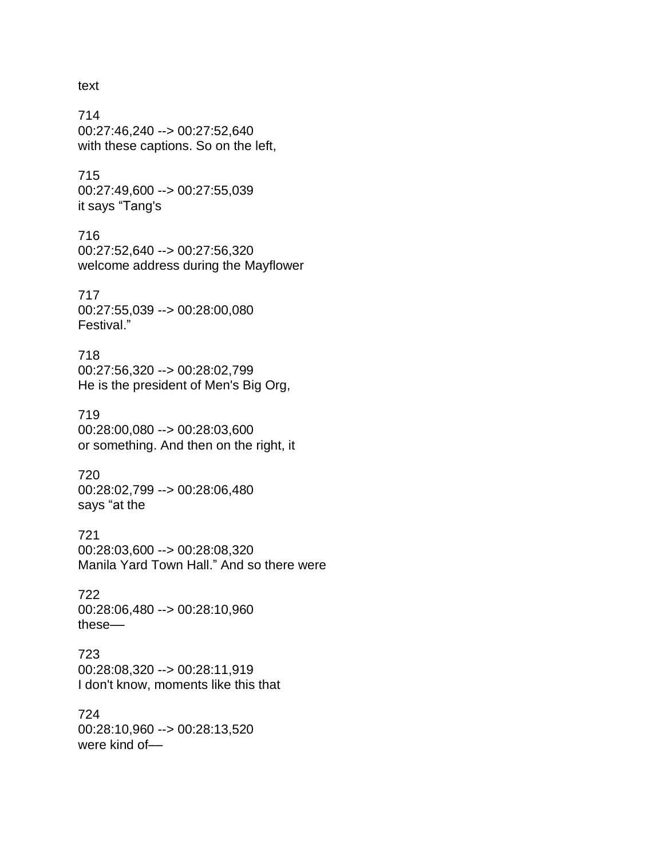text

714 00:27:46,240 --> 00:27:52,640 with these captions. So on the left,

715 00:27:49,600 --> 00:27:55,039 it says "Tang's

716 00:27:52,640 --> 00:27:56,320 welcome address during the Mayflower

717 00:27:55,039 --> 00:28:00,080 Festival."

718 00:27:56,320 --> 00:28:02,799 He is the president of Men's Big Org,

719 00:28:00,080 --> 00:28:03,600 or something. And then on the right, it

720 00:28:02,799 --> 00:28:06,480 says "at the

721 00:28:03,600 --> 00:28:08,320 Manila Yard Town Hall." And so there were

722 00:28:06,480 --> 00:28:10,960 these––

723 00:28:08,320 --> 00:28:11,919 I don't know, moments like this that

724 00:28:10,960 --> 00:28:13,520 were kind of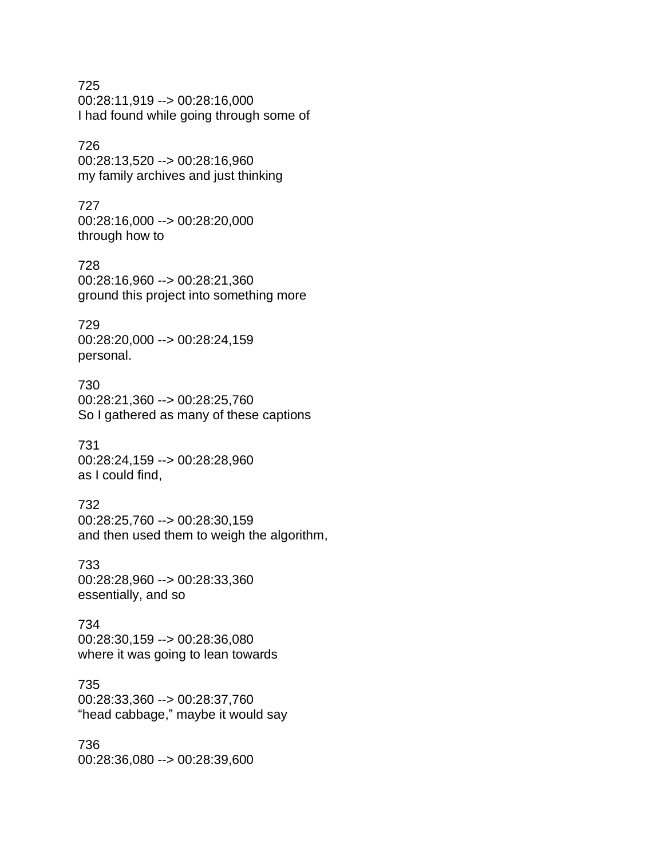725 00:28:11,919 --> 00:28:16,000 I had found while going through some of

# 726

00:28:13,520 --> 00:28:16,960 my family archives and just thinking

#### 727

00:28:16,000 --> 00:28:20,000 through how to

728 00:28:16,960 --> 00:28:21,360 ground this project into something more

# 729

00:28:20,000 --> 00:28:24,159 personal.

#### 730 00:28:21,360 --> 00:28:25,760

So I gathered as many of these captions

# 731 00:28:24,159 --> 00:28:28,960 as I could find,

# 732

00:28:25,760 --> 00:28:30,159 and then used them to weigh the algorithm,

# 733

00:28:28,960 --> 00:28:33,360 essentially, and so

# 734 00:28:30,159 --> 00:28:36,080

where it was going to lean towards

# 735

00:28:33,360 --> 00:28:37,760 "head cabbage," maybe it would say

#### 736 00:28:36,080 --> 00:28:39,600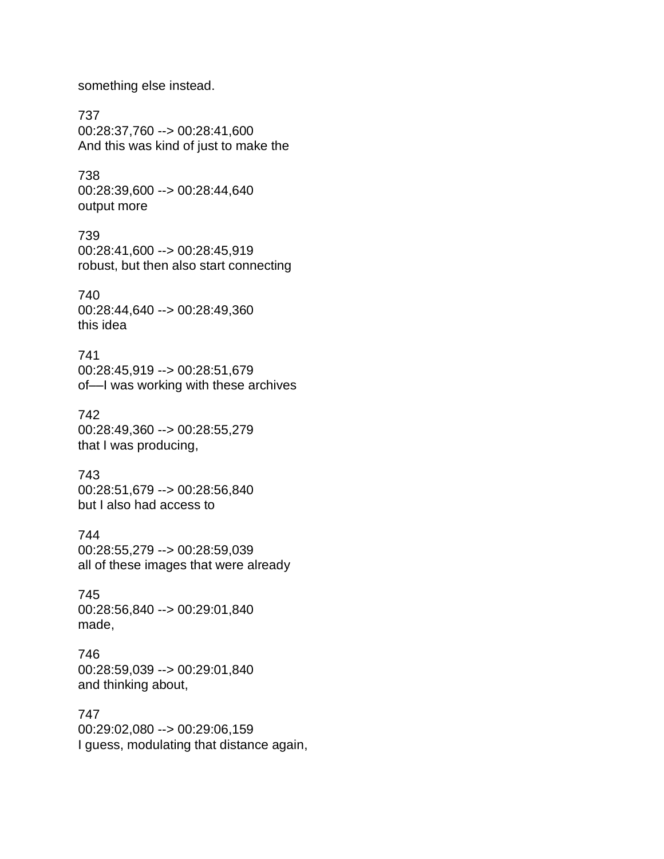something else instead.

737 00:28:37,760 --> 00:28:41,600 And this was kind of just to make the

738 00:28:39,600 --> 00:28:44,640 output more

739 00:28:41,600 --> 00:28:45,919 robust, but then also start connecting

740 00:28:44,640 --> 00:28:49,360 this idea

741 00:28:45,919 --> 00:28:51,679 of––I was working with these archives

742 00:28:49,360 --> 00:28:55,279 that I was producing,

743 00:28:51,679 --> 00:28:56,840 but I also had access to

744 00:28:55,279 --> 00:28:59,039 all of these images that were already

745 00:28:56,840 --> 00:29:01,840 made,

746 00:28:59,039 --> 00:29:01,840 and thinking about,

747 00:29:02,080 --> 00:29:06,159 I guess, modulating that distance again,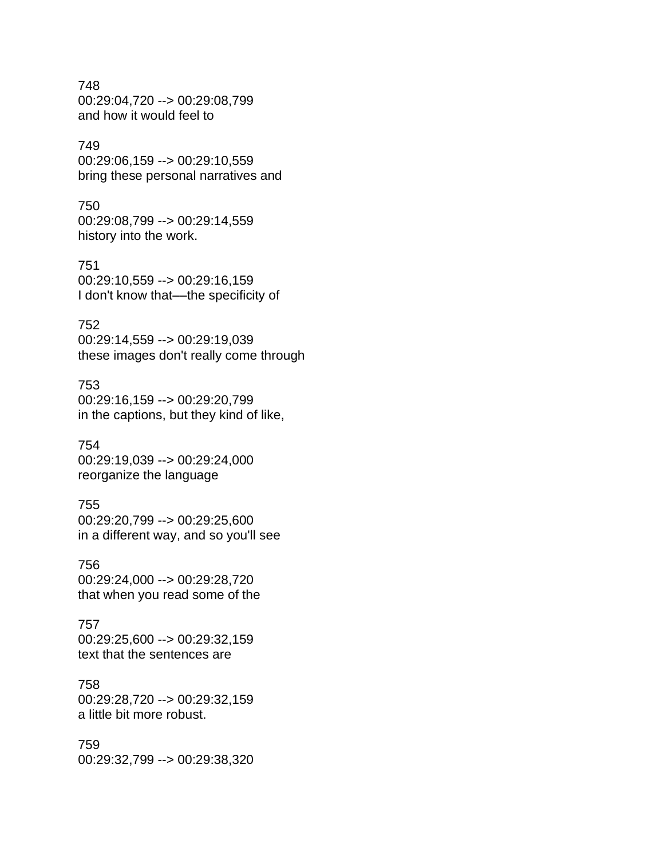748 00:29:04,720 --> 00:29:08,799 and how it would feel to

## 749

00:29:06,159 --> 00:29:10,559 bring these personal narratives and

#### 750

00:29:08,799 --> 00:29:14,559 history into the work.

751 00:29:10,559 --> 00:29:16,159 I don't know that—the specificity of

#### 752

00:29:14,559 --> 00:29:19,039 these images don't really come through

#### 753

00:29:16,159 --> 00:29:20,799 in the captions, but they kind of like,

#### 754

00:29:19,039 --> 00:29:24,000 reorganize the language

# 755

00:29:20,799 --> 00:29:25,600 in a different way, and so you'll see

#### 756

00:29:24,000 --> 00:29:28,720 that when you read some of the

# 757

00:29:25,600 --> 00:29:32,159 text that the sentences are

#### 758

00:29:28,720 --> 00:29:32,159 a little bit more robust.

# 759

00:29:32,799 --> 00:29:38,320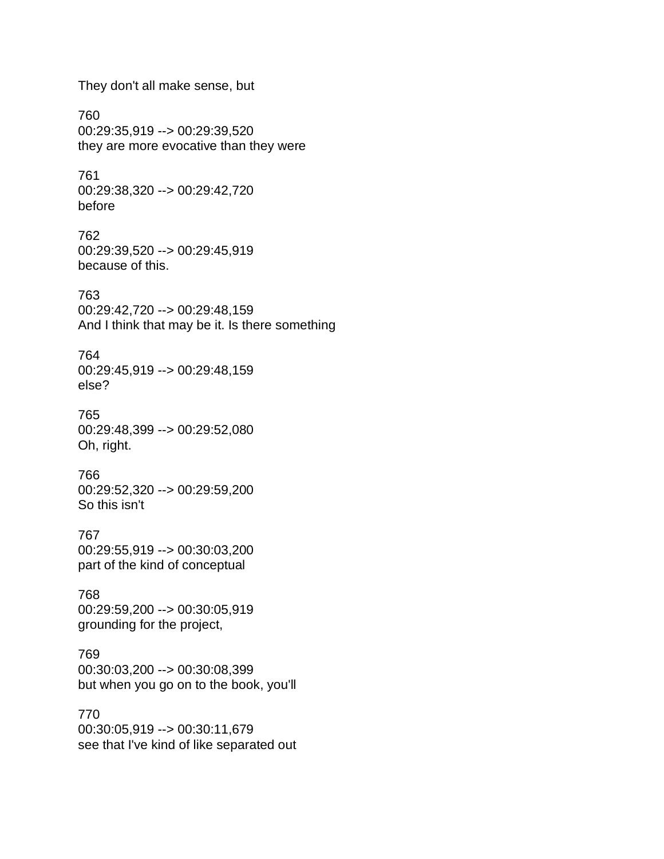They don't all make sense, but

760 00:29:35,919 --> 00:29:39,520 they are more evocative than they were

761 00:29:38,320 --> 00:29:42,720 before

762 00:29:39,520 --> 00:29:45,919 because of this.

763 00:29:42,720 --> 00:29:48,159 And I think that may be it. Is there something

764 00:29:45,919 --> 00:29:48,159 else?

765 00:29:48,399 --> 00:29:52,080 Oh, right.

766 00:29:52,320 --> 00:29:59,200 So this isn't

767 00:29:55,919 --> 00:30:03,200 part of the kind of conceptual

768 00:29:59,200 --> 00:30:05,919 grounding for the project,

769 00:30:03,200 --> 00:30:08,399 but when you go on to the book, you'll

770 00:30:05,919 --> 00:30:11,679 see that I've kind of like separated out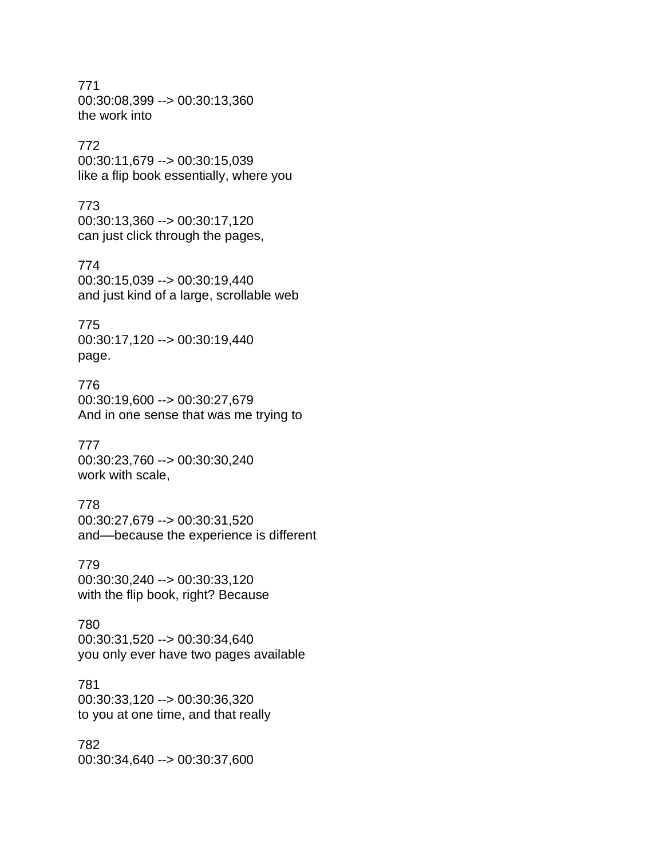771 00:30:08,399 --> 00:30:13,360 the work into

# 772

00:30:11,679 --> 00:30:15,039 like a flip book essentially, where you

# 773

00:30:13,360 --> 00:30:17,120 can just click through the pages,

#### 774

00:30:15,039 --> 00:30:19,440 and just kind of a large, scrollable web

#### 775

00:30:17,120 --> 00:30:19,440 page.

#### 776

00:30:19,600 --> 00:30:27,679 And in one sense that was me trying to

#### 777

00:30:23,760 --> 00:30:30,240 work with scale,

#### 778

00:30:27,679 --> 00:30:31,520 and––because the experience is different

00:30:30,240 --> 00:30:33,120 with the flip book, right? Because

#### 779

780 00:30:31,520 --> 00:30:34,640 you only ever have two pages available

# 781

00:30:33,120 --> 00:30:36,320 to you at one time, and that really

# 782

00:30:34,640 --> 00:30:37,600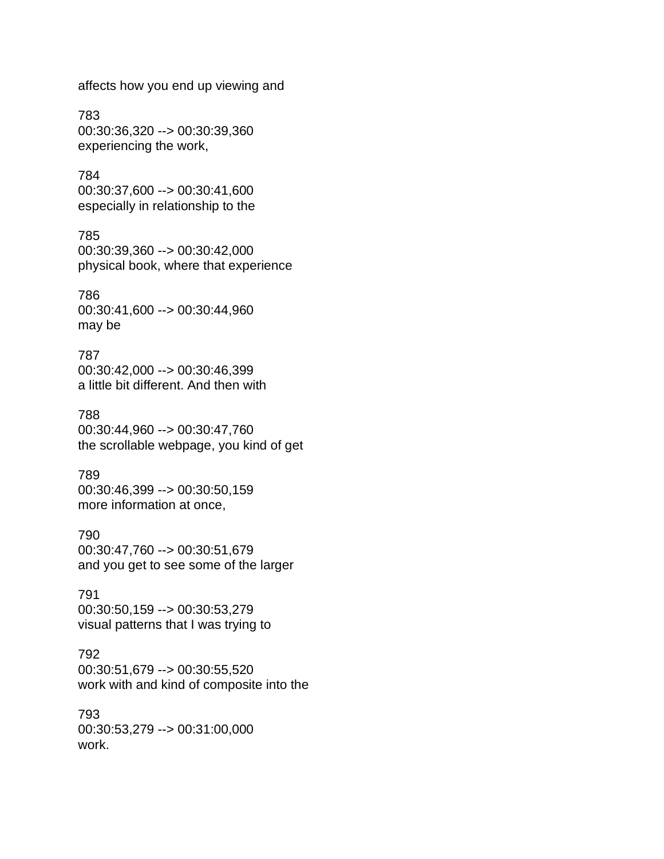affects how you end up viewing and

783 00:30:36,320 --> 00:30:39,360 experiencing the work,

784 00:30:37,600 --> 00:30:41,600 especially in relationship to the

# 785 00:30:39,360 --> 00:30:42,000 physical book, where that experience

786 00:30:41,600 --> 00:30:44,960 may be

787 00:30:42,000 --> 00:30:46,399 a little bit different. And then with

#### 788

00:30:44,960 --> 00:30:47,760 the scrollable webpage, you kind of get

# 789

00:30:46,399 --> 00:30:50,159 more information at once,

#### 790

00:30:47,760 --> 00:30:51,679 and you get to see some of the larger

# 791

00:30:50,159 --> 00:30:53,279 visual patterns that I was trying to

#### 792

00:30:51,679 --> 00:30:55,520 work with and kind of composite into the

793 00:30:53,279 --> 00:31:00,000 work.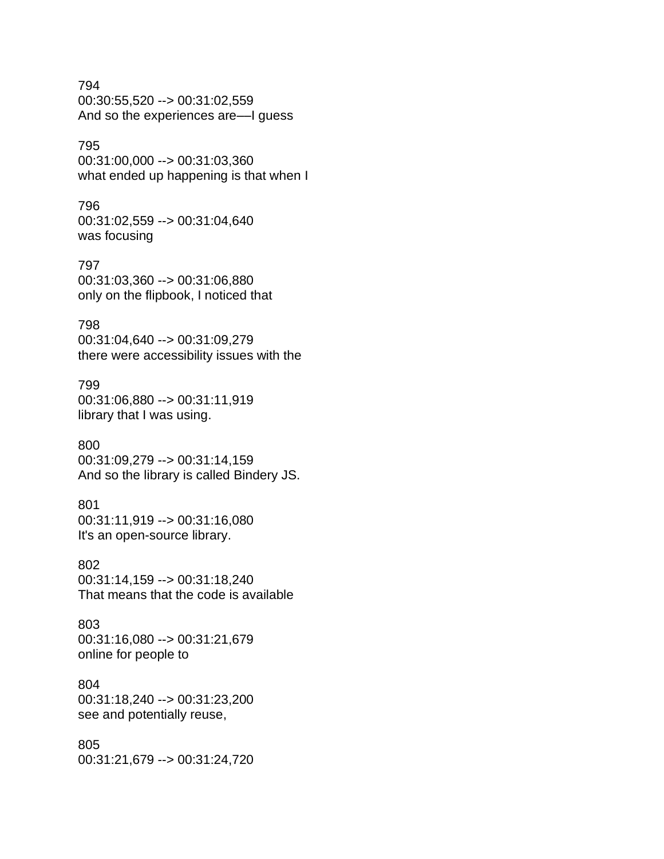794 00:30:55,520 --> 00:31:02,559 And so the experiences are––I guess

# 795

00:31:00,000 --> 00:31:03,360 what ended up happening is that when I

#### 796

00:31:02,559 --> 00:31:04,640 was focusing

797 00:31:03,360 --> 00:31:06,880 only on the flipbook, I noticed that

# 798

00:31:04,640 --> 00:31:09,279 there were accessibility issues with the

#### 799

00:31:06,880 --> 00:31:11,919 library that I was using.

#### 800

00:31:09,279 --> 00:31:14,159 And so the library is called Bindery JS.

# 801

00:31:11,919 --> 00:31:16,080 It's an open-source library.

## 802

00:31:14,159 --> 00:31:18,240 That means that the code is available

803 00:31:16,080 --> 00:31:21,679 online for people to

# 804

00:31:18,240 --> 00:31:23,200 see and potentially reuse,

# 805

00:31:21,679 --> 00:31:24,720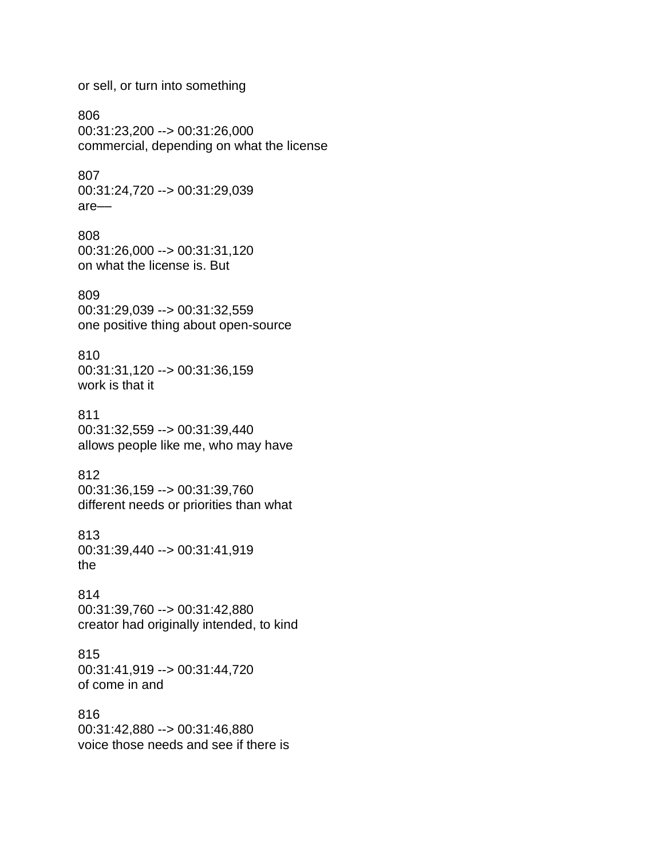or sell, or turn into something

806 00:31:23,200 --> 00:31:26,000 commercial, depending on what the license

807 00:31:24,720 --> 00:31:29,039 are––

808 00:31:26,000 --> 00:31:31,120 on what the license is. But

809 00:31:29,039 --> 00:31:32,559 one positive thing about open-source

810 00:31:31,120 --> 00:31:36,159 work is that it

811 00:31:32,559 --> 00:31:39,440 allows people like me, who may have

812 00:31:36,159 --> 00:31:39,760 different needs or priorities than what

813 00:31:39,440 --> 00:31:41,919 the

814 00:31:39,760 --> 00:31:42,880 creator had originally intended, to kind

815 00:31:41,919 --> 00:31:44,720 of come in and

816 00:31:42,880 --> 00:31:46,880 voice those needs and see if there is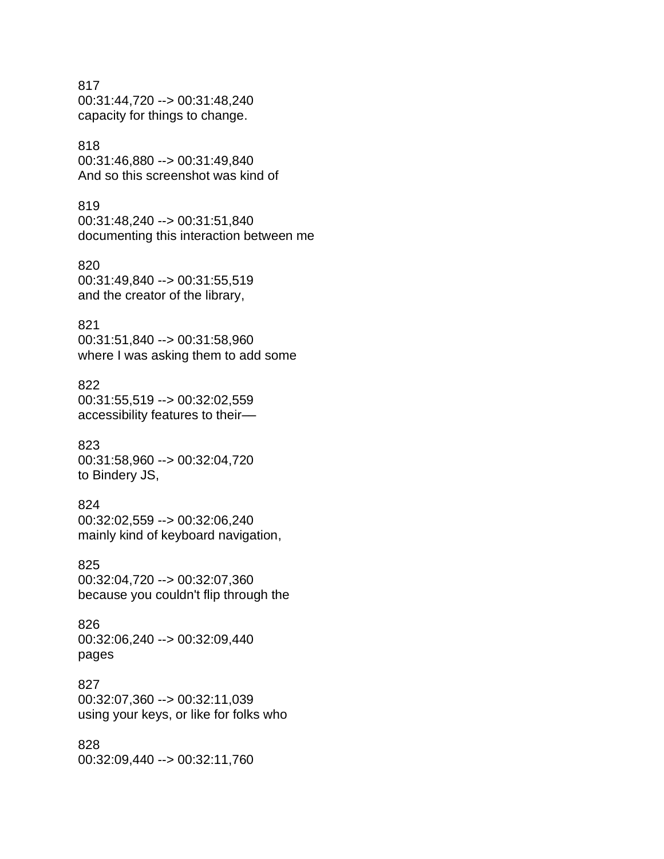#### 817

00:31:44,720 --> 00:31:48,240 capacity for things to change.

# 818

00:31:46,880 --> 00:31:49,840 And so this screenshot was kind of

#### 819

00:31:48,240 --> 00:31:51,840 documenting this interaction between me

# 820

00:31:49,840 --> 00:31:55,519 and the creator of the library,

### 821

00:31:51,840 --> 00:31:58,960 where I was asking them to add some

## 822

00:31:55,519 --> 00:32:02,559 accessibility features to their––

#### 823

00:31:58,960 --> 00:32:04,720 to Bindery JS,

# 824

00:32:02,559 --> 00:32:06,240 mainly kind of keyboard navigation,

#### 825

00:32:04,720 --> 00:32:07,360 because you couldn't flip through the

#### 826 00:32:06,240 --> 00:32:09,440

pages

# 827

00:32:07,360 --> 00:32:11,039 using your keys, or like for folks who

#### 828

00:32:09,440 --> 00:32:11,760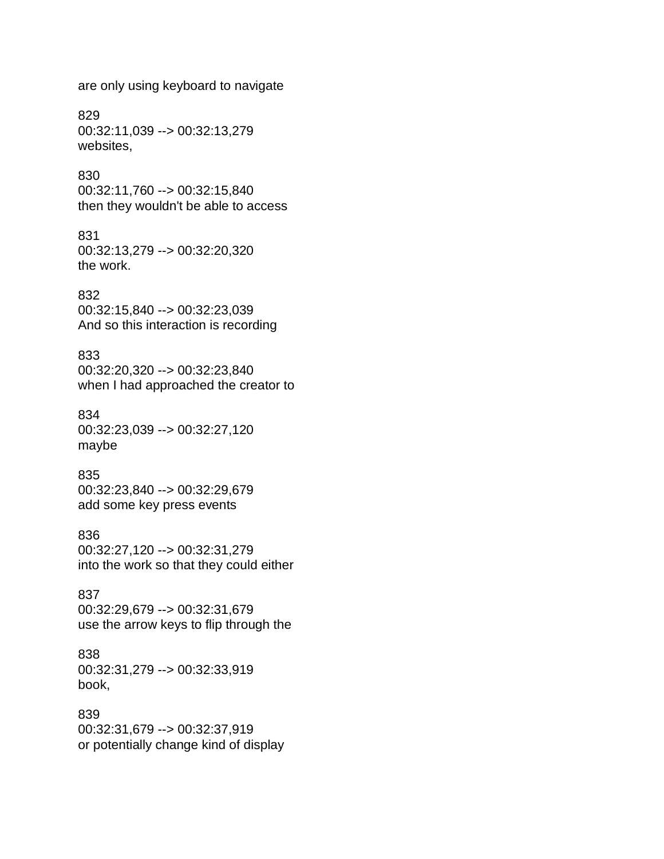are only using keyboard to navigate

829 00:32:11,039 --> 00:32:13,279 websites,

## 830

00:32:11,760 --> 00:32:15,840 then they wouldn't be able to access

## 831

00:32:13,279 --> 00:32:20,320 the work.

## 832

00:32:15,840 --> 00:32:23,039 And so this interaction is recording

## 833

00:32:20,320 --> 00:32:23,840 when I had approached the creator to

## 834

00:32:23,039 --> 00:32:27,120 maybe

## 835

00:32:23,840 --> 00:32:29,679 add some key press events

## 836

00:32:27,120 --> 00:32:31,279 into the work so that they could either

## 837

00:32:29,679 --> 00:32:31,679 use the arrow keys to flip through the

## 838

00:32:31,279 --> 00:32:33,919 book,

## 839

00:32:31,679 --> 00:32:37,919 or potentially change kind of display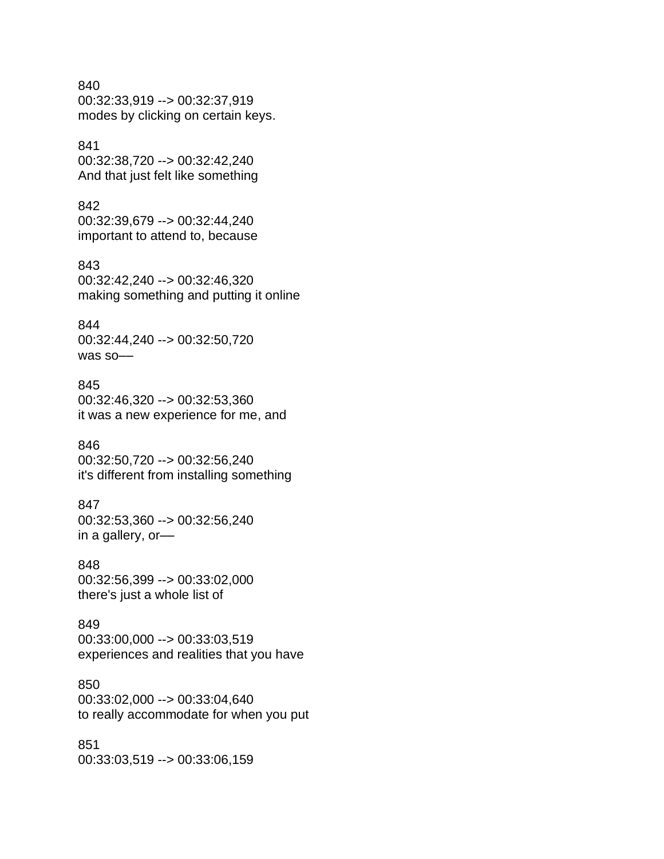840 00:32:33,919 --> 00:32:37,919 modes by clicking on certain keys.

841 00:32:38,720 --> 00:32:42,240 And that just felt like something

842 00:32:39,679 --> 00:32:44,240 important to attend to, because

843 00:32:42,240 --> 00:32:46,320 making something and putting it online

844 00:32:44,240 --> 00:32:50,720 was so––

845 00:32:46,320 --> 00:32:53,360 it was a new experience for me, and

846 00:32:50,720 --> 00:32:56,240 it's different from installing something

847 00:32:53,360 --> 00:32:56,240 in a gallery, or––

848 00:32:56,399 --> 00:33:02,000 there's just a whole list of

849 00:33:00,000 --> 00:33:03,519 experiences and realities that you have

850 00:33:02,000 --> 00:33:04,640 to really accommodate for when you put

851 00:33:03,519 --> 00:33:06,159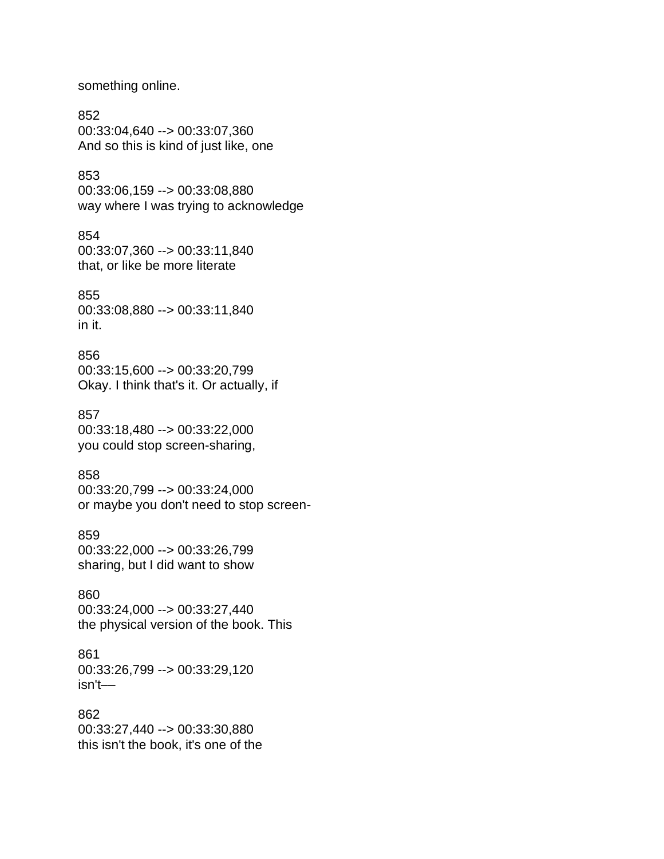something online.

852 00:33:04,640 --> 00:33:07,360 And so this is kind of just like, one

853 00:33:06,159 --> 00:33:08,880 way where I was trying to acknowledge

854 00:33:07,360 --> 00:33:11,840 that, or like be more literate

855 00:33:08,880 --> 00:33:11,840 in it.

856 00:33:15,600 --> 00:33:20,799 Okay. I think that's it. Or actually, if

857 00:33:18,480 --> 00:33:22,000 you could stop screen-sharing,

858 00:33:20,799 --> 00:33:24,000 or maybe you don't need to stop screen-

859 00:33:22,000 --> 00:33:26,799 sharing, but I did want to show

860 00:33:24,000 --> 00:33:27,440 the physical version of the book. This

861 00:33:26,799 --> 00:33:29,120 isn't––

862 00:33:27,440 --> 00:33:30,880 this isn't the book, it's one of the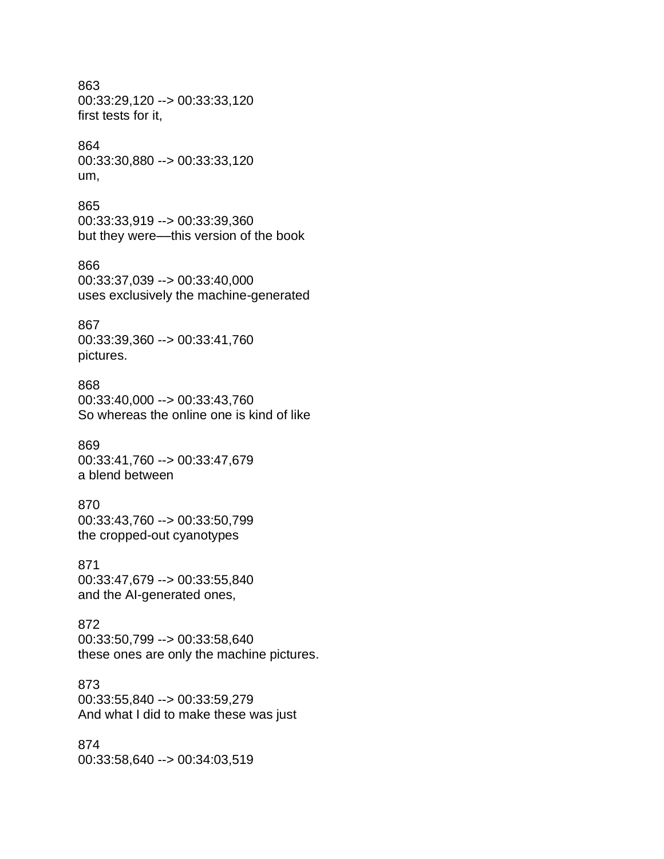## 863 00:33:29,120 --> 00:33:33,120 first tests for it,

## 864

00:33:30,880 --> 00:33:33,120 um,

## 865

00:33:33,919 --> 00:33:39,360 but they were––this version of the book

## 866

00:33:37,039 --> 00:33:40,000 uses exclusively the machine-generated

## 867

00:33:39,360 --> 00:33:41,760 pictures.

## 868

00:33:40,000 --> 00:33:43,760 So whereas the online one is kind of like

## 869

00:33:41,760 --> 00:33:47,679 a blend between

## 870

00:33:43,760 --> 00:33:50,799 the cropped-out cyanotypes

## 871

00:33:47,679 --> 00:33:55,840 and the AI-generated ones,

## 872

00:33:50,799 --> 00:33:58,640 these ones are only the machine pictures.

## 873

00:33:55,840 --> 00:33:59,279 And what I did to make these was just

## 874 00:33:58,640 --> 00:34:03,519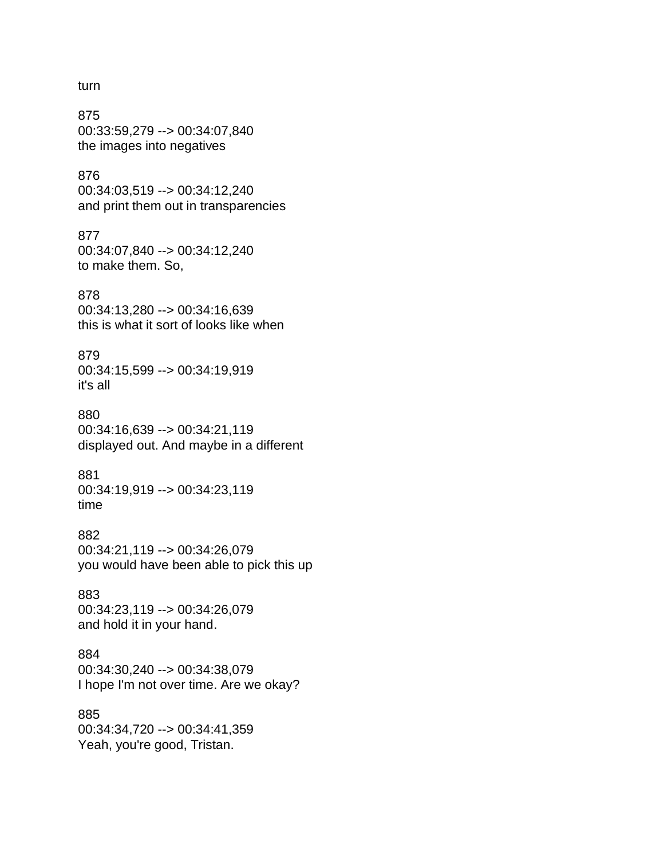#### turn

875 00:33:59,279 --> 00:34:07,840 the images into negatives

## 876

00:34:03,519 --> 00:34:12,240 and print them out in transparencies

#### 877

00:34:07,840 --> 00:34:12,240 to make them. So,

#### 878

00:34:13,280 --> 00:34:16,639 this is what it sort of looks like when

## 879

00:34:15,599 --> 00:34:19,919 it's all

## 880

00:34:16,639 --> 00:34:21,119 displayed out. And maybe in a different

## 881

00:34:19,919 --> 00:34:23,119 time

## 882

00:34:21,119 --> 00:34:26,079 you would have been able to pick this up

## 883

00:34:23,119 --> 00:34:26,079 and hold it in your hand.

## 884

00:34:30,240 --> 00:34:38,079 I hope I'm not over time. Are we okay?

## 885

00:34:34,720 --> 00:34:41,359 Yeah, you're good, Tristan.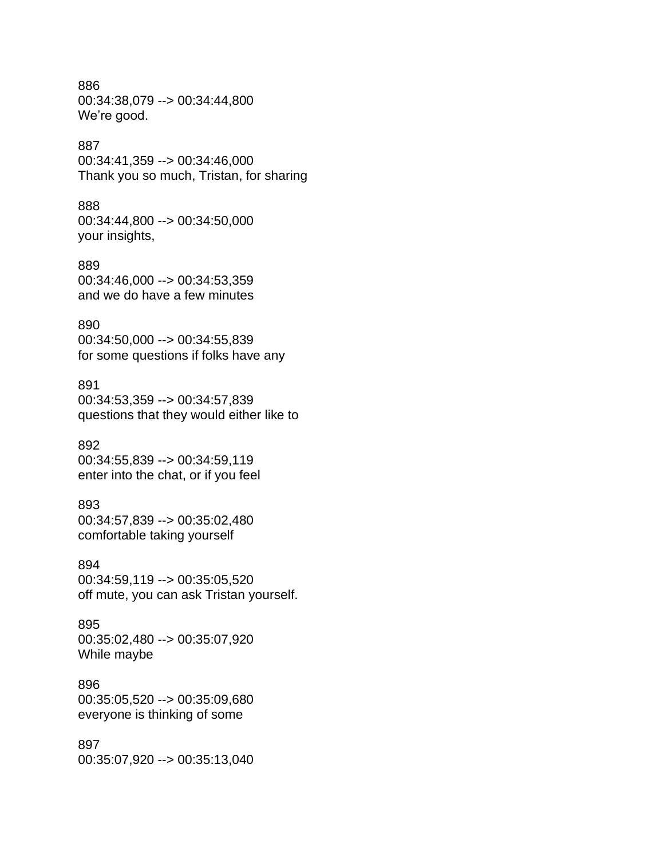886 00:34:38,079 --> 00:34:44,800 We're good.

## 887

00:34:41,359 --> 00:34:46,000 Thank you so much, Tristan, for sharing

## 888

00:34:44,800 --> 00:34:50,000 your insights,

#### 889

00:34:46,000 --> 00:34:53,359 and we do have a few minutes

## 890

00:34:50,000 --> 00:34:55,839 for some questions if folks have any

## 891

00:34:53,359 --> 00:34:57,839 questions that they would either like to

## 892

00:34:55,839 --> 00:34:59,119 enter into the chat, or if you feel

#### 893

00:34:57,839 --> 00:35:02,480 comfortable taking yourself

#### 894

00:34:59,119 --> 00:35:05,520 off mute, you can ask Tristan yourself.

895 00:35:02,480 --> 00:35:07,920 While maybe

## 896

00:35:05,520 --> 00:35:09,680 everyone is thinking of some

#### 897

00:35:07,920 --> 00:35:13,040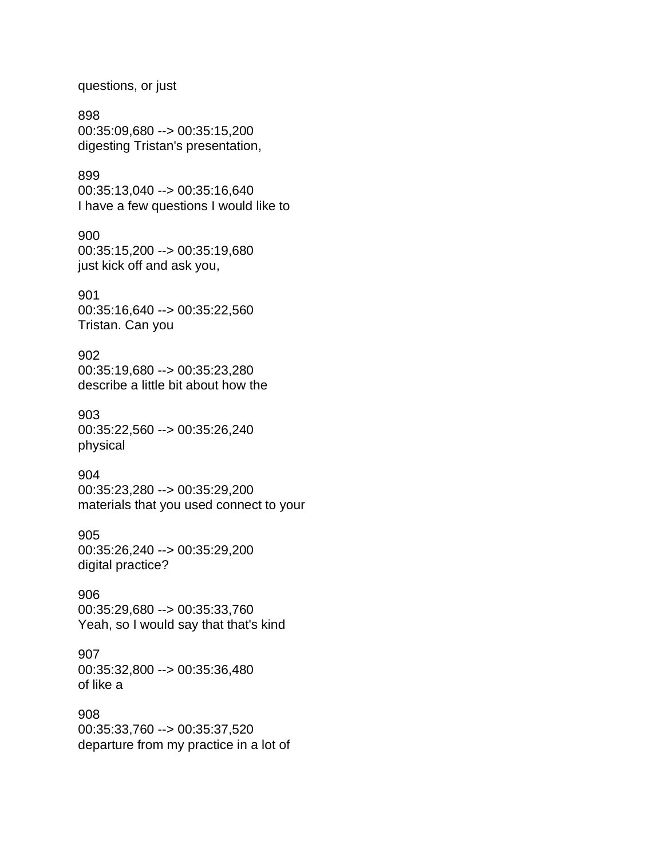questions, or just

898 00:35:09,680 --> 00:35:15,200 digesting Tristan's presentation,

899 00:35:13,040 --> 00:35:16,640 I have a few questions I would like to

900 00:35:15,200 --> 00:35:19,680 just kick off and ask you,

901 00:35:16,640 --> 00:35:22,560 Tristan. Can you

902 00:35:19,680 --> 00:35:23,280 describe a little bit about how the

903 00:35:22,560 --> 00:35:26,240 physical

904 00:35:23,280 --> 00:35:29,200 materials that you used connect to your

905 00:35:26,240 --> 00:35:29,200 digital practice?

906 00:35:29,680 --> 00:35:33,760 Yeah, so I would say that that's kind

907 00:35:32,800 --> 00:35:36,480 of like a

908 00:35:33,760 --> 00:35:37,520 departure from my practice in a lot of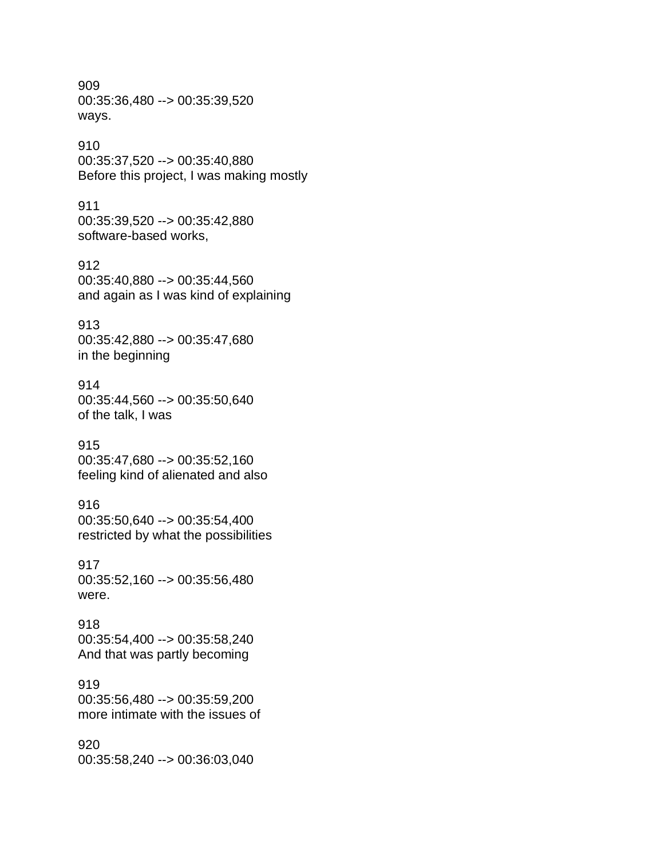909 00:35:36,480 --> 00:35:39,520 ways.

## 910

00:35:37,520 --> 00:35:40,880 Before this project, I was making mostly

## 911

00:35:39,520 --> 00:35:42,880 software-based works,

912 00:35:40,880 --> 00:35:44,560 and again as I was kind of explaining

## 913

00:35:42,880 --> 00:35:47,680 in the beginning

## 914

00:35:44,560 --> 00:35:50,640 of the talk, I was

## 915

00:35:47,680 --> 00:35:52,160 feeling kind of alienated and also

#### 916

00:35:50,640 --> 00:35:54,400 restricted by what the possibilities

## 917

00:35:52,160 --> 00:35:56,480 were.

918 00:35:54,400 --> 00:35:58,240 And that was partly becoming

## 919

00:35:56,480 --> 00:35:59,200 more intimate with the issues of

#### 920 00:35:58,240 --> 00:36:03,040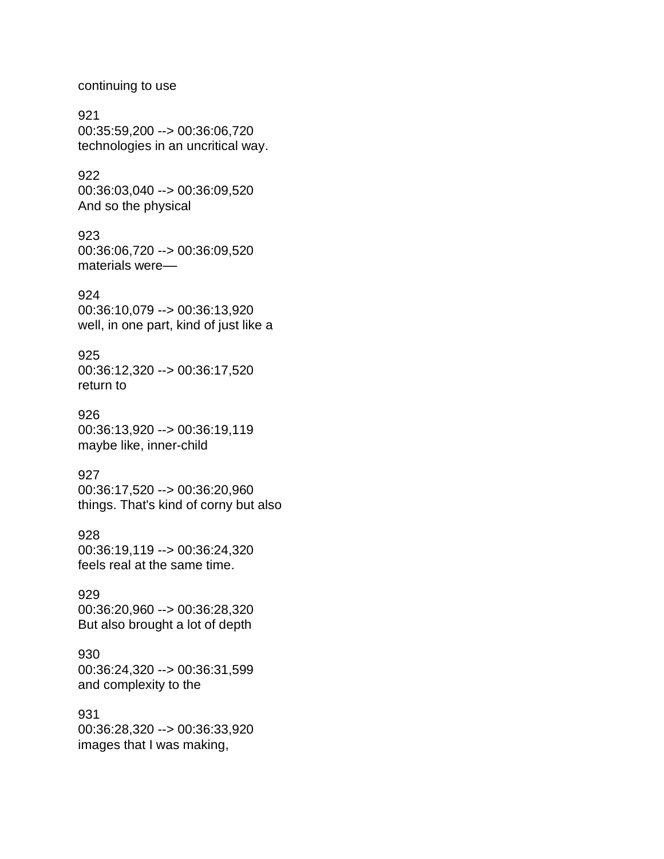continuing to use

921 00:35:59,200 --> 00:36:06,720 technologies in an uncritical way.

922 00:36:03,040 --> 00:36:09,520 And so the physical

923 00:36:06,720 --> 00:36:09,520 materials were-

924 00:36:10,079 --> 00:36:13,920 well, in one part, kind of just like a

925 00:36:12,320 --> 00:36:17,520 return to

926 00:36:13,920 --> 00:36:19,119 maybe like, inner-child

927 00:36:17,520 --> 00:36:20,960 things. That's kind of corny but also

928 00:36:19,119 --> 00:36:24,320 feels real at the same time.

929 00:36:20,960 --> 00:36:28,320 But also brought a lot of depth

930 00:36:24,320 --> 00:36:31,599 and complexity to the

931 00:36:28,320 --> 00:36:33,920 images that I was making,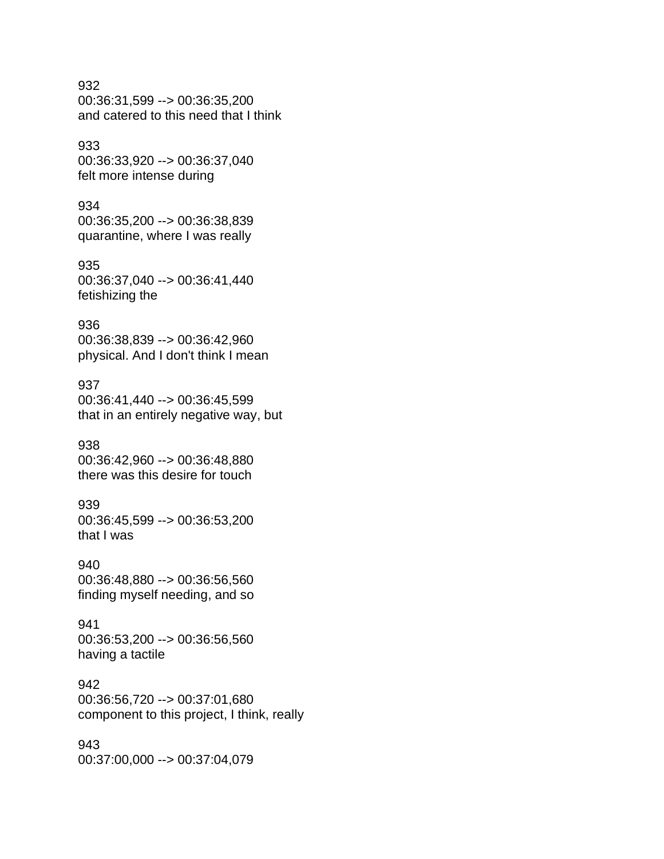## 932 00:36:31,599 --> 00:36:35,200 and catered to this need that I think

## 933

00:36:33,920 --> 00:36:37,040 felt more intense during

## 934

00:36:35,200 --> 00:36:38,839 quarantine, where I was really

## 935 00:36:37,040 --> 00:36:41,440 fetishizing the

## 936

00:36:38,839 --> 00:36:42,960 physical. And I don't think I mean

## 937

00:36:41,440 --> 00:36:45,599 that in an entirely negative way, but

## 938

00:36:42,960 --> 00:36:48,880 there was this desire for touch

## 939

00:36:45,599 --> 00:36:53,200 that I was

## 940

00:36:48,880 --> 00:36:56,560 finding myself needing, and so

## 941

00:36:53,200 --> 00:36:56,560 having a tactile

## 942

00:36:56,720 --> 00:37:01,680 component to this project, I think, really

## 943

00:37:00,000 --> 00:37:04,079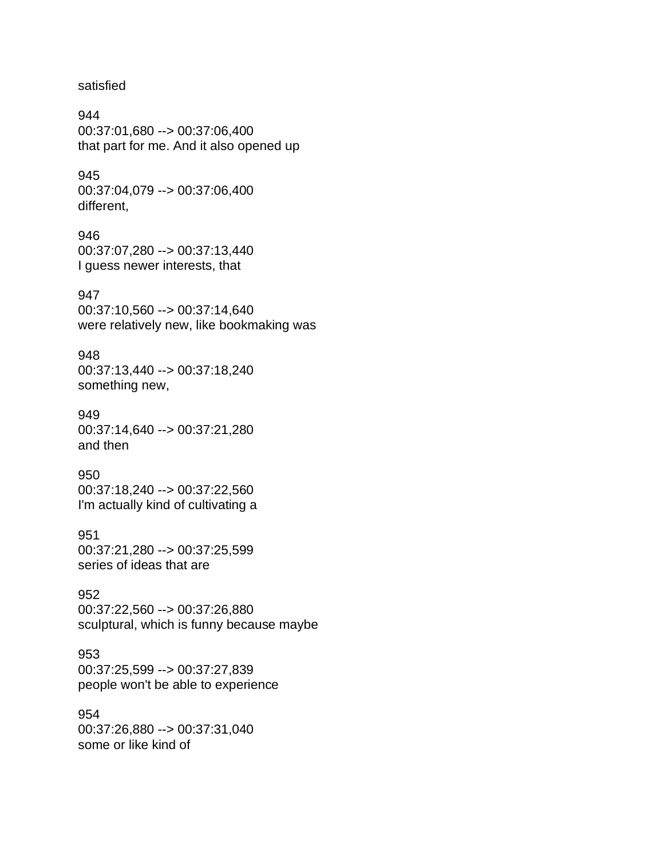satisfied

944 00:37:01,680 --> 00:37:06,400 that part for me. And it also opened up

945 00:37:04,079 --> 00:37:06,400 different,

946 00:37:07,280 --> 00:37:13,440 I guess newer interests, that

947 00:37:10,560 --> 00:37:14,640 were relatively new, like bookmaking was

948 00:37:13,440 --> 00:37:18,240 something new,

949 00:37:14,640 --> 00:37:21,280 and then

950 00:37:18,240 --> 00:37:22,560 I'm actually kind of cultivating a

951 00:37:21,280 --> 00:37:25,599 series of ideas that are

952 00:37:22,560 --> 00:37:26,880 sculptural, which is funny because maybe

953 00:37:25,599 --> 00:37:27,839 people won't be able to experience

954 00:37:26,880 --> 00:37:31,040 some or like kind of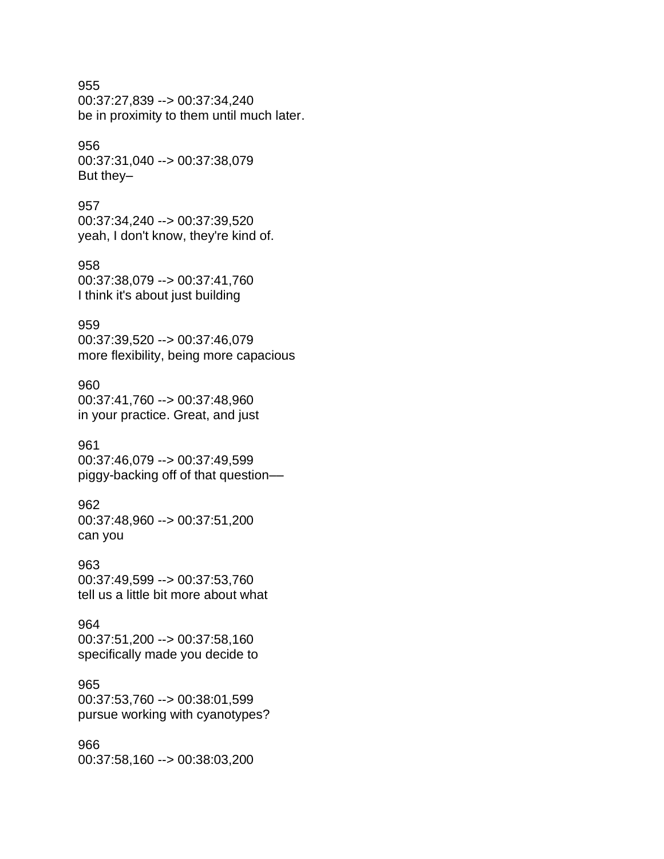## 955

00:37:27,839 --> 00:37:34,240 be in proximity to them until much later.

## 956

00:37:31,040 --> 00:37:38,079 But they–

## 957

00:37:34,240 --> 00:37:39,520 yeah, I don't know, they're kind of.

# 958

00:37:38,079 --> 00:37:41,760 I think it's about just building

## 959

00:37:39,520 --> 00:37:46,079 more flexibility, being more capacious

#### 960

00:37:41,760 --> 00:37:48,960 in your practice. Great, and just

## 961

00:37:46,079 --> 00:37:49,599 piggy-backing off of that question––

## 962

00:37:48,960 --> 00:37:51,200 can you

## 963

00:37:49,599 --> 00:37:53,760 tell us a little bit more about what

#### 964

00:37:51,200 --> 00:37:58,160 specifically made you decide to

## 965

00:37:53,760 --> 00:38:01,599 pursue working with cyanotypes?

## 966

00:37:58,160 --> 00:38:03,200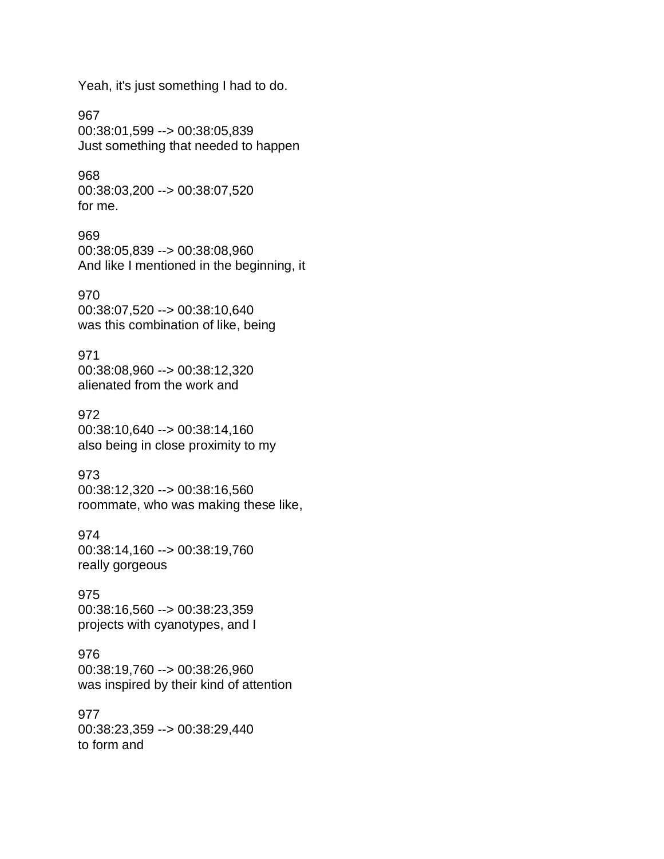Yeah, it's just something I had to do.

967 00:38:01,599 --> 00:38:05,839 Just something that needed to happen

968 00:38:03,200 --> 00:38:07,520 for me.

969 00:38:05,839 --> 00:38:08,960 And like I mentioned in the beginning, it

970 00:38:07,520 --> 00:38:10,640 was this combination of like, being

971 00:38:08,960 --> 00:38:12,320 alienated from the work and

972 00:38:10,640 --> 00:38:14,160 also being in close proximity to my

973 00:38:12,320 --> 00:38:16,560 roommate, who was making these like,

974 00:38:14,160 --> 00:38:19,760 really gorgeous

975 00:38:16,560 --> 00:38:23,359 projects with cyanotypes, and I

976 00:38:19,760 --> 00:38:26,960 was inspired by their kind of attention

977 00:38:23,359 --> 00:38:29,440 to form and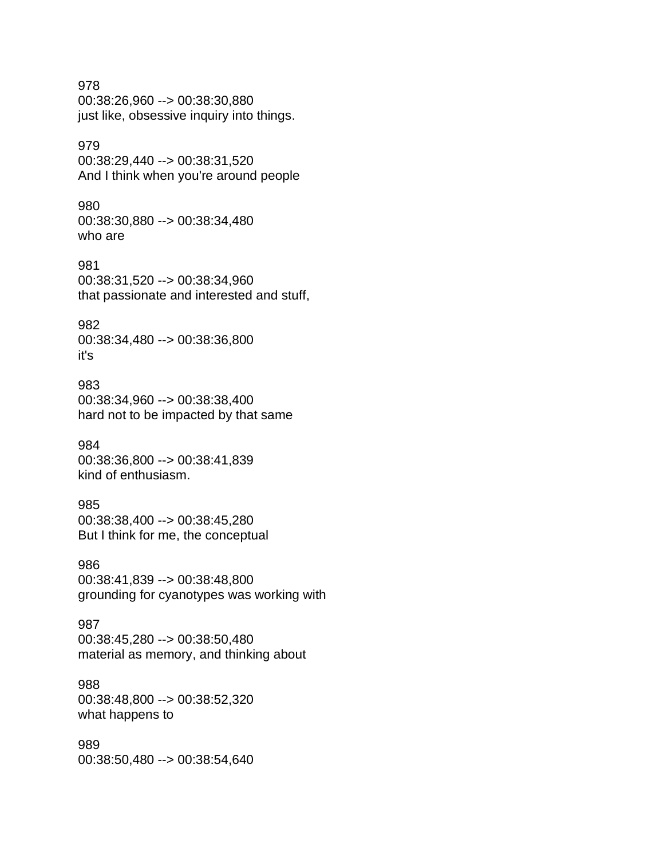978 00:38:26,960 --> 00:38:30,880 just like, obsessive inquiry into things.

## 979

00:38:29,440 --> 00:38:31,520 And I think when you're around people

## 980

00:38:30,880 --> 00:38:34,480 who are

981 00:38:31,520 --> 00:38:34,960 that passionate and interested and stuff,

## 982

00:38:34,480 --> 00:38:36,800 it's

#### 983

00:38:34,960 --> 00:38:38,400 hard not to be impacted by that same

## 984

00:38:36,800 --> 00:38:41,839 kind of enthusiasm.

## 985

00:38:38,400 --> 00:38:45,280 But I think for me, the conceptual

## 986

00:38:41,839 --> 00:38:48,800 grounding for cyanotypes was working with

987 00:38:45,280 --> 00:38:50,480 material as memory, and thinking about

#### 988

00:38:48,800 --> 00:38:52,320 what happens to

## 989

00:38:50,480 --> 00:38:54,640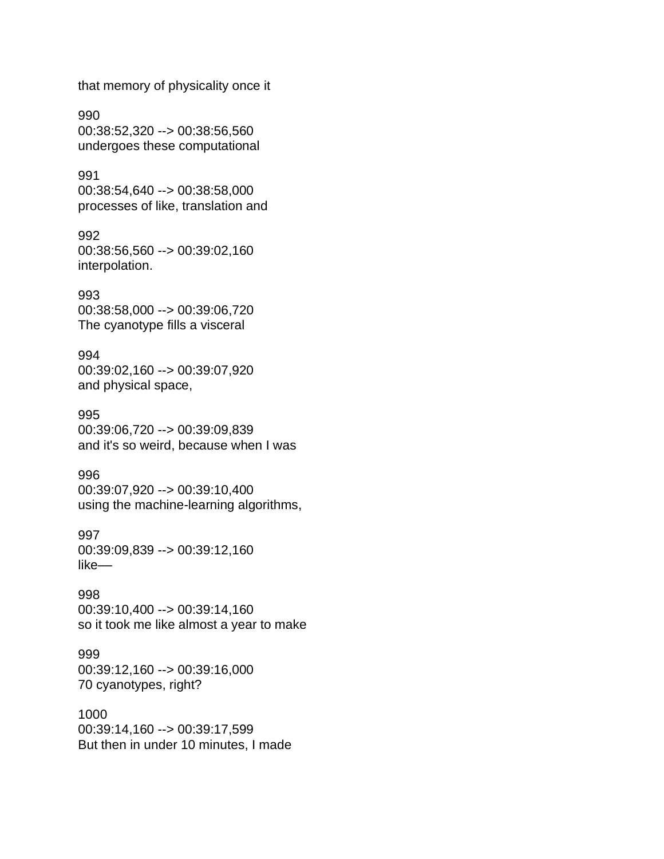that memory of physicality once it

990 00:38:52,320 --> 00:38:56,560 undergoes these computational

991 00:38:54,640 --> 00:38:58,000 processes of like, translation and

992 00:38:56,560 --> 00:39:02,160 interpolation.

993 00:38:58,000 --> 00:39:06,720 The cyanotype fills a visceral

994 00:39:02,160 --> 00:39:07,920 and physical space,

995 00:39:06,720 --> 00:39:09,839 and it's so weird, because when I was

996 00:39:07,920 --> 00:39:10,400 using the machine-learning algorithms,

997 00:39:09,839 --> 00:39:12,160 like––

998 00:39:10,400 --> 00:39:14,160 so it took me like almost a year to make

999 00:39:12,160 --> 00:39:16,000 70 cyanotypes, right?

1000 00:39:14,160 --> 00:39:17,599 But then in under 10 minutes, I made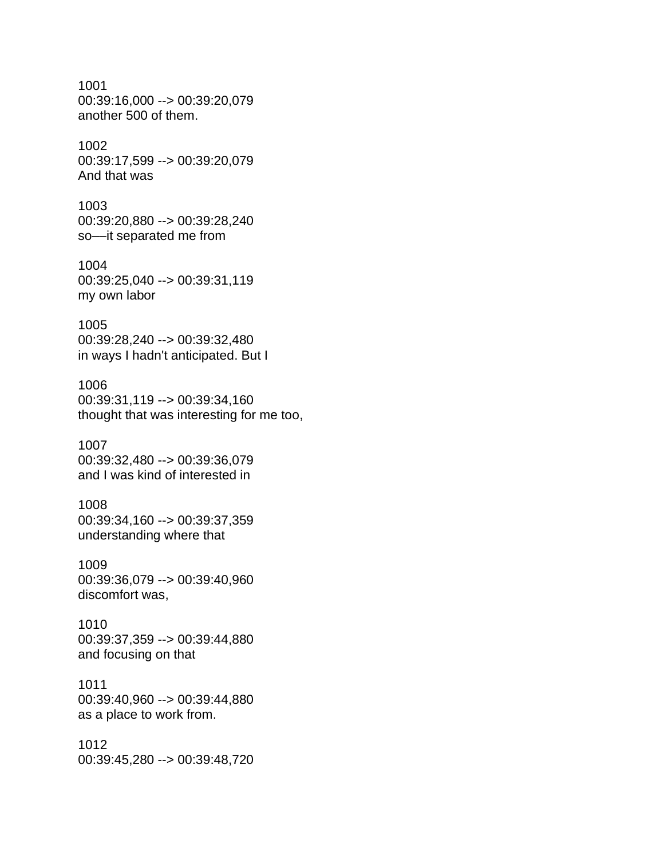1001 00:39:16,000 --> 00:39:20,079 another 500 of them.

#### 1002 00:39:17,599 --> 00:39:20,079 And that was

1003 00:39:20,880 --> 00:39:28,240 so––it separated me from

1004 00:39:25,040 --> 00:39:31,119 my own labor

## 1005 00:39:28,240 --> 00:39:32,480 in ways I hadn't anticipated. But I

1006 00:39:31,119 --> 00:39:34,160 thought that was interesting for me too,

1007 00:39:32,480 --> 00:39:36,079 and I was kind of interested in

1008 00:39:34,160 --> 00:39:37,359 understanding where that

1009 00:39:36,079 --> 00:39:40,960 discomfort was,

1010 00:39:37,359 --> 00:39:44,880 and focusing on that

1011 00:39:40,960 --> 00:39:44,880 as a place to work from.

1012 00:39:45,280 --> 00:39:48,720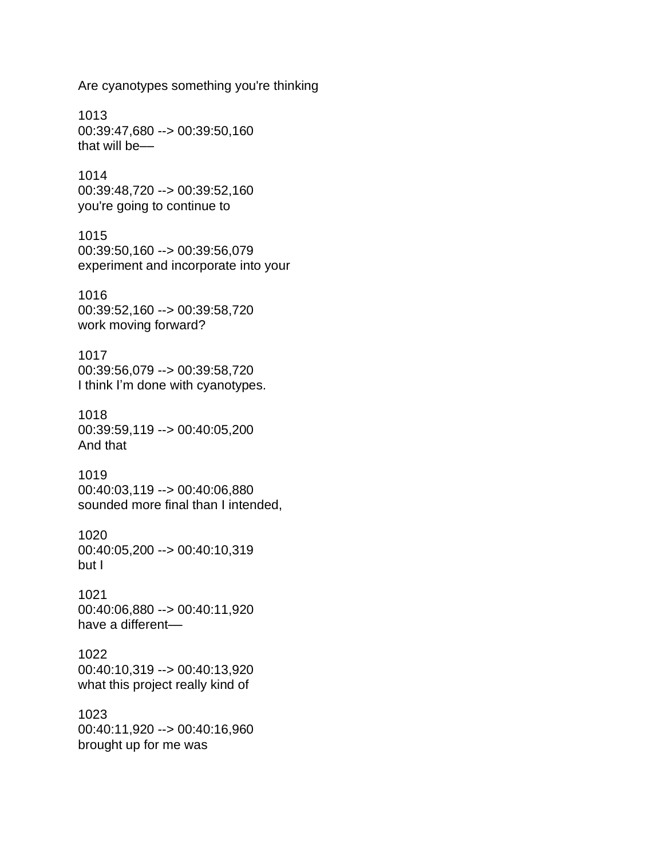Are cyanotypes something you're thinking

1013 00:39:47,680 --> 00:39:50,160 that will be––

1014 00:39:48,720 --> 00:39:52,160 you're going to continue to

1015 00:39:50,160 --> 00:39:56,079 experiment and incorporate into your

1016 00:39:52,160 --> 00:39:58,720 work moving forward?

1017 00:39:56,079 --> 00:39:58,720 I think I'm done with cyanotypes.

1018 00:39:59,119 --> 00:40:05,200 And that

1019 00:40:03,119 --> 00:40:06,880 sounded more final than I intended,

1020 00:40:05,200 --> 00:40:10,319 but I

1021 00:40:06,880 --> 00:40:11,920 have a different-

1022 00:40:10,319 --> 00:40:13,920 what this project really kind of

1023 00:40:11,920 --> 00:40:16,960 brought up for me was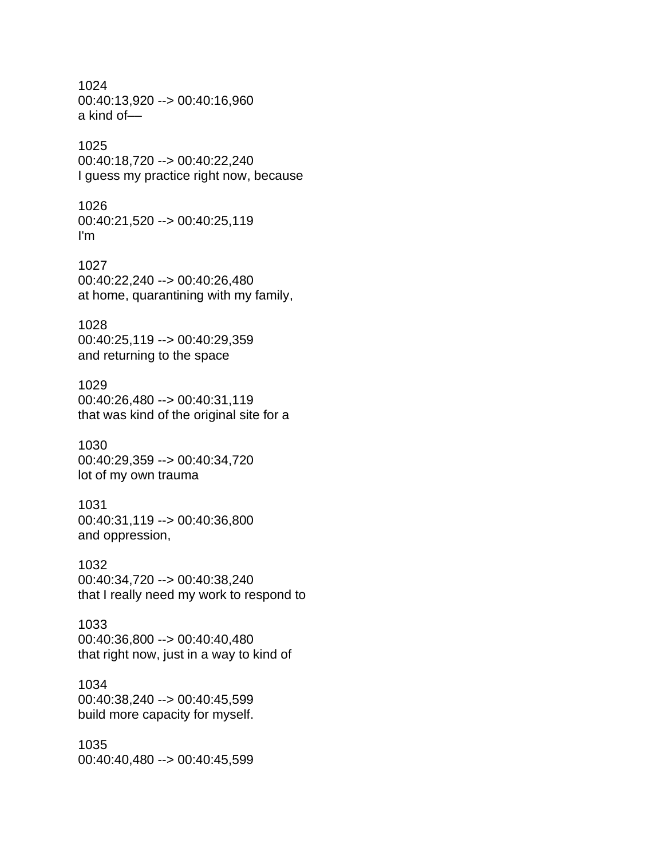1024 00:40:13,920 --> 00:40:16,960 a kind of––

## 1025

00:40:18,720 --> 00:40:22,240 I guess my practice right now, because

1026

00:40:21,520 --> 00:40:25,119 I'm

1027 00:40:22,240 --> 00:40:26,480 at home, quarantining with my family,

1028 00:40:25,119 --> 00:40:29,359 and returning to the space

1029 00:40:26,480 --> 00:40:31,119 that was kind of the original site for a

1030 00:40:29,359 --> 00:40:34,720 lot of my own trauma

1031 00:40:31,119 --> 00:40:36,800 and oppression,

1032 00:40:34,720 --> 00:40:38,240 that I really need my work to respond to

1033 00:40:36,800 --> 00:40:40,480 that right now, just in a way to kind of

1034 00:40:38,240 --> 00:40:45,599 build more capacity for myself.

1035 00:40:40,480 --> 00:40:45,599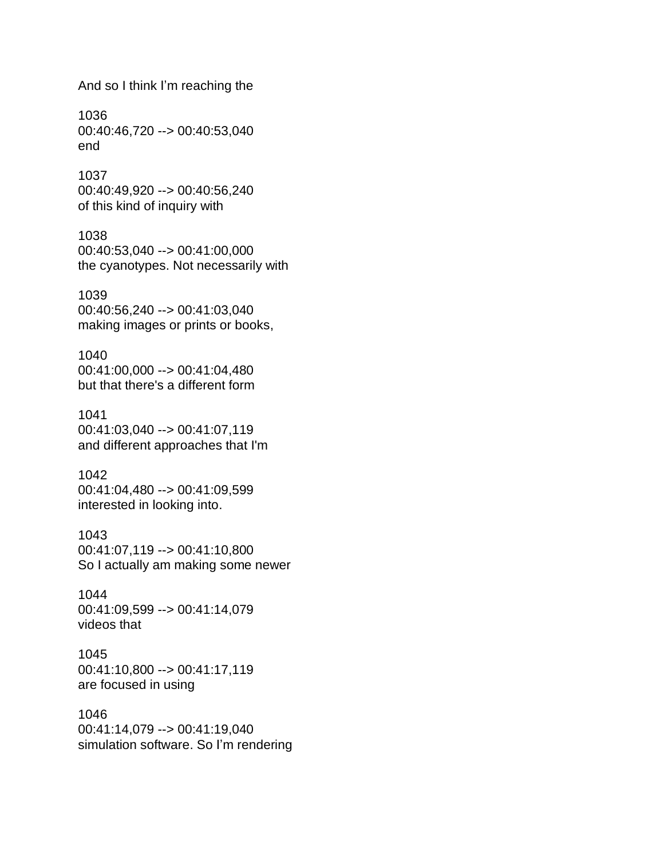And so I think I'm reaching the

1036 00:40:46,720 --> 00:40:53,040 end

1037 00:40:49,920 --> 00:40:56,240 of this kind of inquiry with

1038 00:40:53,040 --> 00:41:00,000 the cyanotypes. Not necessarily with

1039 00:40:56,240 --> 00:41:03,040 making images or prints or books,

1040 00:41:00,000 --> 00:41:04,480 but that there's a different form

1041 00:41:03,040 --> 00:41:07,119 and different approaches that I'm

1042 00:41:04,480 --> 00:41:09,599 interested in looking into.

1043 00:41:07,119 --> 00:41:10,800 So I actually am making some newer

1044 00:41:09,599 --> 00:41:14,079 videos that

1045 00:41:10,800 --> 00:41:17,119 are focused in using

1046 00:41:14,079 --> 00:41:19,040 simulation software. So I'm rendering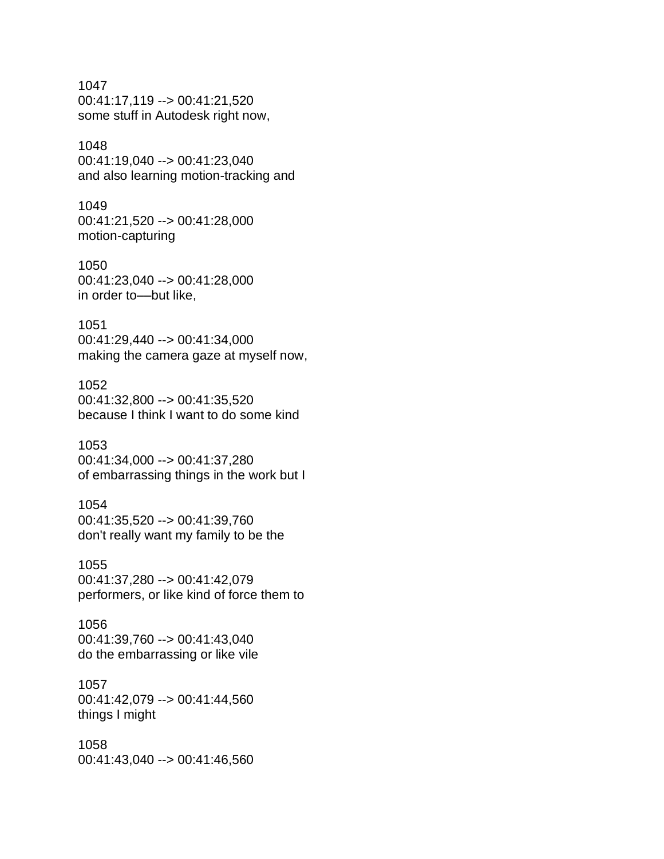1047 00:41:17,119 --> 00:41:21,520 some stuff in Autodesk right now,

## 1048

00:41:19,040 --> 00:41:23,040 and also learning motion-tracking and

1049 00:41:21,520 --> 00:41:28,000 motion-capturing

1050 00:41:23,040 --> 00:41:28,000 in order to––but like,

1051 00:41:29,440 --> 00:41:34,000 making the camera gaze at myself now,

1052 00:41:32,800 --> 00:41:35,520 because I think I want to do some kind

1053 00:41:34,000 --> 00:41:37,280 of embarrassing things in the work but I

## 1054

00:41:35,520 --> 00:41:39,760 don't really want my family to be the

1055 00:41:37,280 --> 00:41:42,079 performers, or like kind of force them to

1056 00:41:39,760 --> 00:41:43,040 do the embarrassing or like vile

1057

00:41:42,079 --> 00:41:44,560 things I might

1058 00:41:43,040 --> 00:41:46,560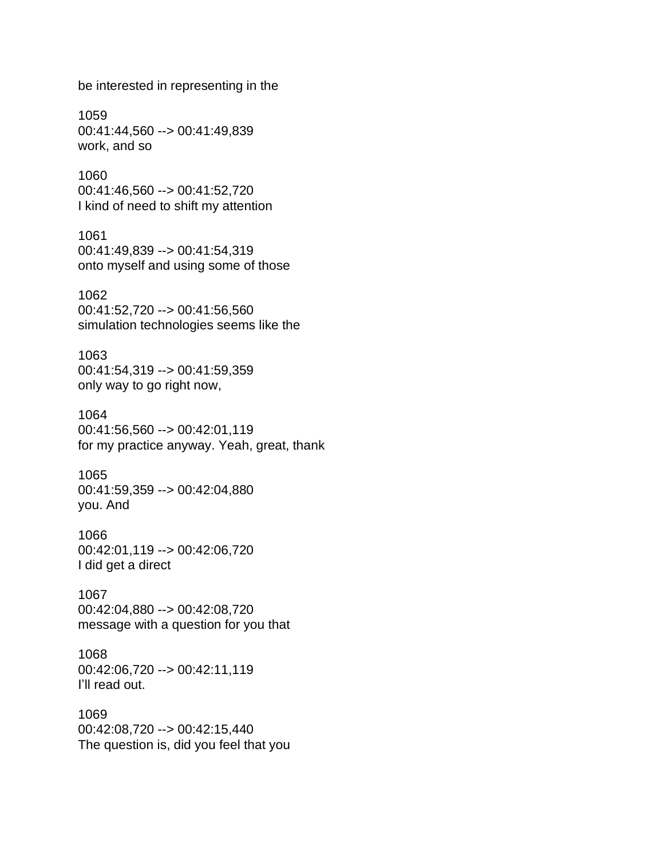be interested in representing in the

1059 00:41:44,560 --> 00:41:49,839 work, and so

1060 00:41:46,560 --> 00:41:52,720 I kind of need to shift my attention

1061 00:41:49,839 --> 00:41:54,319 onto myself and using some of those

1062 00:41:52,720 --> 00:41:56,560 simulation technologies seems like the

1063 00:41:54,319 --> 00:41:59,359 only way to go right now,

1064 00:41:56,560 --> 00:42:01,119 for my practice anyway. Yeah, great, thank

1065 00:41:59,359 --> 00:42:04,880 you. And

1066 00:42:01,119 --> 00:42:06,720 I did get a direct

1067 00:42:04,880 --> 00:42:08,720 message with a question for you that

1068 00:42:06,720 --> 00:42:11,119 I'll read out.

1069 00:42:08,720 --> 00:42:15,440 The question is, did you feel that you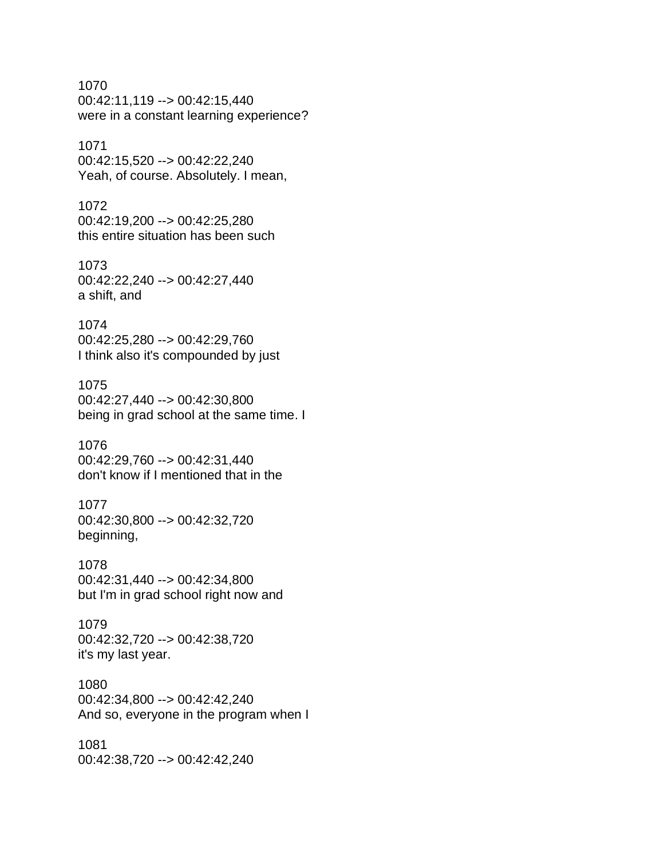1070 00:42:11,119 --> 00:42:15,440 were in a constant learning experience?

## 1071

00:42:15,520 --> 00:42:22,240 Yeah, of course. Absolutely. I mean,

## 1072

00:42:19,200 --> 00:42:25,280 this entire situation has been such

## 1073 00:42:22,240 --> 00:42:27,440 a shift, and

## 1074

00:42:25,280 --> 00:42:29,760 I think also it's compounded by just

## 1075

00:42:27,440 --> 00:42:30,800 being in grad school at the same time. I

#### 1076

00:42:29,760 --> 00:42:31,440 don't know if I mentioned that in the

## 1077

00:42:30,800 --> 00:42:32,720 beginning,

# 1078

00:42:31,440 --> 00:42:34,800 but I'm in grad school right now and

## 1079 00:42:32,720 --> 00:42:38,720 it's my last year.

## 1080

00:42:34,800 --> 00:42:42,240 And so, everyone in the program when I

## 1081 00:42:38,720 --> 00:42:42,240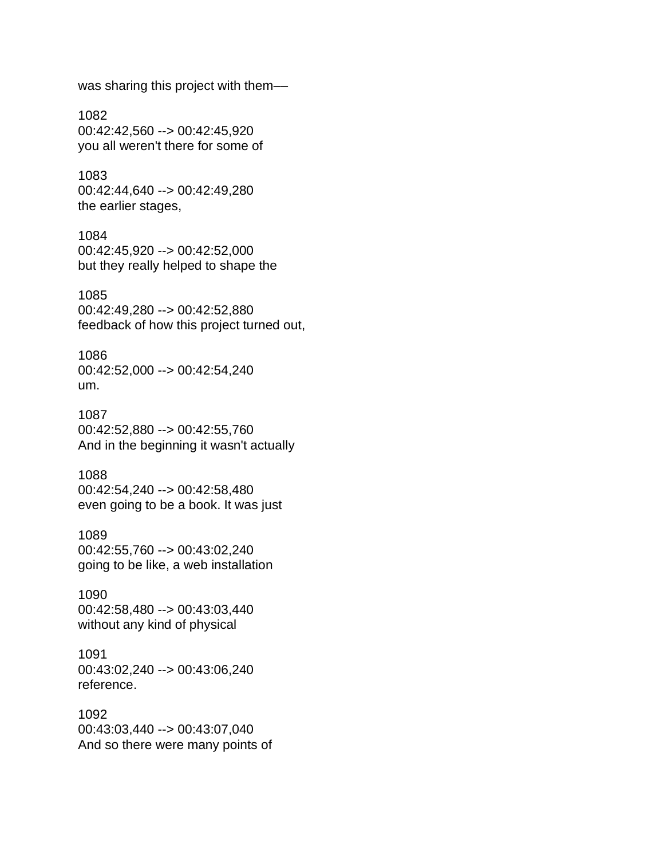was sharing this project with them––

1082 00:42:42,560 --> 00:42:45,920 you all weren't there for some of

1083 00:42:44,640 --> 00:42:49,280 the earlier stages,

1084 00:42:45,920 --> 00:42:52,000 but they really helped to shape the

1085 00:42:49,280 --> 00:42:52,880 feedback of how this project turned out,

1086 00:42:52,000 --> 00:42:54,240 um.

1087 00:42:52,880 --> 00:42:55,760 And in the beginning it wasn't actually

1088 00:42:54,240 --> 00:42:58,480 even going to be a book. It was just

1089 00:42:55,760 --> 00:43:02,240 going to be like, a web installation

1090 00:42:58,480 --> 00:43:03,440 without any kind of physical

1091 00:43:02,240 --> 00:43:06,240 reference.

1092 00:43:03,440 --> 00:43:07,040 And so there were many points of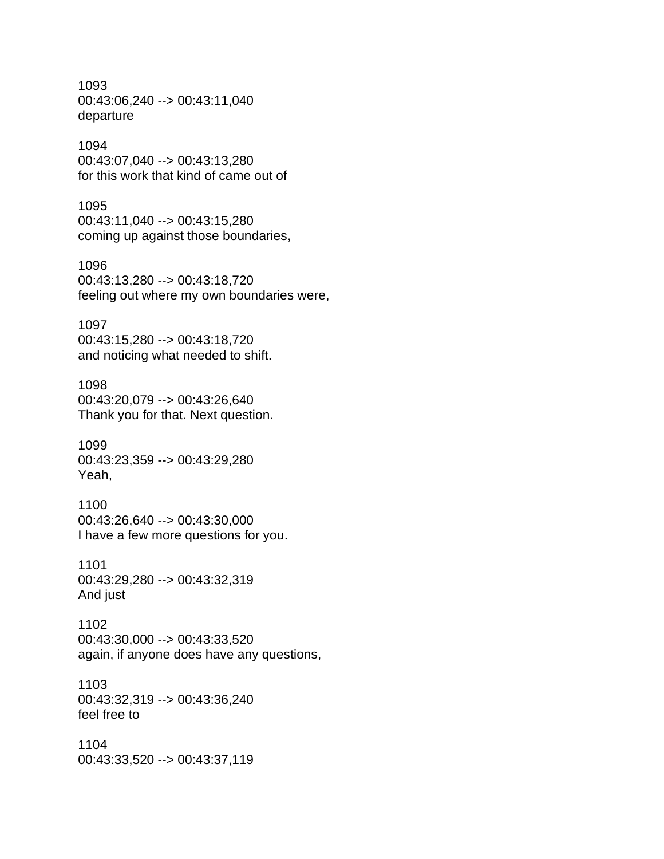1093 00:43:06,240 --> 00:43:11,040 departure

1094 00:43:07,040 --> 00:43:13,280 for this work that kind of came out of

1095 00:43:11,040 --> 00:43:15,280 coming up against those boundaries,

1096 00:43:13,280 --> 00:43:18,720 feeling out where my own boundaries were,

1097 00:43:15,280 --> 00:43:18,720 and noticing what needed to shift.

1098 00:43:20,079 --> 00:43:26,640 Thank you for that. Next question.

1099 00:43:23,359 --> 00:43:29,280 Yeah,

1100 00:43:26,640 --> 00:43:30,000 I have a few more questions for you.

1101 00:43:29,280 --> 00:43:32,319 And just

1102 00:43:30,000 --> 00:43:33,520 again, if anyone does have any questions,

1103 00:43:32,319 --> 00:43:36,240 feel free to

1104 00:43:33,520 --> 00:43:37,119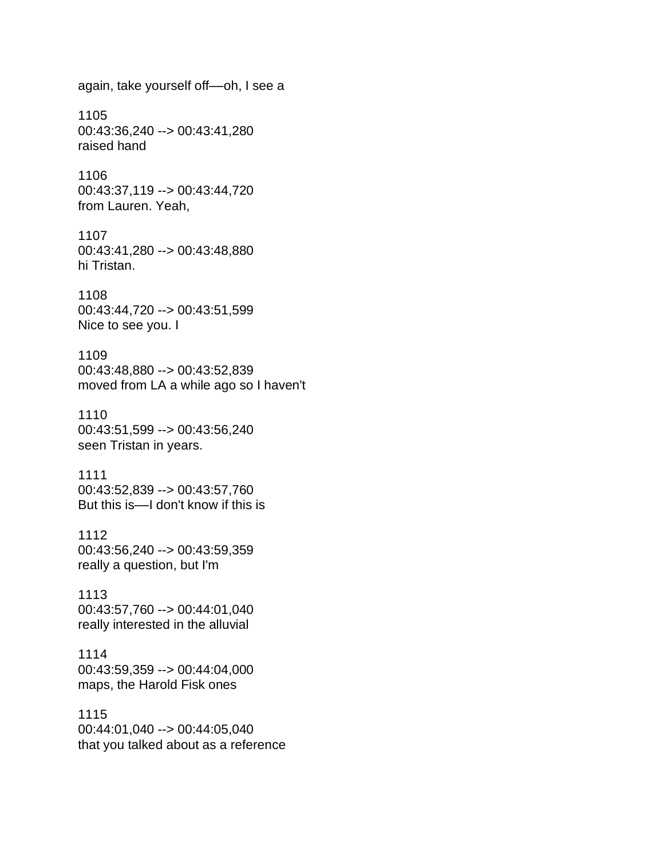again, take yourself off––oh, I see a 1105 00:43:36,240 --> 00:43:41,280 raised hand 1106 00:43:37,119 --> 00:43:44,720 from Lauren. Yeah, 1107 00:43:41,280 --> 00:43:48,880 hi Tristan. 1108 00:43:44,720 --> 00:43:51,599 Nice to see you. I 1109 00:43:48,880 --> 00:43:52,839 moved from LA a while ago so I haven't 1110 00:43:51,599 --> 00:43:56,240 seen Tristan in years. 1111 00:43:52,839 --> 00:43:57,760 But this is––I don't know if this is 1112 00:43:56,240 --> 00:43:59,359 really a question, but I'm 1113 00:43:57,760 --> 00:44:01,040 really interested in the alluvial 1114 00:43:59,359 --> 00:44:04,000 maps, the Harold Fisk ones 1115 00:44:01,040 --> 00:44:05,040

that you talked about as a reference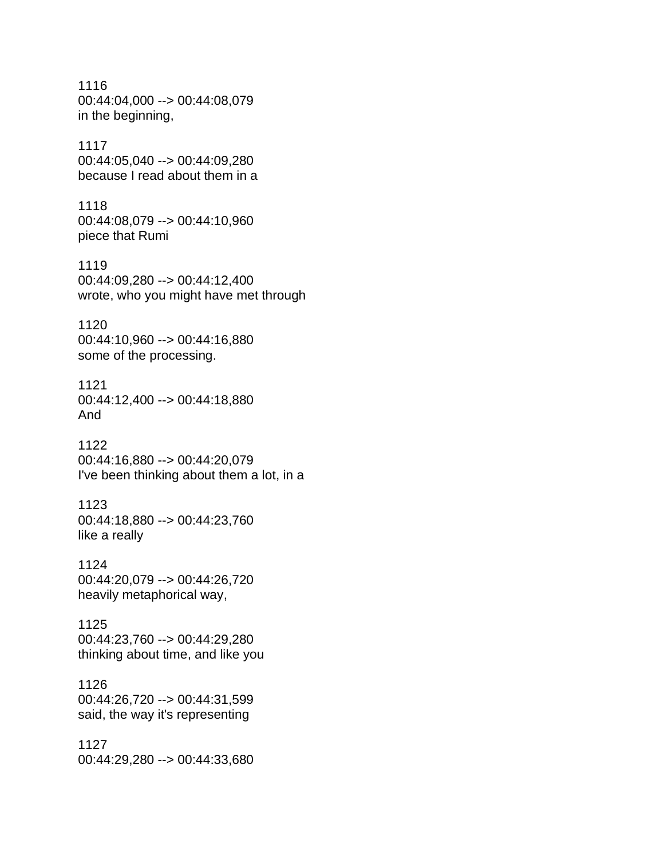1116 00:44:04,000 --> 00:44:08,079 in the beginning, 1117 00:44:05,040 --> 00:44:09,280 because I read about them in a 1118 00:44:08,079 --> 00:44:10,960 piece that Rumi 1119 00:44:09,280 --> 00:44:12,400 wrote, who you might have met through 1120 00:44:10,960 --> 00:44:16,880 some of the processing. 1121 00:44:12,400 --> 00:44:18,880 And 1122 00:44:16,880 --> 00:44:20,079 I've been thinking about them a lot, in a 1123 00:44:18,880 --> 00:44:23,760 like a really 1124 00:44:20,079 --> 00:44:26,720 heavily metaphorical way, 1125 00:44:23,760 --> 00:44:29,280 thinking about time, and like you 1126 00:44:26,720 --> 00:44:31,599 said, the way it's representing 1127 00:44:29,280 --> 00:44:33,680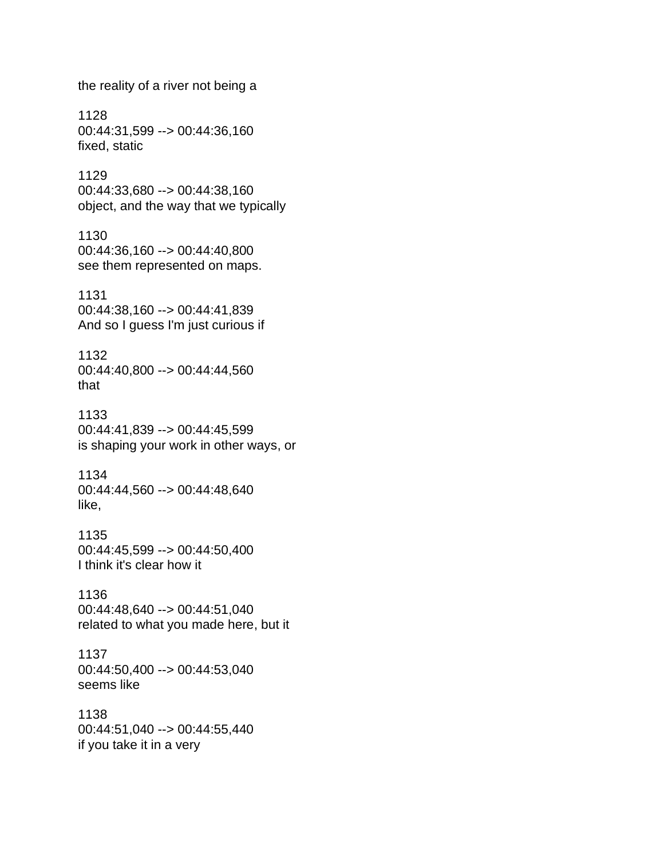the reality of a river not being a 1128 00:44:31,599 --> 00:44:36,160 fixed, static 1129 00:44:33,680 --> 00:44:38,160 object, and the way that we typically 1130 00:44:36,160 --> 00:44:40,800 see them represented on maps. 1131 00:44:38,160 --> 00:44:41,839 And so I guess I'm just curious if 1132 00:44:40,800 --> 00:44:44,560 that 1133 00:44:41,839 --> 00:44:45,599 is shaping your work in other ways, or 1134 00:44:44,560 --> 00:44:48,640 like, 1135 00:44:45,599 --> 00:44:50,400 I think it's clear how it 1136 00:44:48,640 --> 00:44:51,040 related to what you made here, but it 1137 00:44:50,400 --> 00:44:53,040 seems like 1138 00:44:51,040 --> 00:44:55,440 if you take it in a very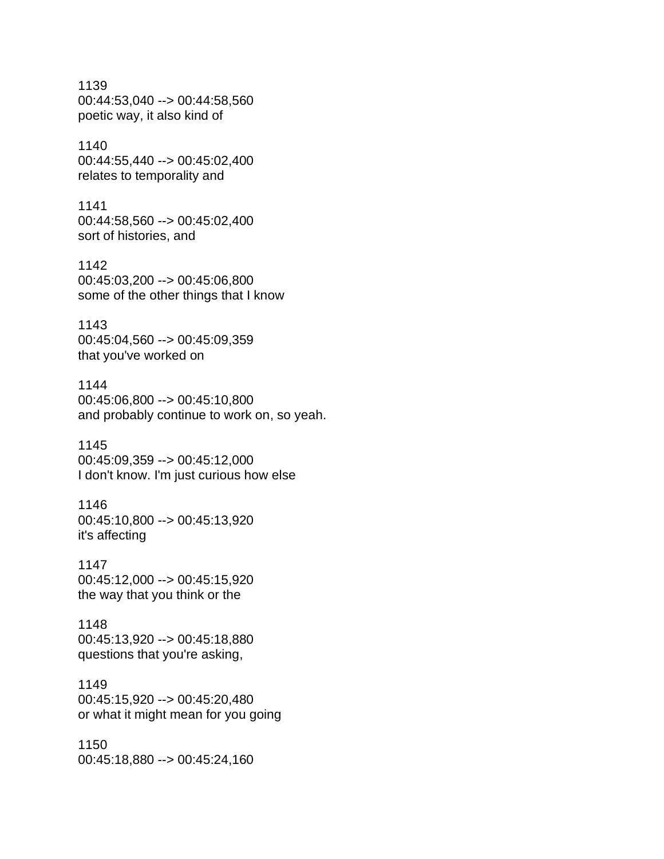1139 00:44:53,040 --> 00:44:58,560 poetic way, it also kind of

1140 00:44:55,440 --> 00:45:02,400 relates to temporality and

1141 00:44:58,560 --> 00:45:02,400 sort of histories, and

1142 00:45:03,200 --> 00:45:06,800 some of the other things that I know

1143 00:45:04,560 --> 00:45:09,359 that you've worked on

1144 00:45:06,800 --> 00:45:10,800 and probably continue to work on, so yeah.

1145 00:45:09,359 --> 00:45:12,000 I don't know. I'm just curious how else

1146 00:45:10,800 --> 00:45:13,920 it's affecting

1147 00:45:12,000 --> 00:45:15,920 the way that you think or the

1148 00:45:13,920 --> 00:45:18,880 questions that you're asking,

## 1149 00:45:15,920 --> 00:45:20,480 or what it might mean for you going

1150 00:45:18,880 --> 00:45:24,160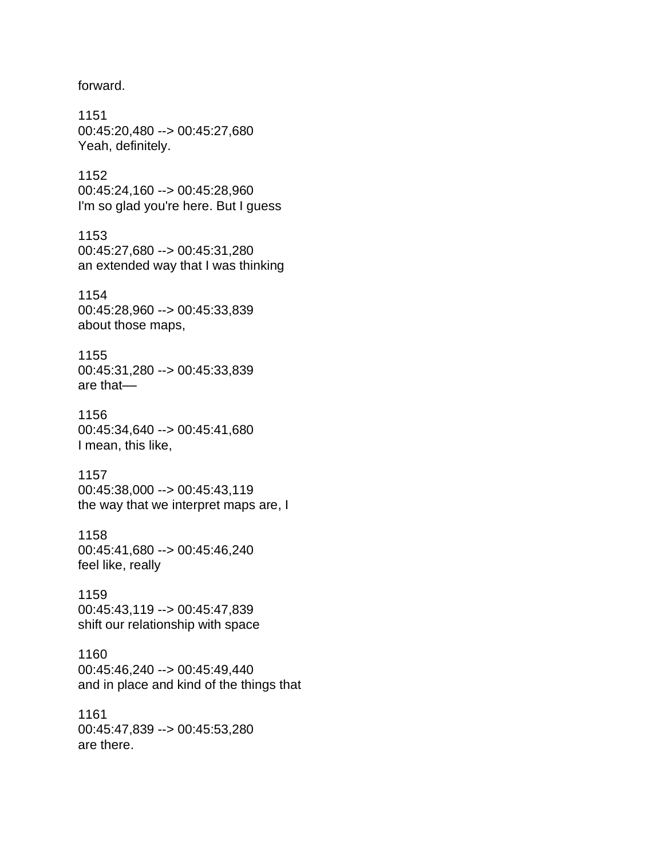forward.

1151 00:45:20,480 --> 00:45:27,680 Yeah, definitely.

1152 00:45:24,160 --> 00:45:28,960 I'm so glad you're here. But I guess

1153 00:45:27,680 --> 00:45:31,280 an extended way that I was thinking

1154 00:45:28,960 --> 00:45:33,839 about those maps,

1155 00:45:31,280 --> 00:45:33,839 are that––

1156 00:45:34,640 --> 00:45:41,680 I mean, this like,

1157 00:45:38,000 --> 00:45:43,119 the way that we interpret maps are, I

1158 00:45:41,680 --> 00:45:46,240 feel like, really

1159 00:45:43,119 --> 00:45:47,839 shift our relationship with space

1160 00:45:46,240 --> 00:45:49,440 and in place and kind of the things that

1161 00:45:47,839 --> 00:45:53,280 are there.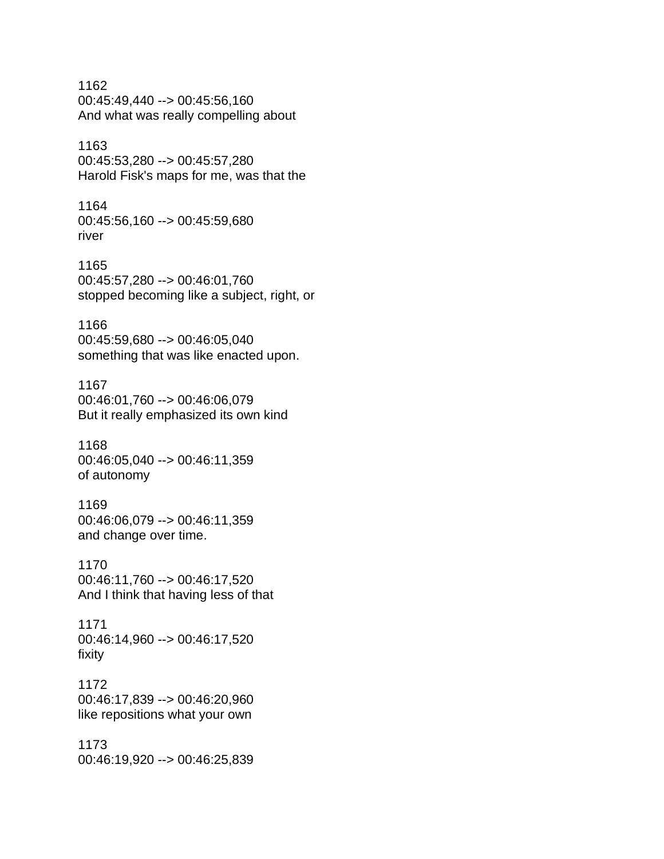1162 00:45:49,440 --> 00:45:56,160 And what was really compelling about

## 1163

00:45:53,280 --> 00:45:57,280 Harold Fisk's maps for me, was that the

1164 00:45:56,160 --> 00:45:59,680 river

1165 00:45:57,280 --> 00:46:01,760 stopped becoming like a subject, right, or

## 1166

00:45:59,680 --> 00:46:05,040 something that was like enacted upon.

## 1167

00:46:01,760 --> 00:46:06,079 But it really emphasized its own kind

1168 00:46:05,040 --> 00:46:11,359 of autonomy

## 1169

00:46:06,079 --> 00:46:11,359 and change over time.

## 1170

00:46:11,760 --> 00:46:17,520 And I think that having less of that

## 1171 00:46:14,960 --> 00:46:17,520 fixity

1172 00:46:17,839 --> 00:46:20,960 like repositions what your own

1173 00:46:19,920 --> 00:46:25,839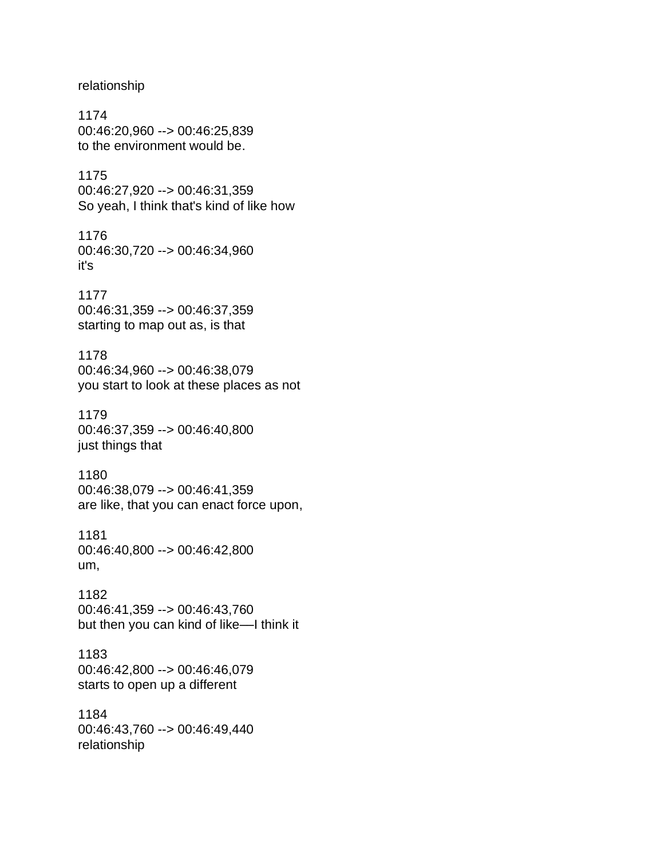relationship

1174 00:46:20,960 --> 00:46:25,839 to the environment would be.

1175 00:46:27,920 --> 00:46:31,359 So yeah, I think that's kind of like how

1176 00:46:30,720 --> 00:46:34,960 it's

1177 00:46:31,359 --> 00:46:37,359 starting to map out as, is that

1178 00:46:34,960 --> 00:46:38,079 you start to look at these places as not

1179 00:46:37,359 --> 00:46:40,800 just things that

1180 00:46:38,079 --> 00:46:41,359 are like, that you can enact force upon,

1181 00:46:40,800 --> 00:46:42,800 um,

1182 00:46:41,359 --> 00:46:43,760 but then you can kind of like––I think it

1183 00:46:42,800 --> 00:46:46,079 starts to open up a different

1184 00:46:43,760 --> 00:46:49,440 relationship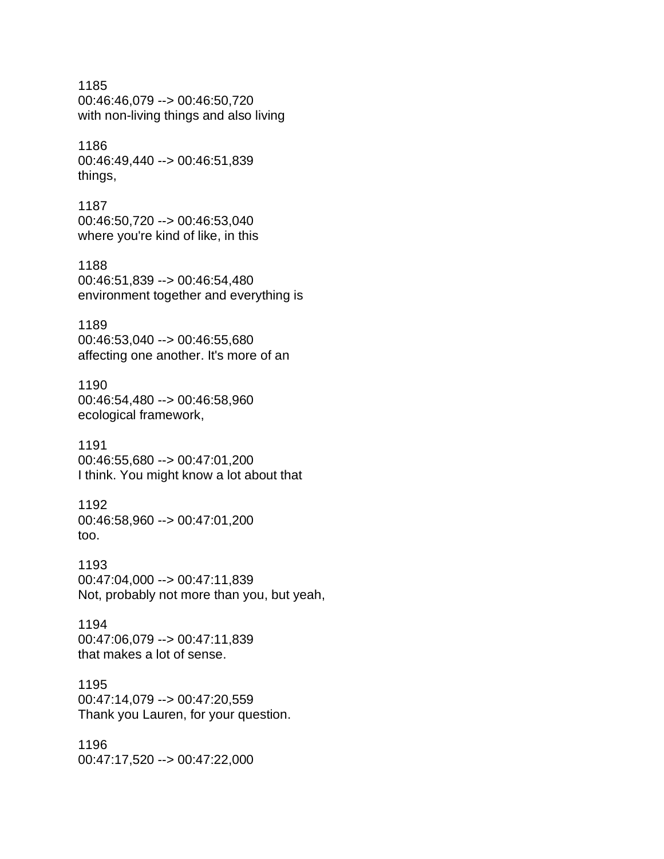1185 00:46:46,079 --> 00:46:50,720 with non-living things and also living

1186 00:46:49,440 --> 00:46:51,839 things,

1187 00:46:50,720 --> 00:46:53,040 where you're kind of like, in this

1188 00:46:51,839 --> 00:46:54,480 environment together and everything is

1189 00:46:53,040 --> 00:46:55,680 affecting one another. It's more of an

1190 00:46:54,480 --> 00:46:58,960 ecological framework,

1191 00:46:55,680 --> 00:47:01,200 I think. You might know a lot about that

1192 00:46:58,960 --> 00:47:01,200 too.

1193 00:47:04,000 --> 00:47:11,839 Not, probably not more than you, but yeah,

1194 00:47:06,079 --> 00:47:11,839 that makes a lot of sense.

1195 00:47:14,079 --> 00:47:20,559 Thank you Lauren, for your question.

1196 00:47:17,520 --> 00:47:22,000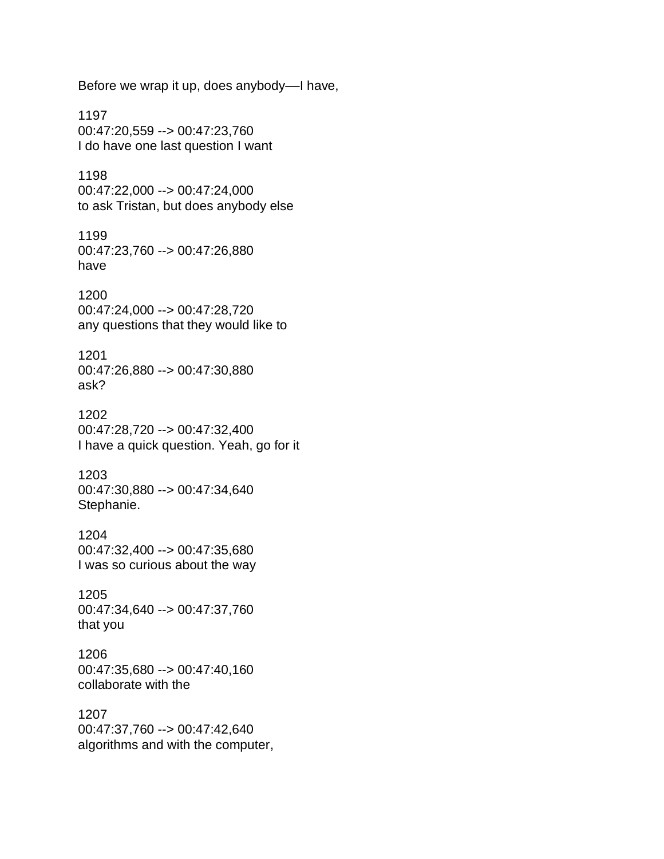Before we wrap it up, does anybody––I have,

1197 00:47:20,559 --> 00:47:23,760 I do have one last question I want

1198 00:47:22,000 --> 00:47:24,000 to ask Tristan, but does anybody else

1199 00:47:23,760 --> 00:47:26,880 have

1200 00:47:24,000 --> 00:47:28,720 any questions that they would like to

1201 00:47:26,880 --> 00:47:30,880 ask?

1202 00:47:28,720 --> 00:47:32,400 I have a quick question. Yeah, go for it

1203 00:47:30,880 --> 00:47:34,640 Stephanie.

1204 00:47:32,400 --> 00:47:35,680 I was so curious about the way

1205 00:47:34,640 --> 00:47:37,760 that you

1206 00:47:35,680 --> 00:47:40,160 collaborate with the

1207 00:47:37,760 --> 00:47:42,640 algorithms and with the computer,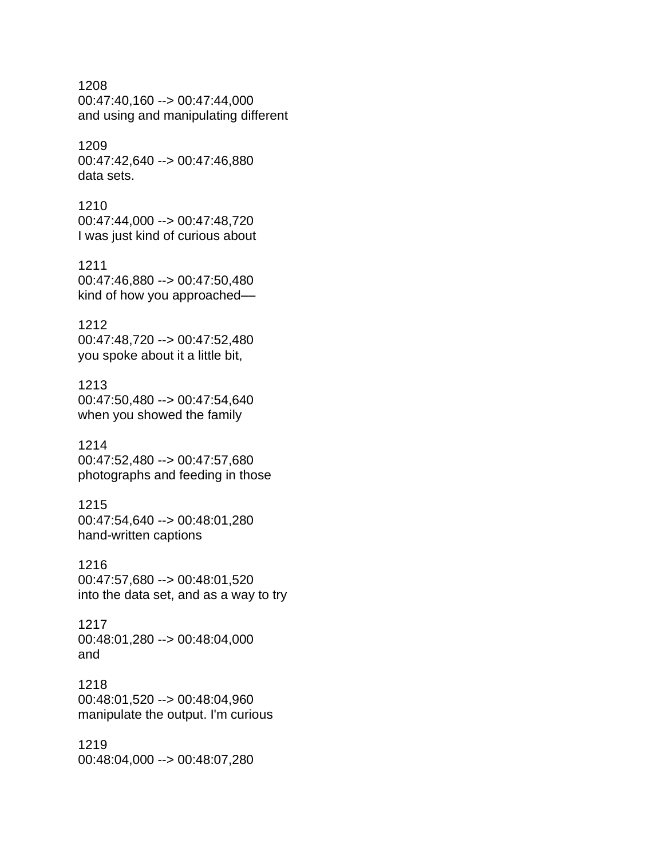1208 00:47:40,160 --> 00:47:44,000 and using and manipulating different

1209 00:47:42,640 --> 00:47:46,880 data sets.

1210 00:47:44,000 --> 00:47:48,720 I was just kind of curious about

1211 00:47:46,880 --> 00:47:50,480 kind of how you approached––

1212 00:47:48,720 --> 00:47:52,480 you spoke about it a little bit,

1213 00:47:50,480 --> 00:47:54,640 when you showed the family

1214 00:47:52,480 --> 00:47:57,680 photographs and feeding in those

1215 00:47:54,640 --> 00:48:01,280 hand-written captions

1216 00:47:57,680 --> 00:48:01,520 into the data set, and as a way to try

1217 00:48:01,280 --> 00:48:04,000 and

1218 00:48:01,520 --> 00:48:04,960 manipulate the output. I'm curious

1219 00:48:04,000 --> 00:48:07,280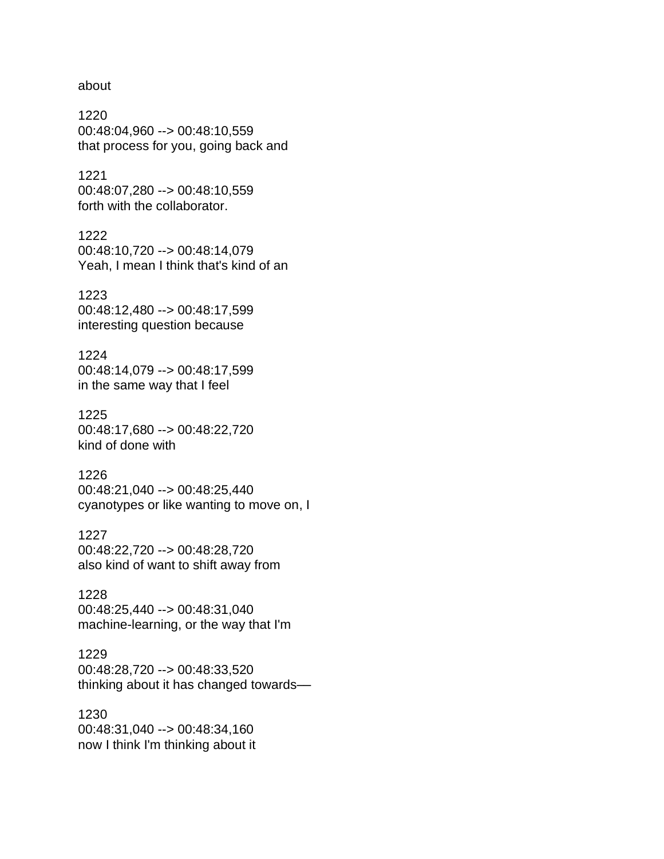about

1220 00:48:04,960 --> 00:48:10,559 that process for you, going back and

1221 00:48:07,280 --> 00:48:10,559 forth with the collaborator.

1222 00:48:10,720 --> 00:48:14,079 Yeah, I mean I think that's kind of an

1223 00:48:12,480 --> 00:48:17,599 interesting question because

1224 00:48:14,079 --> 00:48:17,599 in the same way that I feel

1225 00:48:17,680 --> 00:48:22,720 kind of done with

1226 00:48:21,040 --> 00:48:25,440 cyanotypes or like wanting to move on, I

1227 00:48:22,720 --> 00:48:28,720 also kind of want to shift away from

1228 00:48:25,440 --> 00:48:31,040 machine-learning, or the way that I'm

1229 00:48:28,720 --> 00:48:33,520 thinking about it has changed towards––

1230 00:48:31,040 --> 00:48:34,160 now I think I'm thinking about it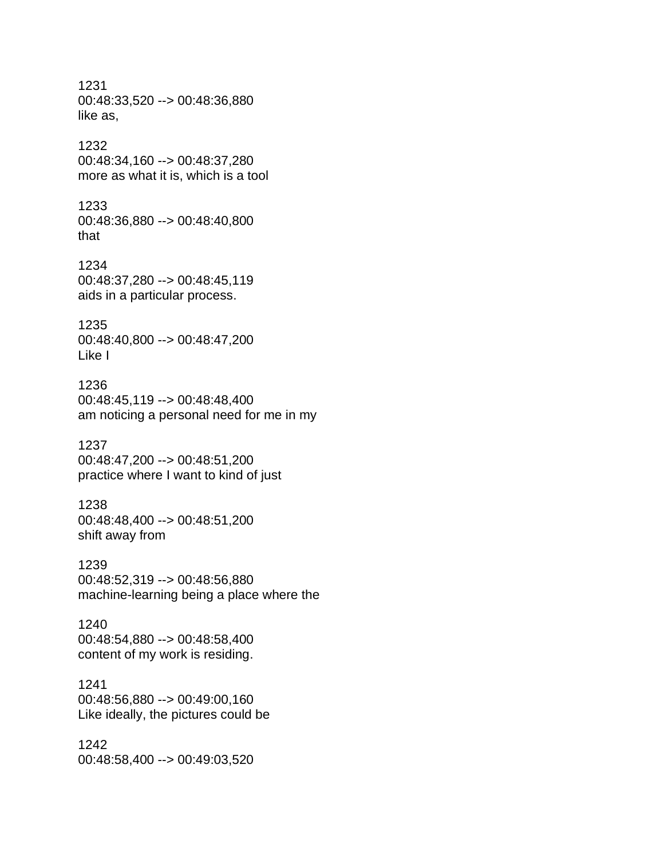1231 00:48:33,520 --> 00:48:36,880 like as, 1232 00:48:34,160 --> 00:48:37,280 more as what it is, which is a tool 1233 00:48:36,880 --> 00:48:40,800 that 1234 00:48:37,280 --> 00:48:45,119 aids in a particular process. 1235 00:48:40,800 --> 00:48:47,200 Like I 1236 00:48:45,119 --> 00:48:48,400 am noticing a personal need for me in my 1237 00:48:47,200 --> 00:48:51,200 practice where I want to kind of just 1238 00:48:48,400 --> 00:48:51,200 shift away from

1239 00:48:52,319 --> 00:48:56,880 machine-learning being a place where the

1240 00:48:54,880 --> 00:48:58,400 content of my work is residing.

## 1241 00:48:56,880 --> 00:49:00,160 Like ideally, the pictures could be

1242 00:48:58,400 --> 00:49:03,520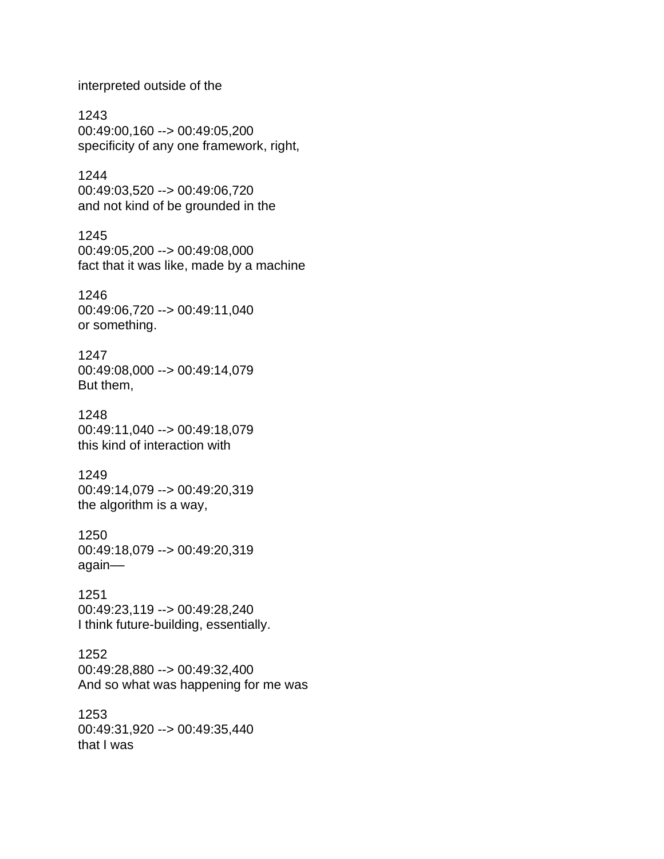interpreted outside of the

1243 00:49:00,160 --> 00:49:05,200 specificity of any one framework, right,

1244 00:49:03,520 --> 00:49:06,720 and not kind of be grounded in the

1245 00:49:05,200 --> 00:49:08,000 fact that it was like, made by a machine

1246 00:49:06,720 --> 00:49:11,040 or something.

1247 00:49:08,000 --> 00:49:14,079 But them,

1248 00:49:11,040 --> 00:49:18,079 this kind of interaction with

1249 00:49:14,079 --> 00:49:20,319 the algorithm is a way,

1250 00:49:18,079 --> 00:49:20,319 again––

1251 00:49:23,119 --> 00:49:28,240 I think future-building, essentially.

1252 00:49:28,880 --> 00:49:32,400 And so what was happening for me was

1253 00:49:31,920 --> 00:49:35,440 that I was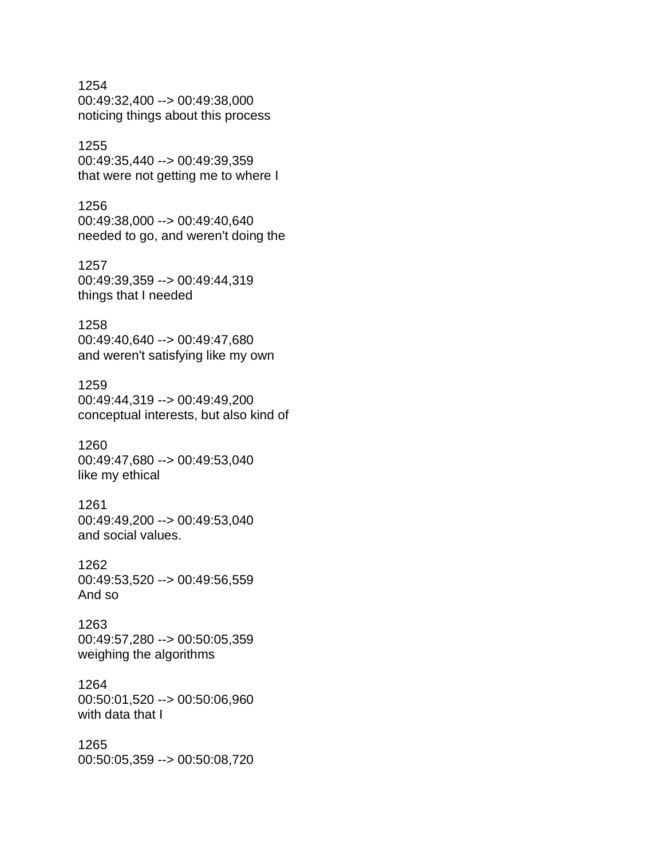1254 00:49:32,400 --> 00:49:38,000 noticing things about this process

1255 00:49:35,440 --> 00:49:39,359 that were not getting me to where I

1256 00:49:38,000 --> 00:49:40,640 needed to go, and weren't doing the

1257 00:49:39,359 --> 00:49:44,319 things that I needed

1258 00:49:40,640 --> 00:49:47,680 and weren't satisfying like my own

1259 00:49:44,319 --> 00:49:49,200 conceptual interests, but also kind of

1260 00:49:47,680 --> 00:49:53,040 like my ethical

1261 00:49:49,200 --> 00:49:53,040 and social values.

1262 00:49:53,520 --> 00:49:56,559 And so

1263 00:49:57,280 --> 00:50:05,359 weighing the algorithms

1264 00:50:01,520 --> 00:50:06,960 with data that I

1265 00:50:05,359 --> 00:50:08,720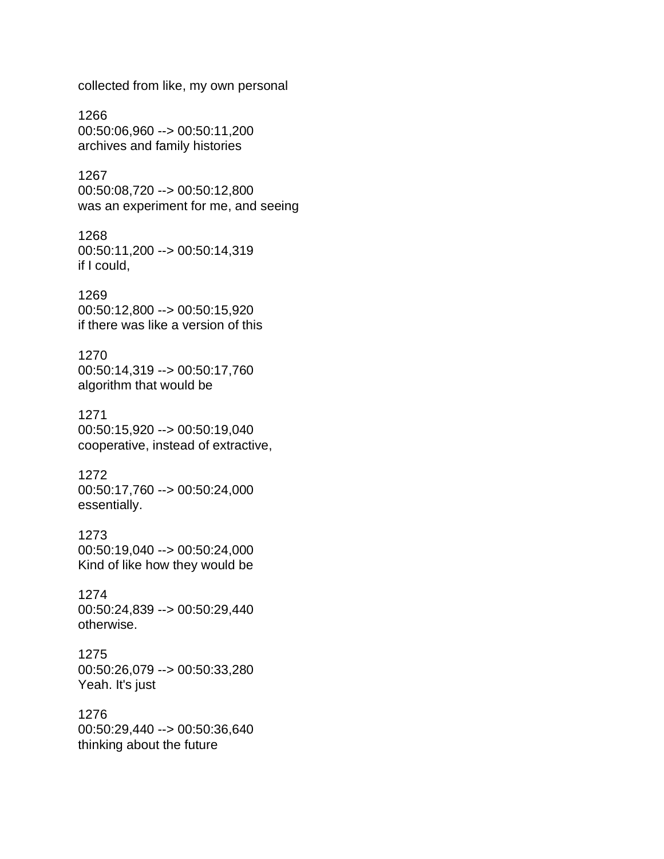collected from like, my own personal

1266 00:50:06,960 --> 00:50:11,200 archives and family histories

1267 00:50:08,720 --> 00:50:12,800 was an experiment for me, and seeing

1268 00:50:11,200 --> 00:50:14,319 if I could,

1269 00:50:12,800 --> 00:50:15,920 if there was like a version of this

1270 00:50:14,319 --> 00:50:17,760 algorithm that would be

1271 00:50:15,920 --> 00:50:19,040 cooperative, instead of extractive,

1272 00:50:17,760 --> 00:50:24,000 essentially.

1273 00:50:19,040 --> 00:50:24,000 Kind of like how they would be

1274 00:50:24,839 --> 00:50:29,440 otherwise.

1275 00:50:26,079 --> 00:50:33,280 Yeah. It's just

1276 00:50:29,440 --> 00:50:36,640 thinking about the future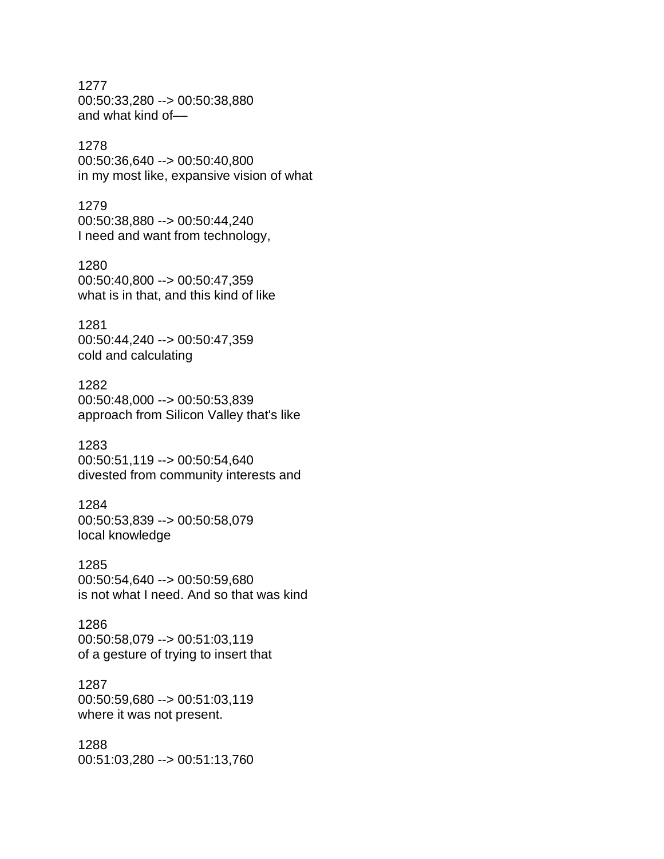1277 00:50:33,280 --> 00:50:38,880 and what kind of––

1278

00:50:36,640 --> 00:50:40,800 in my most like, expansive vision of what

1279 00:50:38,880 --> 00:50:44,240 I need and want from technology,

1280 00:50:40,800 --> 00:50:47,359 what is in that, and this kind of like

1281 00:50:44,240 --> 00:50:47,359 cold and calculating

1282 00:50:48,000 --> 00:50:53,839 approach from Silicon Valley that's like

1283 00:50:51,119 --> 00:50:54,640 divested from community interests and

1284 00:50:53,839 --> 00:50:58,079 local knowledge

1285 00:50:54,640 --> 00:50:59,680 is not what I need. And so that was kind

1286 00:50:58,079 --> 00:51:03,119 of a gesture of trying to insert that

1287 00:50:59,680 --> 00:51:03,119 where it was not present.

1288 00:51:03,280 --> 00:51:13,760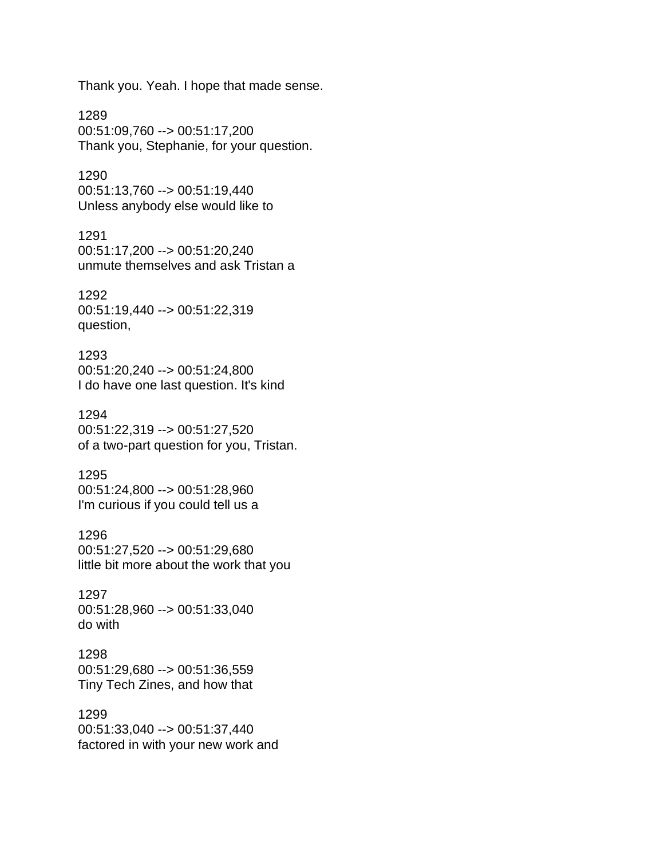Thank you. Yeah. I hope that made sense.

1289 00:51:09,760 --> 00:51:17,200 Thank you, Stephanie, for your question.

1290 00:51:13,760 --> 00:51:19,440 Unless anybody else would like to

1291 00:51:17,200 --> 00:51:20,240 unmute themselves and ask Tristan a

1292 00:51:19,440 --> 00:51:22,319 question,

1293 00:51:20,240 --> 00:51:24,800 I do have one last question. It's kind

1294 00:51:22,319 --> 00:51:27,520 of a two-part question for you, Tristan.

1295 00:51:24,800 --> 00:51:28,960 I'm curious if you could tell us a

1296 00:51:27,520 --> 00:51:29,680 little bit more about the work that you

1297 00:51:28,960 --> 00:51:33,040 do with

1298 00:51:29,680 --> 00:51:36,559 Tiny Tech Zines, and how that

1299 00:51:33,040 --> 00:51:37,440 factored in with your new work and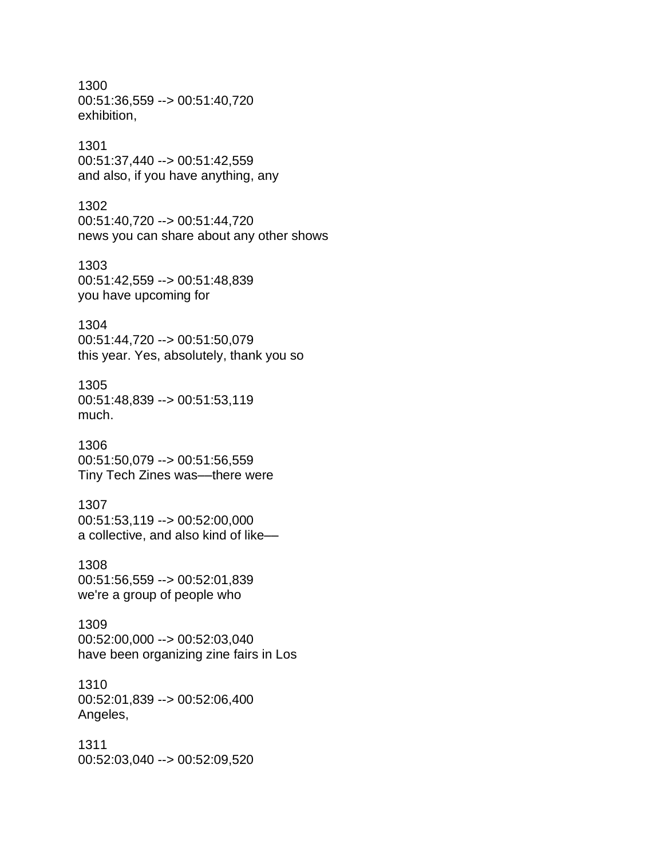1300 00:51:36,559 --> 00:51:40,720 exhibition,

#### 1301 00:51:37,440 --> 00:51:42,559 and also, if you have anything, any

1302 00:51:40,720 --> 00:51:44,720 news you can share about any other shows

1303 00:51:42,559 --> 00:51:48,839 you have upcoming for

# 1304 00:51:44,720 --> 00:51:50,079 this year. Yes, absolutely, thank you so

1305 00:51:48,839 --> 00:51:53,119 much.

1306 00:51:50,079 --> 00:51:56,559 Tiny Tech Zines was––there were

# 1307 00:51:53,119 --> 00:52:00,000 a collective, and also kind of like––

1308 00:51:56,559 --> 00:52:01,839 we're a group of people who

## 1309 00:52:00,000 --> 00:52:03,040 have been organizing zine fairs in Los

1310 00:52:01,839 --> 00:52:06,400 Angeles,

1311 00:52:03,040 --> 00:52:09,520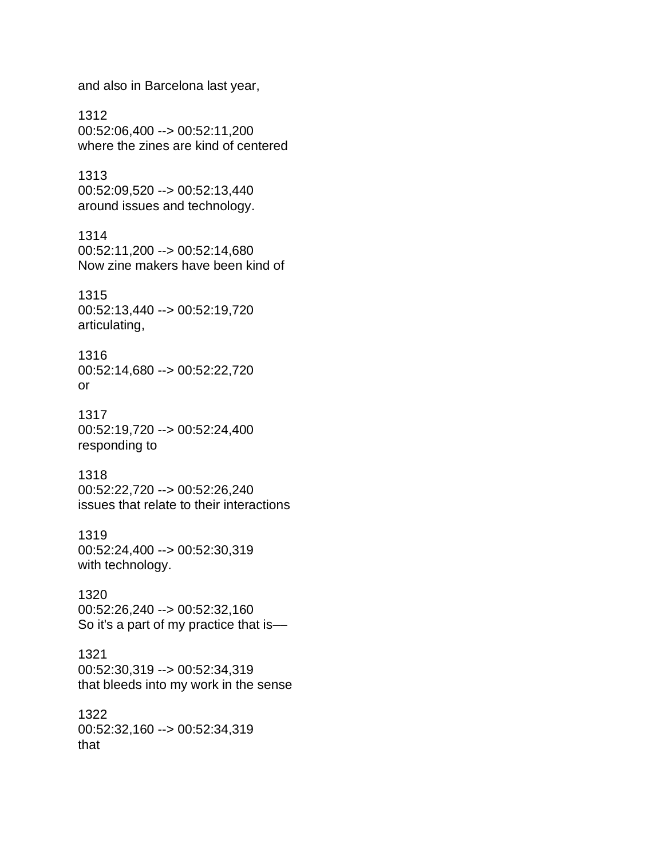and also in Barcelona last year,

1312 00:52:06,400 --> 00:52:11,200 where the zines are kind of centered

1313 00:52:09,520 --> 00:52:13,440 around issues and technology.

1314 00:52:11,200 --> 00:52:14,680 Now zine makers have been kind of

1315 00:52:13,440 --> 00:52:19,720 articulating,

1316 00:52:14,680 --> 00:52:22,720 or

1317 00:52:19,720 --> 00:52:24,400 responding to

1318 00:52:22,720 --> 00:52:26,240 issues that relate to their interactions

1319 00:52:24,400 --> 00:52:30,319 with technology.

1320 00:52:26,240 --> 00:52:32,160 So it's a part of my practice that is––

1321 00:52:30,319 --> 00:52:34,319 that bleeds into my work in the sense

1322 00:52:32,160 --> 00:52:34,319 that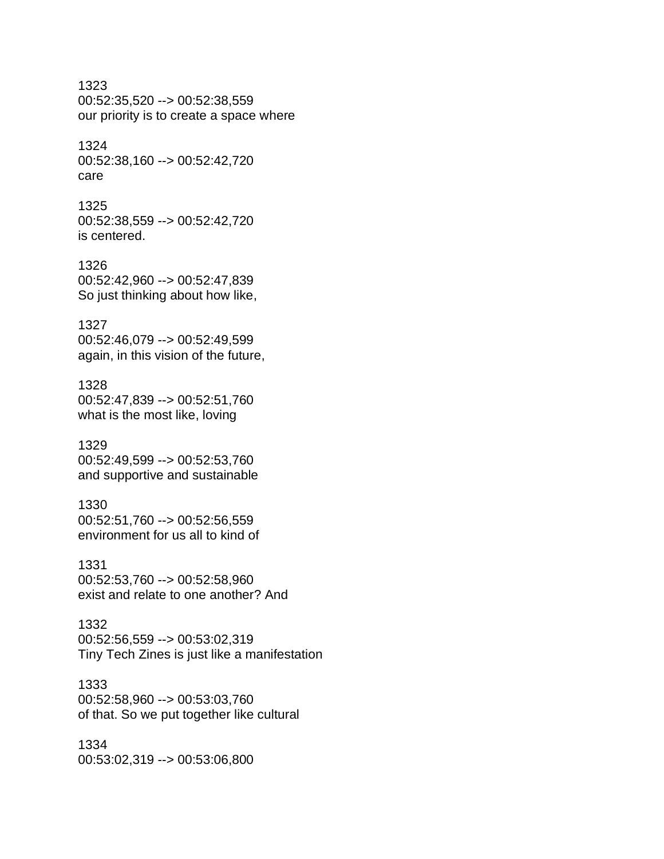1323 00:52:35,520 --> 00:52:38,559 our priority is to create a space where

1324 00:52:38,160 --> 00:52:42,720 care

1325 00:52:38,559 --> 00:52:42,720 is centered.

1326 00:52:42,960 --> 00:52:47,839 So just thinking about how like,

1327 00:52:46,079 --> 00:52:49,599 again, in this vision of the future,

1328 00:52:47,839 --> 00:52:51,760 what is the most like, loving

1329 00:52:49,599 --> 00:52:53,760 and supportive and sustainable

1330 00:52:51,760 --> 00:52:56,559 environment for us all to kind of

1331 00:52:53,760 --> 00:52:58,960 exist and relate to one another? And

1332 00:52:56,559 --> 00:53:02,319 Tiny Tech Zines is just like a manifestation

1333 00:52:58,960 --> 00:53:03,760 of that. So we put together like cultural

1334 00:53:02,319 --> 00:53:06,800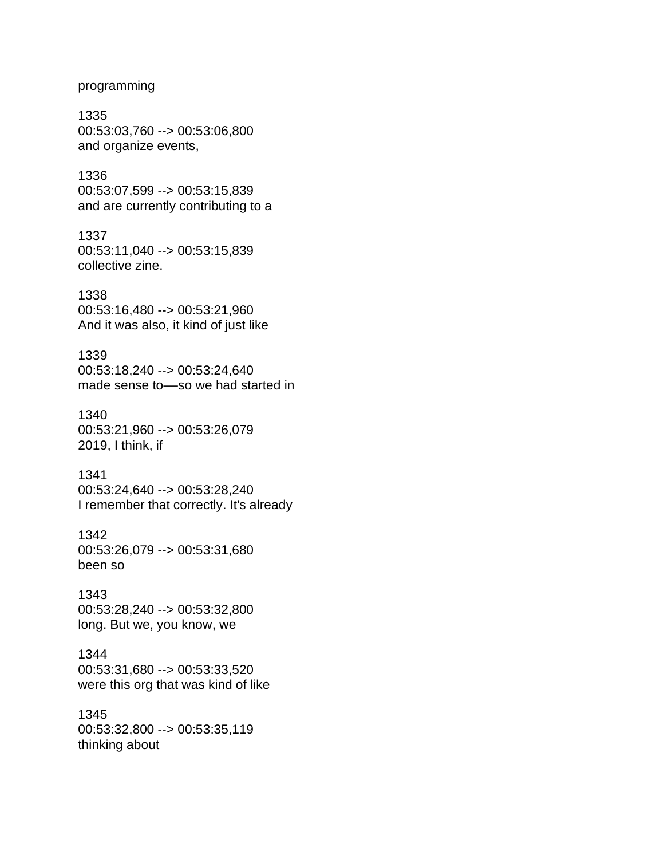#### programming

1335 00:53:03,760 --> 00:53:06,800 and organize events,

1336 00:53:07,599 --> 00:53:15,839 and are currently contributing to a

1337 00:53:11,040 --> 00:53:15,839 collective zine.

1338 00:53:16,480 --> 00:53:21,960 And it was also, it kind of just like

1339 00:53:18,240 --> 00:53:24,640 made sense to––so we had started in

1340 00:53:21,960 --> 00:53:26,079 2019, I think, if

1341 00:53:24,640 --> 00:53:28,240 I remember that correctly. It's already

1342 00:53:26,079 --> 00:53:31,680 been so

1343 00:53:28,240 --> 00:53:32,800 long. But we, you know, we

1344 00:53:31,680 --> 00:53:33,520 were this org that was kind of like

1345 00:53:32,800 --> 00:53:35,119 thinking about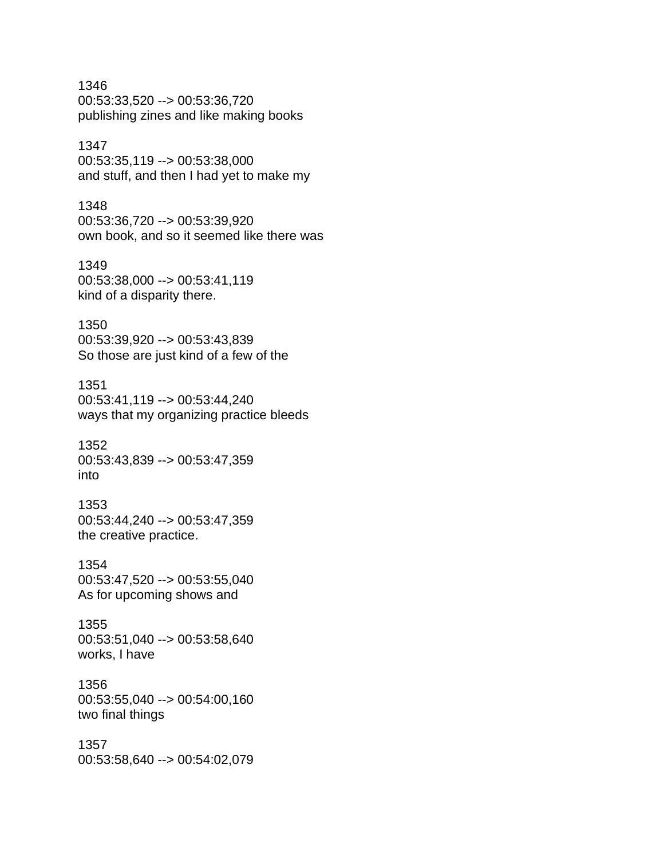1346 00:53:33,520 --> 00:53:36,720 publishing zines and like making books

# 1347

00:53:35,119 --> 00:53:38,000 and stuff, and then I had yet to make my

#### 1348

00:53:36,720 --> 00:53:39,920 own book, and so it seemed like there was

#### 1349

00:53:38,000 --> 00:53:41,119 kind of a disparity there.

#### 1350

00:53:39,920 --> 00:53:43,839 So those are just kind of a few of the

#### 1351

00:53:41,119 --> 00:53:44,240 ways that my organizing practice bleeds

#### 1352 00:53:43,839 --> 00:53:47,359 into

1353 00:53:44,240 --> 00:53:47,359 the creative practice.

#### 1354

00:53:47,520 --> 00:53:55,040 As for upcoming shows and

#### 1355 00:53:51,040 --> 00:53:58,640 works, I have

1356 00:53:55,040 --> 00:54:00,160 two final things

#### 1357 00:53:58,640 --> 00:54:02,079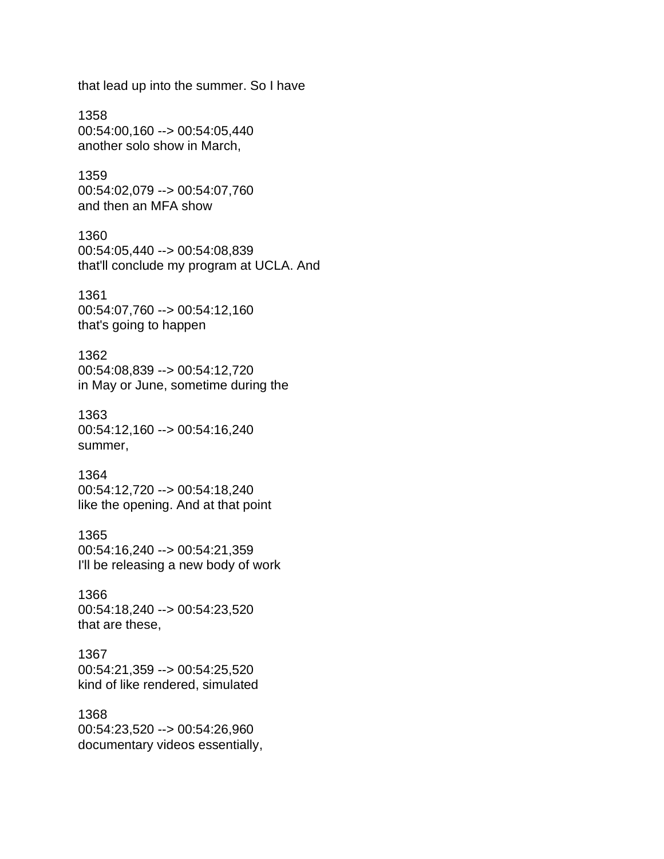that lead up into the summer. So I have

1358 00:54:00,160 --> 00:54:05,440 another solo show in March,

1359 00:54:02,079 --> 00:54:07,760 and then an MFA show

1360 00:54:05,440 --> 00:54:08,839 that'll conclude my program at UCLA. And

1361 00:54:07,760 --> 00:54:12,160 that's going to happen

1362 00:54:08,839 --> 00:54:12,720 in May or June, sometime during the

1363 00:54:12,160 --> 00:54:16,240 summer,

1364 00:54:12,720 --> 00:54:18,240 like the opening. And at that point

1365 00:54:16,240 --> 00:54:21,359 I'll be releasing a new body of work

1366 00:54:18,240 --> 00:54:23,520 that are these,

1367 00:54:21,359 --> 00:54:25,520 kind of like rendered, simulated

1368 00:54:23,520 --> 00:54:26,960 documentary videos essentially,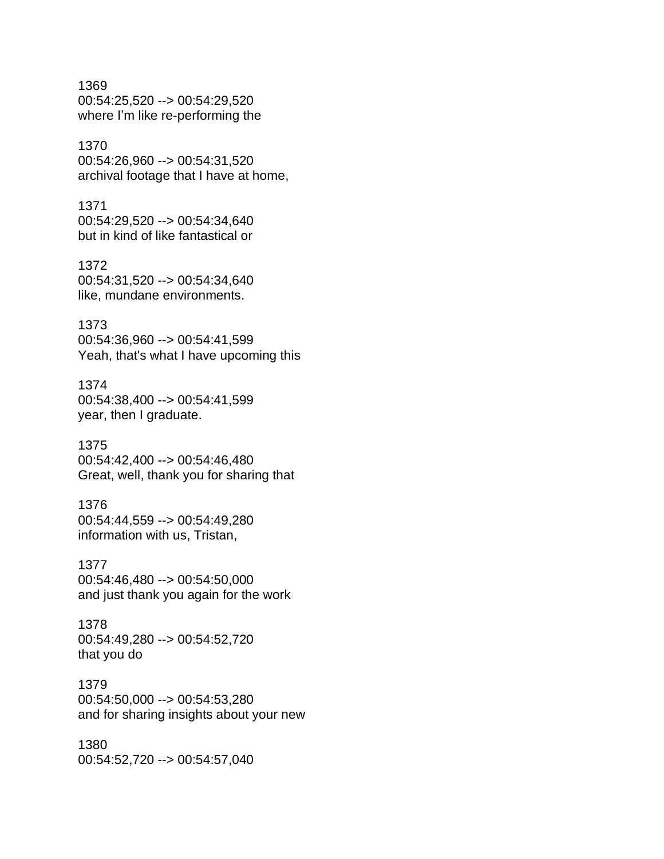1369 00:54:25,520 --> 00:54:29,520 where I'm like re-performing the

## 1370 00:54:26,960 --> 00:54:31,520 archival footage that I have at home,

1371 00:54:29,520 --> 00:54:34,640 but in kind of like fantastical or

1372 00:54:31,520 --> 00:54:34,640 like, mundane environments.

# 1373 00:54:36,960 --> 00:54:41,599 Yeah, that's what I have upcoming this

1374 00:54:38,400 --> 00:54:41,599 year, then I graduate.

1375 00:54:42,400 --> 00:54:46,480 Great, well, thank you for sharing that

# 1376

00:54:44,559 --> 00:54:49,280 information with us, Tristan,

1377 00:54:46,480 --> 00:54:50,000 and just thank you again for the work

1378 00:54:49,280 --> 00:54:52,720 that you do

# 1379

00:54:50,000 --> 00:54:53,280 and for sharing insights about your new

1380 00:54:52,720 --> 00:54:57,040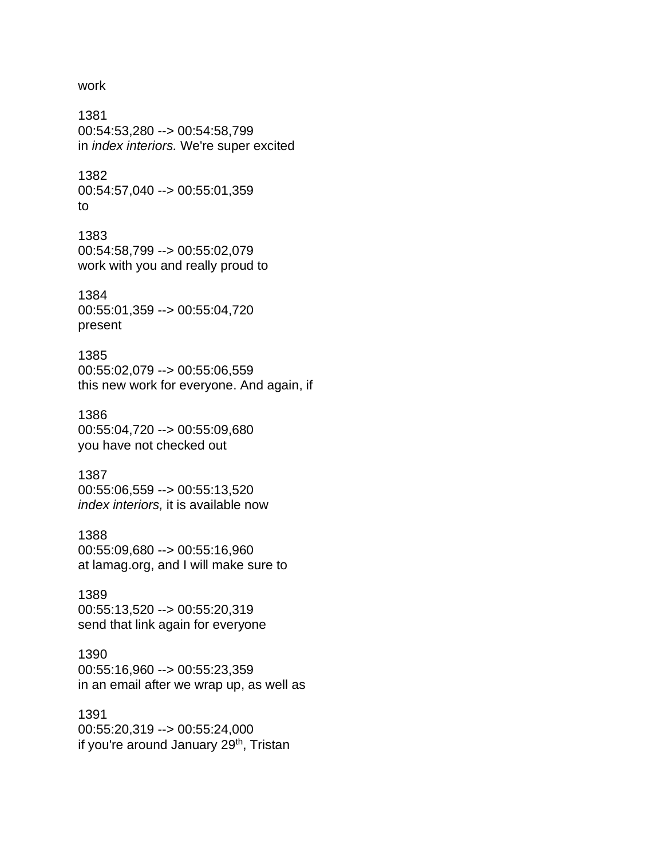#### work

1381 00:54:53,280 --> 00:54:58,799 in *index interiors.* We're super excited

1382 00:54:57,040 --> 00:55:01,359 to

1383 00:54:58,799 --> 00:55:02,079 work with you and really proud to

1384 00:55:01,359 --> 00:55:04,720 present

1385 00:55:02,079 --> 00:55:06,559 this new work for everyone. And again, if

1386 00:55:04,720 --> 00:55:09,680 you have not checked out

1387 00:55:06,559 --> 00:55:13,520 *index interiors,* it is available now

1388 00:55:09,680 --> 00:55:16,960 at lamag.org, and I will make sure to

1389 00:55:13,520 --> 00:55:20,319 send that link again for everyone

1390 00:55:16,960 --> 00:55:23,359 in an email after we wrap up, as well as

1391 00:55:20,319 --> 00:55:24,000 if you're around January 29<sup>th</sup>, Tristan